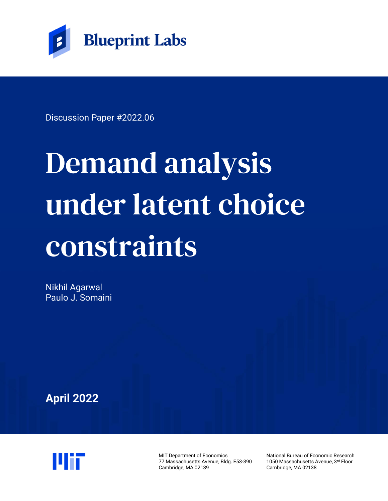

Discussion Paper #2022.06

# Demand analysis under latent choice constraints

Nikhil Agarwal Paulo J. Somaini

**April 2022**



MIT Department of Economics 77 Massachusetts Avenue, Bldg. E53-390 Cambridge, MA 02139

National Bureau of Economic Research 1050 Massachusetts Avenue, 3rd Floor Cambridge, MA 02138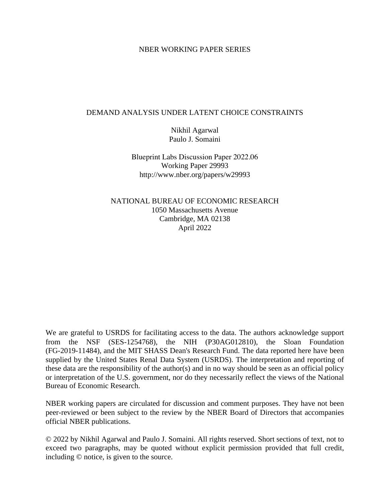## NBER WORKING PAPER SERIES

## DEMAND ANALYSIS UNDER LATENT CHOICE CONSTRAINTS

Nikhil Agarwal Paulo J. Somaini

Blueprint Labs Discussion Paper 2022.06 Working Paper 29993 http://www.nber.org/papers/w29993

NATIONAL BUREAU OF ECONOMIC RESEARCH 1050 Massachusetts Avenue Cambridge, MA 02138 April 2022

We are grateful to USRDS for facilitating access to the data. The authors acknowledge support from the NSF (SES-1254768), the NIH (P30AG012810), the Sloan Foundation (FG-2019-11484), and the MIT SHASS Dean's Research Fund. The data reported here have been supplied by the United States Renal Data System (USRDS). The interpretation and reporting of these data are the responsibility of the author(s) and in no way should be seen as an official policy or interpretation of the U.S. government, nor do they necessarily reflect the views of the National Bureau of Economic Research.

NBER working papers are circulated for discussion and comment purposes. They have not been peer-reviewed or been subject to the review by the NBER Board of Directors that accompanies official NBER publications.

© 2022 by Nikhil Agarwal and Paulo J. Somaini. All rights reserved. Short sections of text, not to exceed two paragraphs, may be quoted without explicit permission provided that full credit, including © notice, is given to the source.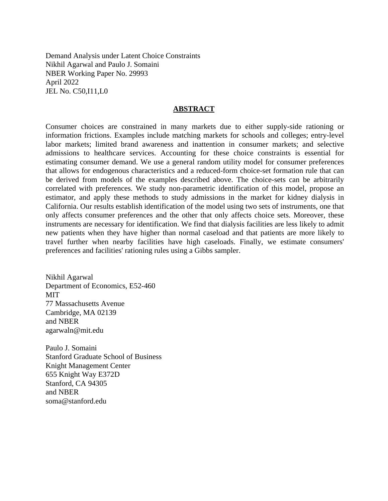Demand Analysis under Latent Choice Constraints Nikhil Agarwal and Paulo J. Somaini NBER Working Paper No. 29993 April 2022 JEL No. C50,I11,L0

## **ABSTRACT**

Consumer choices are constrained in many markets due to either supply-side rationing or information frictions. Examples include matching markets for schools and colleges; entry-level labor markets; limited brand awareness and inattention in consumer markets; and selective admissions to healthcare services. Accounting for these choice constraints is essential for estimating consumer demand. We use a general random utility model for consumer preferences that allows for endogenous characteristics and a reduced-form choice-set formation rule that can be derived from models of the examples described above. The choice-sets can be arbitrarily correlated with preferences. We study non-parametric identification of this model, propose an estimator, and apply these methods to study admissions in the market for kidney dialysis in California. Our results establish identification of the model using two sets of instruments, one that only affects consumer preferences and the other that only affects choice sets. Moreover, these instruments are necessary for identification. We find that dialysis facilities are less likely to admit new patients when they have higher than normal caseload and that patients are more likely to travel further when nearby facilities have high caseloads. Finally, we estimate consumers' preferences and facilities' rationing rules using a Gibbs sampler.

Nikhil Agarwal Department of Economics, E52-460 MIT 77 Massachusetts Avenue Cambridge, MA 02139 and NBER agarwaln@mit.edu

Paulo J. Somaini Stanford Graduate School of Business Knight Management Center 655 Knight Way E372D Stanford, CA 94305 and NBER soma@stanford.edu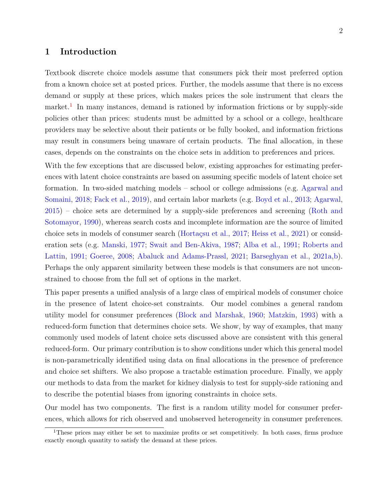# **1 Introduction**

Textbook discrete choice models assume that consumers pick their most preferred option from a known choice set at posted prices. Further, the models assume that there is no excess demand or supply at these prices, which makes prices the sole instrument that clears the market.<sup>[1](#page-3-0)</sup> In many instances, demand is rationed by information frictions or by supply-side policies other than prices: students must be admitted by a school or a college, healthcare providers may be selective about their patients or be fully booked, and information frictions may result in consumers being unaware of certain products. The final allocation, in these cases, depends on the constraints on the choice sets in addition to preferences and prices.

With the few exceptions that are discussed below, existing approaches for estimating preferences with latent choice constraints are based on assuming specific models of latent choice set formation. In two-sided matching models – school or college admissions (e.g. [Agarwal and](#page-48-0) [Somaini,](#page-48-0) [2018;](#page-48-0) [Fack et al.,](#page-51-0) [2019\)](#page-51-0), and certain labor markets (e.g. [Boyd et al.,](#page-50-0) [2013;](#page-50-0) [Agarwal,](#page-48-1) [2015\)](#page-48-1) – choice sets are determined by a supply-side preferences and screening [\(Roth and](#page-53-0) [Sotomayor,](#page-53-0) [1990\)](#page-53-0), whereas search costs and incomplete information are the source of limited choice sets in models of consumer search [\(Hortaçsu et al.,](#page-52-0) [2017;](#page-52-0) [Heiss et al.,](#page-51-1) [2021\)](#page-51-1) or consideration sets (e.g. [Manski,](#page-52-1) [1977;](#page-52-1) [Swait and Ben-Akiva,](#page-53-1) [1987;](#page-53-1) [Alba et al.,](#page-49-0) [1991;](#page-49-0) [Roberts and](#page-53-2) [Lattin,](#page-53-2) [1991;](#page-53-2) [Goeree,](#page-51-2) [2008;](#page-51-2) [Abaluck and Adams-Prassl,](#page-48-2) [2021;](#page-48-2) [Barseghyan et al.,](#page-49-1) [2021a,](#page-49-1)[b\)](#page-49-2). Perhaps the only apparent similarity between these models is that consumers are not unconstrained to choose from the full set of options in the market.

This paper presents a unified analysis of a large class of empirical models of consumer choice in the presence of latent choice-set constraints. Our model combines a general random utility model for consumer preferences [\(Block and Marshak,](#page-49-3) [1960;](#page-49-3) [Matzkin,](#page-52-2) [1993\)](#page-52-2) with a reduced-form function that determines choice sets. We show, by way of examples, that many commonly used models of latent choice sets discussed above are consistent with this general reduced-form. Our primary contribution is to show conditions under which this general model is non-parametrically identified using data on final allocations in the presence of preference and choice set shifters. We also propose a tractable estimation procedure. Finally, we apply our methods to data from the market for kidney dialysis to test for supply-side rationing and to describe the potential biases from ignoring constraints in choice sets.

Our model has two components. The first is a random utility model for consumer preferences, which allows for rich observed and unobserved heterogeneity in consumer preferences.

<span id="page-3-0"></span><sup>1</sup>These prices may either be set to maximize profits or set competitively. In both cases, firms produce exactly enough quantity to satisfy the demand at these prices.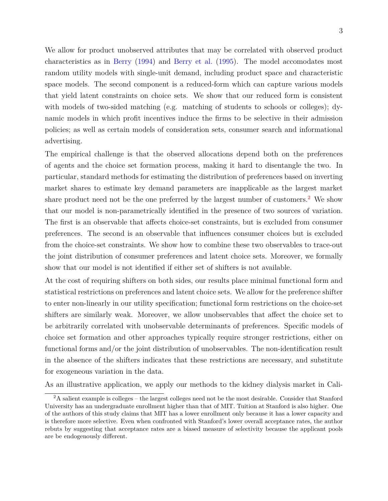We allow for product unobserved attributes that may be correlated with observed product characteristics as in [Berry](#page-49-4) [\(1994\)](#page-49-4) and [Berry et al.](#page-49-5) [\(1995\)](#page-49-5). The model accomodates most random utility models with single-unit demand, including product space and characteristic space models. The second component is a reduced-form which can capture various models that yield latent constraints on choice sets. We show that our reduced form is consistent with models of two-sided matching (e.g. matching of students to schools or colleges); dynamic models in which profit incentives induce the firms to be selective in their admission policies; as well as certain models of consideration sets, consumer search and informational advertising.

The empirical challenge is that the observed allocations depend both on the preferences of agents and the choice set formation process, making it hard to disentangle the two. In particular, standard methods for estimating the distribution of preferences based on inverting market shares to estimate key demand parameters are inapplicable as the largest market share product need not be the one preferred by the largest number of customers.<sup>[2](#page-4-0)</sup> We show that our model is non-parametrically identified in the presence of two sources of variation. The first is an observable that affects choice-set constraints, but is excluded from consumer preferences. The second is an observable that influences consumer choices but is excluded from the choice-set constraints. We show how to combine these two observables to trace-out the joint distribution of consumer preferences and latent choice sets. Moreover, we formally show that our model is not identified if either set of shifters is not available.

At the cost of requiring shifters on both sides, our results place minimal functional form and statistical restrictions on preferences and latent choice sets. We allow for the preference shifter to enter non-linearly in our utility specification; functional form restrictions on the choice-set shifters are similarly weak. Moreover, we allow unobservables that affect the choice set to be arbitrarily correlated with unobservable determinants of preferences. Specific models of choice set formation and other approaches typically require stronger restrictions, either on functional forms and/or the joint distribution of unobservables. The non-identification result in the absence of the shifters indicates that these restrictions are necessary, and substitute for exogeneous variation in the data.

As an illustrative application, we apply our methods to the kidney dialysis market in Cali-

<span id="page-4-0"></span><sup>2</sup>A salient example is colleges – the largest colleges need not be the most desirable. Consider that Stanford University has an undergraduate enrollment higher than that of MIT. Tuition at Stanford is also higher. One of the authors of this study claims that MIT has a lower enrollment only because it has a lower capacity and is therefore more selective. Even when confronted with Stanford's lower overall acceptance rates, the author rebuts by suggesting that acceptance rates are a biased measure of selectivity because the applicant pools are be endogenously different.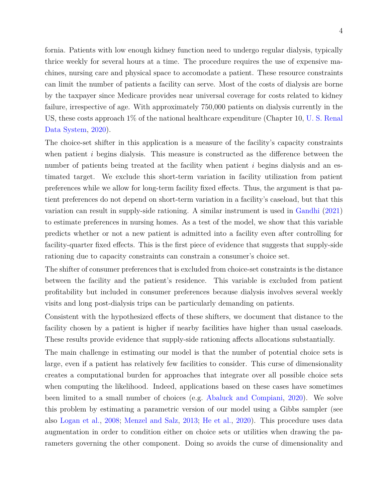4

fornia. Patients with low enough kidney function need to undergo regular dialysis, typically thrice weekly for several hours at a time. The procedure requires the use of expensive machines, nursing care and physical space to accomodate a patient. These resource constraints can limit the number of patients a facility can serve. Most of the costs of dialysis are borne by the taxpayer since Medicare provides near universal coverage for costs related to kidney failure, irrespective of age. With approximately 750,000 patients on dialysis currently in the US, these costs approach 1% of the national healthcare expenditure (Chapter 10, [U. S. Renal](#page-53-3) [Data System,](#page-53-3) [2020\)](#page-53-3).

The choice-set shifter in this application is a measure of the facility's capacity constraints when patient *i* begins dialysis. This measure is constructed as the difference between the number of patients being treated at the facility when patient *i* begins dialysis and an estimated target. We exclude this short-term variation in facility utilization from patient preferences while we allow for long-term facility fixed effects. Thus, the argument is that patient preferences do not depend on short-term variation in a facility's caseload, but that this variation can result in supply-side rationing. A similar instrument is used in [Gandhi](#page-51-3) [\(2021\)](#page-51-3) to estimate preferences in nursing homes. As a test of the model, we show that this variable predicts whether or not a new patient is admitted into a facility even after controlling for facility-quarter fixed effects. This is the first piece of evidence that suggests that supply-side rationing due to capacity constraints can constrain a consumer's choice set.

The shifter of consumer preferences that is excluded from choice-set constraints is the distance between the facility and the patient's residence. This variable is excluded from patient profitability but included in consumer preferences because dialysis involves several weekly visits and long post-dialysis trips can be particularly demanding on patients.

Consistent with the hypothesized effects of these shifters, we document that distance to the facility chosen by a patient is higher if nearby facilities have higher than usual caseloads. These results provide evidence that supply-side rationing affects allocations substantially.

The main challenge in estimating our model is that the number of potential choice sets is large, even if a patient has relatively few facilities to consider. This curse of dimensionality creates a computational burden for approaches that integrate over all possible choice sets when computing the likelihood. Indeed, applications based on these cases have sometimes been limited to a small number of choices (e.g. [Abaluck and Compiani,](#page-48-3) [2020\)](#page-48-3). We solve this problem by estimating a parametric version of our model using a Gibbs sampler (see also [Logan et al.,](#page-52-3) [2008;](#page-52-3) [Menzel and Salz,](#page-52-4) [2013;](#page-52-4) [He et al.,](#page-51-4) [2020\)](#page-51-4). This procedure uses data augmentation in order to condition either on choice sets or utilities when drawing the parameters governing the other component. Doing so avoids the curse of dimensionality and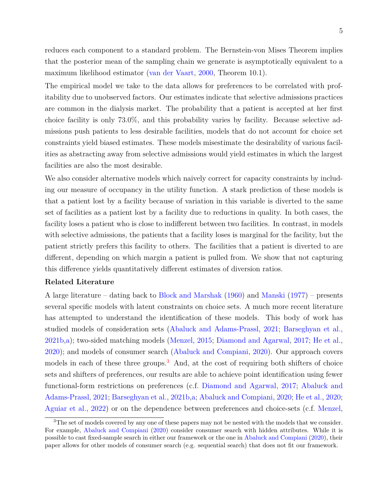reduces each component to a standard problem. The Bernstein-von Mises Theorem implies that the posterior mean of the sampling chain we generate is asymptotically equivalent to a maximum likelihood estimator [\(van der Vaart,](#page-53-4) [2000,](#page-53-4) Theorem 10.1).

The empirical model we take to the data allows for preferences to be correlated with profitability due to unobserved factors. Our estimates indicate that selective admissions practices are common in the dialysis market. The probability that a patient is accepted at her first choice facility is only 73.0%, and this probability varies by facility. Because selective admissions push patients to less desirable facilities, models that do not account for choice set constraints yield biased estimates. These models misestimate the desirability of various facilities as abstracting away from selective admissions would yield estimates in which the largest facilities are also the most desirable.

We also consider alternative models which naively correct for capacity constraints by including our measure of occupancy in the utility function. A stark prediction of these models is that a patient lost by a facility because of variation in this variable is diverted to the same set of facilities as a patient lost by a facility due to reductions in quality. In both cases, the facility loses a patient who is close to indifferent between two facilities. In contrast, in models with selective admissions, the patients that a facility loses is marginal for the facility, but the patient strictly prefers this facility to others. The facilities that a patient is diverted to are different, depending on which margin a patient is pulled from. We show that not capturing this difference yields quantitatively different estimates of diversion ratios.

## **Related Literature**

A large literature – dating back to [Block and Marshak](#page-49-3) [\(1960\)](#page-49-3) and [Manski](#page-52-1) [\(1977\)](#page-52-1) – presents several specific models with latent constraints on choice sets. A much more recent literature has attempted to understand the identification of these models. This body of work has studied models of consideration sets [\(Abaluck and Adams-Prassl,](#page-48-2) [2021;](#page-48-2) [Barseghyan et al.,](#page-49-2) [2021b,](#page-49-2)[a\)](#page-49-1); two-sided matching models [\(Menzel,](#page-52-5) [2015;](#page-52-5) [Diamond and Agarwal,](#page-50-1) [2017;](#page-50-1) [He et al.,](#page-51-4) [2020\)](#page-51-4); and models of consumer search [\(Abaluck and Compiani,](#page-48-3) [2020\)](#page-48-3). Our approach covers models in each of these three groups.<sup>[3](#page-6-0)</sup> And, at the cost of requiring both shifters of choice sets and shifters of preferences, our results are able to achieve point identification using fewer functional-form restrictions on preferences (c.f. [Diamond and Agarwal,](#page-50-1) [2017;](#page-50-1) [Abaluck and](#page-48-2) [Adams-Prassl,](#page-48-2) [2021;](#page-48-2) [Barseghyan et al.,](#page-49-2) [2021b,](#page-49-2)[a;](#page-49-1) [Abaluck and Compiani,](#page-48-3) [2020;](#page-48-3) [He et al.,](#page-51-4) [2020;](#page-51-4) [Aguiar et al.,](#page-48-4) [2022\)](#page-48-4) or on the dependence between preferences and choice-sets (c.f. [Menzel,](#page-52-5)

<span id="page-6-0"></span><sup>&</sup>lt;sup>3</sup>The set of models covered by any one of these papers may not be nested with the models that we consider. For example, [Abaluck and Compiani](#page-48-3) [\(2020\)](#page-48-3) consider consumer search with hidden attributes. While it is possible to cast fixed-sample search in either our framework or the one in [Abaluck and Compiani](#page-48-3) [\(2020\)](#page-48-3), their paper allows for other models of consumer search (e.g. sequential search) that does not fit our framework.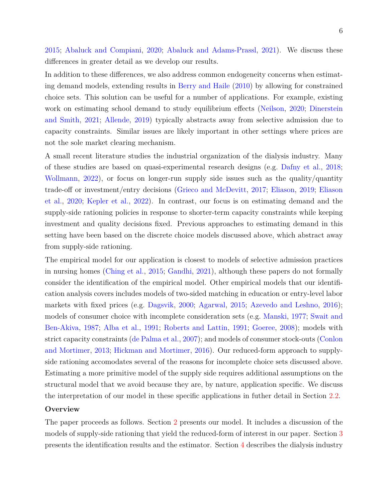[2015;](#page-52-5) [Abaluck and Compiani,](#page-48-3) [2020;](#page-48-3) [Abaluck and Adams-Prassl,](#page-48-2) [2021\)](#page-48-2). We discuss these differences in greater detail as we develop our results.

In addition to these differences, we also address common endogeneity concerns when estimating demand models, extending results in [Berry and Haile](#page-49-6) [\(2010\)](#page-49-6) by allowing for constrained choice sets. This solution can be useful for a number of applications. For example, existing work on estimating school demand to study equilibrium effects [\(Neilson,](#page-53-5) [2020;](#page-53-5) [Dinerstein](#page-50-2) [and Smith,](#page-50-2) [2021;](#page-50-2) [Allende,](#page-49-7) [2019\)](#page-49-7) typically abstracts away from selective admission due to capacity constraints. Similar issues are likely important in other settings where prices are not the sole market clearing mechanism.

A small recent literature studies the industrial organization of the dialysis industry. Many of these studies are based on quasi-experimental research designs (e.g. [Dafny et al.,](#page-50-3) [2018;](#page-50-3) [Wollmann,](#page-53-6) [2022\)](#page-53-6), or focus on longer-run supply side issues such as the quality/quantity trade-off or investment/entry decisions [\(Grieco and McDevitt,](#page-51-5) [2017;](#page-51-5) [Eliason,](#page-51-6) [2019;](#page-51-6) [Eliason](#page-51-7) [et al.,](#page-51-7) [2020;](#page-51-7) [Kepler et al.,](#page-52-6) [2022\)](#page-52-6). In contrast, our focus is on estimating demand and the supply-side rationing policies in response to shorter-term capacity constraints while keeping investment and quality decisions fixed. Previous approaches to estimating demand in this setting have been based on the discrete choice models discussed above, which abstract away from supply-side rationing.

The empirical model for our application is closest to models of selective admission practices in nursing homes [\(Ching et al.,](#page-50-4) [2015;](#page-50-4) [Gandhi,](#page-51-3) [2021\)](#page-51-3), although these papers do not formally consider the identification of the empirical model. Other empirical models that our identification analysis covers includes models of two-sided matching in education or entry-level labor markets with fixed prices (e.g. [Dagsvik,](#page-50-5) [2000;](#page-50-5) [Agarwal,](#page-48-1) [2015;](#page-48-1) [Azevedo and Leshno,](#page-49-8) [2016\)](#page-49-8); models of consumer choice with incomplete consideration sets (e.g. [Manski,](#page-52-1) [1977;](#page-52-1) [Swait and](#page-53-1) [Ben-Akiva,](#page-53-1) [1987;](#page-53-1) [Alba et al.,](#page-49-0) [1991;](#page-49-0) [Roberts and Lattin,](#page-53-2) [1991;](#page-53-2) [Goeree,](#page-51-2) [2008\)](#page-51-2); models with strict capacity constraints [\(de Palma et al.,](#page-50-6) [2007\)](#page-50-6); and models of consumer stock-outs [\(Conlon](#page-50-7) [and Mortimer,](#page-50-7) [2013;](#page-50-7) [Hickman and Mortimer,](#page-51-8) [2016\)](#page-51-8). Our reduced-form approach to supplyside rationing accomodates several of the reasons for incomplete choice sets discussed above. Estimating a more primitive model of the supply side requires additional assumptions on the structural model that we avoid because they are, by nature, application specific. We discuss the interpretation of our model in these specific applications in futher detail in Section [2.2.](#page-11-0)

## **Overview**

The paper proceeds as follows. Section [2](#page-8-0) presents our model. It includes a discussion of the models of supply-side rationing that yield the reduced-form of interest in our paper. Section [3](#page-14-0) presents the identification results and the estimator. Section [4](#page-27-0) describes the dialysis industry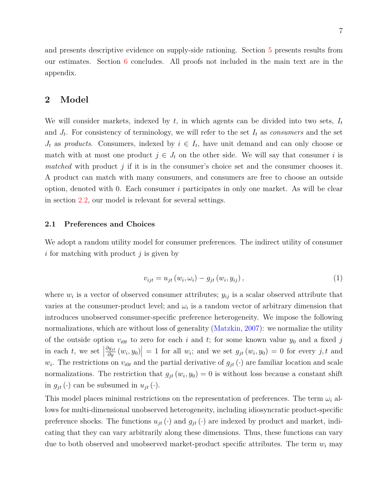and presents descriptive evidence on supply-side rationing. Section [5](#page-38-0) presents results from our estimates. Section [6](#page-47-0) concludes. All proofs not included in the main text are in the appendix.

# <span id="page-8-0"></span>**2 Model**

We will consider markets, indexed by *t*, in which agents can be divided into two sets, *I<sup>t</sup>* and  $J_t$ . For consistency of terminology, we will refer to the set  $I_t$  as *consumers* and the set  $J_t$  as *products*. Consumers, indexed by  $i \in I_t$ , have unit demand and can only choose or match with at most one product  $j \in J_t$  on the other side. We will say that consumer *i* is *matched* with product *j* if it is in the consumer's choice set and the consumer chooses it. A product can match with many consumers, and consumers are free to choose an outside option, denoted with 0. Each consumer *i* participates in only one market. As will be clear in section [2.2,](#page-11-0) our model is relevant for several settings.

### **2.1 Preferences and Choices**

We adopt a random utility model for consumer preferences. The indirect utility of consumer *i* for matching with product *j* is given by

<span id="page-8-1"></span>
$$
v_{ijt} = u_{jt}(w_i, \omega_i) - g_{jt}(w_i, y_{ij}), \qquad (1)
$$

where  $w_i$  is a vector of observed consumer attributes;  $y_{ij}$  is a scalar observed attribute that varies at the consumer-product level; and  $\omega_i$  is a random vector of arbitrary dimension that introduces unobserved consumer-specific preference heterogeneity. We impose the following normalizations, which are without loss of generality [\(Matzkin,](#page-52-7) [2007\)](#page-52-7): we normalize the utility of the outside option  $v_{i0t}$  to zero for each *i* and *t*; for some known value  $y_0$  and a fixed *j* in each  $t$ , we set  $\vert$  $\left|\frac{\partial g_{jt}}{\partial y}(w_i, y_0)\right| = 1$  for all *w<sub>i</sub>*; and we set  $g_{jt}(w_i, y_0) = 0$  for every *j*, *t* and  $w_i$ . The restrictions on  $v_{i0t}$  and the partial derivative of  $g_{jt}(\cdot)$  are familiar location and scale normalizations. The restriction that  $g_{jt}(w_i, y_0) = 0$  is without loss because a constant shift in  $g_{jt}(\cdot)$  can be subsumed in  $u_{jt}(\cdot)$ .

This model places minimal restrictions on the representation of preferences. The term  $\omega_i$  allows for multi-dimensional unobserved heterogeneity, including idiosyncratic product-specific preference shocks. The functions  $u_{jt}(\cdot)$  and  $g_{jt}(\cdot)$  are indexed by product and market, indicating that they can vary arbitrarily along these dimensions. Thus, these functions can vary due to both observed and unobserved market-product specific attributes. The term *w<sup>i</sup>* may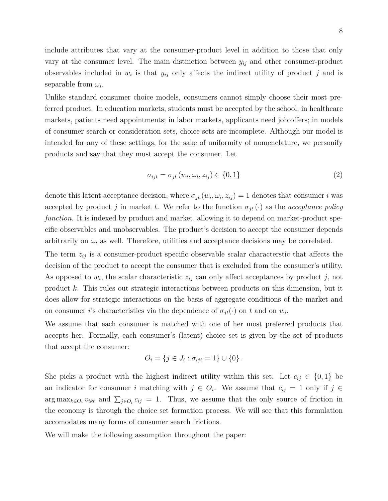include attributes that vary at the consumer-product level in addition to those that only vary at the consumer level. The main distinction between *yij* and other consumer-product observables included in  $w_i$  is that  $y_{ij}$  only affects the indirect utility of product *j* and is separable from  $\omega_i$ .

Unlike standard consumer choice models, consumers cannot simply choose their most preferred product. In education markets, students must be accepted by the school; in healthcare markets, patients need appointments; in labor markets, applicants need job offers; in models of consumer search or consideration sets, choice sets are incomplete. Although our model is intended for any of these settings, for the sake of uniformity of nomenclature, we personify products and say that they must accept the consumer. Let

$$
\sigma_{ijt} = \sigma_{jt}(w_i, \omega_i, z_{ij}) \in \{0, 1\}
$$
\n
$$
(2)
$$

denote this latent acceptance decision, where  $\sigma_{jt}(w_i, \omega_i, z_{ij}) = 1$  denotes that consumer *i* was accepted by product *j* in market *t*. We refer to the function  $\sigma_{jt}(\cdot)$  as the *acceptance policy function*. It is indexed by product and market, allowing it to depend on market-product specific observables and unobservables. The product's decision to accept the consumer depends arbitrarily on  $\omega_i$  as well. Therefore, utilities and acceptance decisions may be correlated.

The term *zij* is a consumer-product specific observable scalar characterstic that affects the decision of the product to accept the consumer that is excluded from the consumer's utility. As opposed to  $w_i$ , the scalar characteristic  $z_{ij}$  can only affect acceptances by product  $j$ , not product *k*. This rules out strategic interactions between products on this dimension, but it does allow for strategic interactions on the basis of aggregate conditions of the market and on consumer *i*'s characteristics via the dependence of  $\sigma_{jt}(\cdot)$  on *t* and on  $w_i$ .

We assume that each consumer is matched with one of her most preferred products that accepts her. Formally, each consumer's (latent) choice set is given by the set of products that accept the consumer:

$$
O_i = \{ j \in J_t : \sigma_{ijt} = 1 \} \cup \{ 0 \} .
$$

She picks a product with the highest indirect utility within this set. Let  $c_{ij} \in \{0,1\}$  be an indicator for consumer *i* matching with  $j \in O_i$ . We assume that  $c_{ij} = 1$  only if  $j \in$ arg max<sub>*k*∈*O*<sup>*i*</sup>  $v_{ikt}$  and  $\sum_{j \in O_i} c_{ij} = 1$ . Thus, we assume that the only source of friction in</sub> the economy is through the choice set formation process. We will see that this formulation accomodates many forms of consumer search frictions.

We will make the following assumption throughout the paper: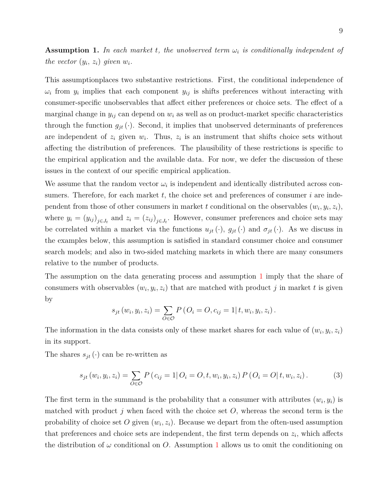<span id="page-10-0"></span>**Assumption 1.** In each market *t*, the unobserved term  $\omega_i$  is conditionally independent of *the vector*  $(y_i, z_i)$  *given*  $w_i$ *.* 

This assumptionplaces two substantive restrictions. First, the conditional independence of  $\omega_i$  from  $y_i$  implies that each component  $y_{ij}$  is shifts preferences without interacting with consumer-specific unobservables that affect either preferences or choice sets. The effect of a marginal change in  $y_{ij}$  can depend on  $w_i$  as well as on product-market specific characteristics through the function  $g_{jt}(\cdot)$ . Second, it implies that unobserved determinants of preferences are independent of  $z_i$  given  $w_i$ . Thus,  $z_i$  is an instrument that shifts choice sets without affecting the distribution of preferences. The plausibility of these restrictions is specific to the empirical application and the available data. For now, we defer the discussion of these issues in the context of our specific empirical application.

We assume that the random vector  $\omega_i$  is independent and identically distributed across consumers. Therefore, for each market *t*, the choice set and preferences of consumer *i* are independent from those of other consumers in market *t* conditional on the observables  $(w_i, y_i, z_i)$ , where  $y_i = (y_{ij})_{j \in J_t}$  and  $z_i = (z_{ij})_{j \in J_t}$ . However, consumer preferences and choice sets may be correlated within a market via the functions  $u_{jt}(\cdot)$ ,  $g_{jt}(\cdot)$  and  $\sigma_{jt}(\cdot)$ . As we discuss in the examples below, this assumption is satisfied in standard consumer choice and consumer search models; and also in two-sided matching markets in which there are many consumers relative to the number of products.

The assumption on the data generating process and assumption [1](#page-10-0) imply that the share of consumers with observables  $(w_i, y_i, z_i)$  that are matched with product *j* in market *t* is given by

$$
s_{jt}(w_i, y_i, z_i) = \sum_{O \in \mathcal{O}} P(O_i = O, c_{ij} = 1 | t, w_i, y_i, z_i).
$$

The information in the data consists only of these market shares for each value of  $(w_i, y_i, z_i)$ in its support.

The shares  $s_{it}(\cdot)$  can be re-written as

<span id="page-10-1"></span>
$$
s_{jt}(w_i, y_i, z_i) = \sum_{O \in \mathcal{O}} P(c_{ij} = 1 | O_i = O, t, w_i, y_i, z_i) P(O_i = O | t, w_i, z_i).
$$
 (3)

The first term in the summand is the probability that a consumer with attributes  $(w_i, y_i)$  is matched with product *j* when faced with the choice set *O*, whereas the second term is the probability of choice set O given  $(w_i, z_i)$ . Because we depart from the often-used assumption that preferences and choice sets are independent, the first term depends on  $z_i$ , which affects the distribution of  $\omega$  conditional on *O*. Assumption [1](#page-10-0) allows us to omit the conditioning on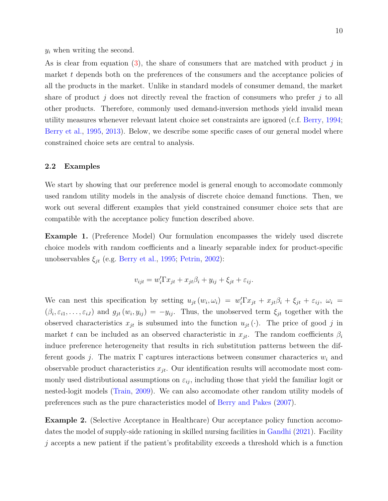*y<sup>i</sup>* when writing the second.

As is clear from equation [\(3\)](#page-10-1), the share of consumers that are matched with product *j* in market *t* depends both on the preferences of the consumers and the acceptance policies of all the products in the market. Unlike in standard models of consumer demand, the market share of product *j* does not directly reveal the fraction of consumers who prefer *j* to all other products. Therefore, commonly used demand-inversion methods yield invalid mean utility measures whenever relevant latent choice set constraints are ignored (c.f. [Berry,](#page-49-4) [1994;](#page-49-4) [Berry et al.,](#page-49-5) [1995,](#page-49-5) [2013\)](#page-49-9). Below, we describe some specific cases of our general model where constrained choice sets are central to analysis.

#### <span id="page-11-0"></span>**2.2 Examples**

We start by showing that our preference model is general enough to accomodate commonly used random utility models in the analysis of discrete choice demand functions. Then, we work out several different examples that yield constrained consumer choice sets that are compatible with the acceptance policy function described above.

**Example 1.** (Preference Model) Our formulation encompasses the widely used discrete choice models with random coefficients and a linearly separable index for product-specific unobservables  $\xi_{jt}$  (e.g. [Berry et al.,](#page-49-5) [1995;](#page-49-5) [Petrin,](#page-53-7) [2002\)](#page-53-7):

$$
v_{ijt} = w_i'\Gamma x_{jt} + x_{jt}\beta_i + y_{ij} + \xi_{jt} + \varepsilon_{ij}.
$$

We can nest this specification by setting  $u_{jt}(w_i, \omega_i) = w_i^{\prime} \Gamma x_{jt} + x_{jt} \beta_i + \xi_{jt} + \varepsilon_{ij}, \ \omega_i =$  $(\beta_i, \varepsilon_{i1}, \ldots, \varepsilon_{iJ})$  and  $g_{jt}(w_i, y_{ij}) = -y_{ij}$ . Thus, the unobserved term  $\xi_{jt}$  together with the observed characteristics  $x_{jt}$  is subsumed into the function  $u_{jt}(\cdot)$ . The price of good *j* in market *t* can be included as an observed characteristic in  $x_{it}$ . The random coefficients  $\beta_i$ induce preference heterogeneity that results in rich substitution patterns between the different goods *j*. The matrix Γ captures interactions between consumer characterics *w<sup>i</sup>* and observable product characteristics  $x_{jt}$ . Our identification results will accomodate most commonly used distributional assumptions on  $\varepsilon_{ij}$ , including those that yield the familiar logit or nested-logit models [\(Train,](#page-53-8) [2009\)](#page-53-8). We can also accomodate other random utility models of preferences such as the pure characteristics model of [Berry and Pakes](#page-49-10) [\(2007\)](#page-49-10).

**Example 2.** (Selective Acceptance in Healthcare) Our acceptance policy function accomodates the model of supply-side rationing in skilled nursing facilities in [Gandhi](#page-51-3) [\(2021\)](#page-51-3). Facility *j* accepts a new patient if the patient's profitability exceeds a threshold which is a function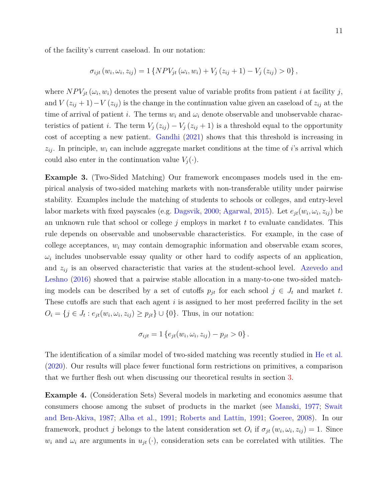of the facility's current caseload. In our notation:

$$
\sigma_{ijt} (w_i, \omega_i, z_{ij}) = 1 \{ NPV_{jt} (\omega_i, w_i) + V_j (z_{ij} + 1) - V_j (z_{ij}) > 0 \},
$$

where  $NPV_{jt}(\omega_i, w_i)$  denotes the present value of variable profits from patient *i* at facility *j*, and  $V(z_{ij} + 1) - V(z_{ij})$  is the change in the continuation value given an caseload of  $z_{ij}$  at the time of arrival of patient *i*. The terms  $w_i$  and  $\omega_i$  denote observable and unobservable characteristics of patient *i*. The term  $V_i(z_{ij}) - V_i(z_{ij} + 1)$  is a threshold equal to the opportunity cost of accepting a new patient. [Gandhi](#page-51-3) [\(2021\)](#page-51-3) shows that this threshold is increasing in  $z_{ij}$ . In principle,  $w_i$  can include aggregate market conditions at the time of *i*'s arrival which could also enter in the continuation value  $V_i(\cdot)$ .

**Example 3.** (Two-Sided Matching) Our framework encompases models used in the empirical analysis of two-sided matching markets with non-transferable utility under pairwise stability. Examples include the matching of students to schools or colleges, and entry-level labor markets with fixed payscales (e.g. [Dagsvik,](#page-50-5) [2000;](#page-50-5) [Agarwal,](#page-48-1) [2015\)](#page-48-1). Let  $e_{jt}(w_i, \omega_i, z_{ij})$  be an unknown rule that school or college *j* employs in market *t* to evaluate candidates. This rule depends on observable and unobservable characteristics. For example, in the case of college acceptances, *w<sup>i</sup>* may contain demographic information and observable exam scores,  $\omega_i$  includes unobservable essay quality or other hard to codify aspects of an application, and  $z_{ij}$  is an observed characteristic that varies at the student-school level. [Azevedo and](#page-49-8) [Leshno](#page-49-8) [\(2016\)](#page-49-8) showed that a pairwise stable allocation in a many-to-one two-sided matching models can be described by a set of cutoffs  $p_{jt}$  for each school  $j \in J_t$  and market  $t$ . These cutoffs are such that each agent *i* is assigned to her most preferred facility in the set  $O_i = \{j \in J_t : e_{jt}(w_i, \omega_i, z_{ij}) \ge p_{jt}\} \cup \{0\}.$  Thus, in our notation:

$$
\sigma_{ijt} = 1 \left\{ e_{jt}(w_i, \omega_i, z_{ij}) - p_{jt} > 0 \right\}.
$$

The identification of a similar model of two-sided matching was recently studied in [He et al.](#page-51-4) [\(2020\)](#page-51-4). Our results will place fewer functional form restrictions on primitives, a comparison that we further flesh out when discussing our theoretical results in section [3.](#page-14-0)

**Example 4.** (Consideration Sets) Several models in marketing and economics assume that consumers choose among the subset of products in the market (see [Manski,](#page-52-1) [1977;](#page-52-1) [Swait](#page-53-1) [and Ben-Akiva,](#page-53-1) [1987;](#page-53-1) [Alba et al.,](#page-49-0) [1991;](#page-49-0) [Roberts and Lattin,](#page-53-2) [1991;](#page-53-2) [Goeree,](#page-51-2) [2008\)](#page-51-2). In our framework, product *j* belongs to the latent consideration set  $O_i$  if  $\sigma_{jt}(w_i, \omega_i, z_{ij}) = 1$ . Since  $w_i$  and  $\omega_i$  are arguments in  $u_{jt}(\cdot)$ , consideration sets can be correlated with utilities. The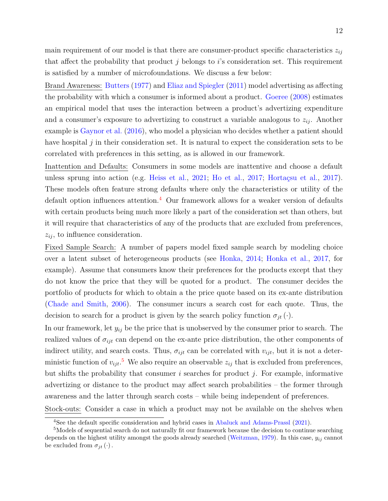main requirement of our model is that there are consumer-product specific characteristics  $z_{ij}$ that affect the probability that product *j* belongs to *i*'s consideration set. This requirement is satisfied by a number of microfoundations. We discuss a few below:

Brand Awareness: [Butters](#page-50-8) [\(1977\)](#page-50-8) and [Eliaz and Spiegler](#page-51-9) [\(2011\)](#page-51-9) model advertising as affecting the probability with which a consumer is informed about a product. [Goeree](#page-51-2) [\(2008\)](#page-51-2) estimates an empirical model that uses the interaction between a product's advertizing expenditure and a consumer's exposure to advertizing to construct a variable analogous to  $z_{ij}$ . Another example is [Gaynor et al.](#page-51-10) [\(2016\)](#page-51-10), who model a physician who decides whether a patient should have hospital *j* in their consideration set. It is natural to expect the consideration sets to be correlated with preferences in this setting, as is allowed in our framework.

Inattention and Defaults: Consumers in some models are inattentive and choose a default unless sprung into action (e.g. [Heiss et al.,](#page-51-1) [2021;](#page-51-1) [Ho et al.,](#page-51-11) [2017;](#page-51-11) [Hortaçsu et al.,](#page-52-0) [2017\)](#page-52-0). These models often feature strong defaults where only the characteristics or utility of the default option influences attention.<sup>[4](#page-13-0)</sup> Our framework allows for a weaker version of defaults with certain products being much more likely a part of the consideration set than others, but it will require that characteristics of any of the products that are excluded from preferences, *zij* , to influence consideration.

Fixed Sample Search: A number of papers model fixed sample search by modeling choice over a latent subset of heterogeneous products (see [Honka,](#page-51-12) [2014;](#page-51-12) [Honka et al.,](#page-52-8) [2017,](#page-52-8) for example). Assume that consumers know their preferences for the products except that they do not know the price that they will be quoted for a product. The consumer decides the portfolio of products for which to obtain a the price quote based on its ex-ante distribution [\(Chade and Smith,](#page-50-9) [2006\)](#page-50-9). The consumer incurs a search cost for each quote. Thus, the decision to search for a product is given by the search policy function  $\sigma_{jt}(\cdot)$ .

In our framework, let *yij* be the price that is unobserved by the consumer prior to search. The realized values of  $\sigma_{ijt}$  can depend on the ex-ante price distribution, the other components of indirect utility, and search costs. Thus,  $\sigma_{ijt}$  can be correlated with  $v_{ijt}$ , but it is not a deterministic function of  $v_{ijt}$ <sup>[5](#page-13-1)</sup>. We also require an observable  $z_{ij}$  that is excluded from preferences, but shifts the probability that consumer *i* searches for product *j*. For example, informative advertizing or distance to the product may affect search probabilities – the former through awareness and the latter through search costs – while being independent of preferences.

Stock-outs: Consider a case in which a product may not be available on the shelves when

<span id="page-13-1"></span><span id="page-13-0"></span><sup>4</sup>See the default specific consideration and hybrid cases in [Abaluck and Adams-Prassl](#page-48-2) [\(2021\)](#page-48-2).

<sup>&</sup>lt;sup>5</sup>Models of sequential search do not naturally fit our framework because the decision to continue searching depends on the highest utility amongst the goods already searched [\(Weitzman,](#page-53-9) [1979\)](#page-53-9). In this case, *yij* cannot be excluded from  $\sigma_{jt}(\cdot)$ .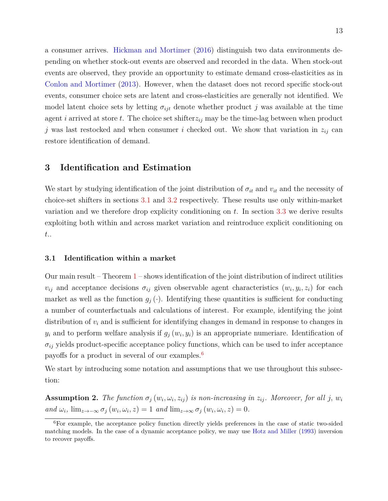a consumer arrives. [Hickman and Mortimer](#page-51-8) [\(2016\)](#page-51-8) distinguish two data environments depending on whether stock-out events are observed and recorded in the data. When stock-out events are observed, they provide an opportunity to estimate demand cross-elasticities as in [Conlon and Mortimer](#page-50-7) [\(2013\)](#page-50-7). However, when the dataset does not record specific stock-out events, consumer choice sets are latent and cross-elasticities are generally not identified. We model latent choice sets by letting  $\sigma_{ijt}$  denote whether product *j* was available at the time agent *i* arrived at store *t*. The choice set shifter  $z_{ij}$  may be the time-lag between when product *j* was last restocked and when consumer *i* checked out. We show that variation in  $z_{ij}$  can restore identification of demand.

# <span id="page-14-0"></span>**3 Identification and Estimation**

We start by studying identification of the joint distribution of  $\sigma_{it}$  and  $v_{it}$  and the necessity of choice-set shifters in sections [3.1](#page-14-1) and [3.2](#page-23-0) respectively. These results use only within-market variation and we therefore drop explicity conditioning on *t*. In section [3.3](#page-24-0) we derive results exploiting both within and across market variation and reintroduce explicit conditioning on *t*..

## <span id="page-14-1"></span>**3.1 Identification within a market**

Our main result – Theorem  $1$  – shows identification of the joint distribution of indirect utilities  $v_{ij}$  and acceptance decisions  $\sigma_{ij}$  given observable agent characteristics  $(w_i, y_i, z_i)$  for each market as well as the function  $g_i(\cdot)$ . Identifying these quantities is sufficient for conducting a number of counterfactuals and calculations of interest. For example, identifying the joint distribution of *v<sup>i</sup>* and is sufficient for identifying changes in demand in response to changes in  $y_i$  and to perform welfare analysis if  $g_j(w_i, y_i)$  is an appropriate numeriare. Identification of  $\sigma_{ij}$  yields product-specific acceptance policy functions, which can be used to infer acceptance payoffs for a product in several of our examples.[6](#page-14-2)

We start by introducing some notation and assumptions that we use throughout this subsection:

<span id="page-14-3"></span>**Assumption 2.** The function  $\sigma_j(w_i, \omega_i, z_{ij})$  is non-increasing in  $z_{ij}$ . Moreover, for all j,  $w_i$  $and \omega_i$ ,  $\lim_{z\to-\infty} \sigma_j(w_i,\omega_i,z) = 1 \text{ and } \lim_{z\to\infty} \sigma_j(w_i,\omega_i,z) = 0.$ 

<span id="page-14-2"></span><sup>6</sup>For example, the acceptance policy function directly yields preferences in the case of static two-sided matching models. In the case of a dynamic acceptance policy, we may use [Hotz and Miller](#page-52-9) [\(1993\)](#page-52-9) inversion to recover payoffs.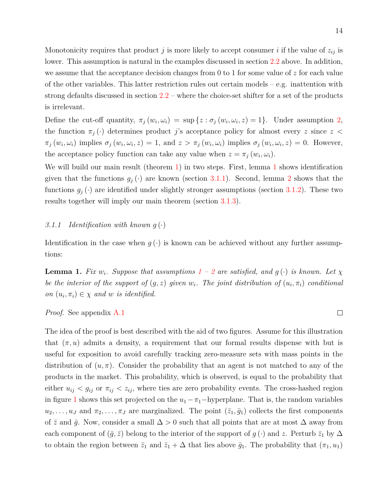Monotonicity requires that product  $j$  is more likely to accept consumer  $i$  if the value of  $z_{ij}$  is lower. This assumption is natural in the examples discussed in section [2.2](#page-11-0) above. In addition, we assume that the acceptance decision changes from 0 to 1 for some value of *z* for each value of the other variables. This latter restriction rules out certain models – e.g. inattention with strong defaults discussed in section  $2.2$  – where the choice-set shifter for a set of the products is irrelevant.

Define the cut-off quantity,  $\pi_j(w_i, \omega_i) = \sup \{z : \sigma_j(w_i, \omega_i, z) = 1\}.$  Under assumption [2,](#page-14-3) the function  $\pi_i(\cdot)$  determines product *j*'s acceptance policy for almost every *z* since  $z <$  $\pi_j(w_i,\omega_i)$  implies  $\sigma_j(w_i,\omega_i,z) = 1$ , and  $z > \pi_j(w_i,\omega_i)$  implies  $\sigma_j(w_i,\omega_i,z) = 0$ . However, the acceptance policy function can take any value when  $z = \pi_j(w_i, \omega_i)$ .

We will build our main result (theorem [1\)](#page-22-0) in two steps. First, lemma [1](#page-15-0) shows identification given that the functions  $g_j(\cdot)$  are known (section [3.1.1\)](#page-15-1). Second, lemma [2](#page-20-0) shows that the functions  $g_j(\cdot)$  are identified under slightly stronger assumptions (section [3.1.2\)](#page-18-0). These two results together will imply our main theorem (section [3.1.3\)](#page-22-1).

#### <span id="page-15-1"></span>*3.1.1 Identification with known g* (·)

Identification in the case when  $g(\cdot)$  is known can be achieved without any further assumptions:

<span id="page-15-0"></span>**Lemma [1](#page-10-0).** *Fix*  $w_i$ *. Suppose that assumptions*  $1 - 2$  $1 - 2$  *are satisfied, and*  $q(\cdot)$  *is known. Let*  $\chi$ *be the interior of the support of*  $(g, z)$  *given*  $w_i$ *. The joint distribution of*  $(u_i, \pi_i)$  *conditional on*  $(u_i, \pi_i) \in \chi$  *and w is identified.* 

*Proof.* See appendix [A.1](#page-54-0)

The idea of the proof is best described with the aid of two figures. Assume for this illustration that  $(\pi, u)$  admits a density, a requirement that our formal results dispense with but is useful for exposition to avoid carefully tracking zero-measure sets with mass points in the distribution of  $(u, \pi)$ . Consider the probability that an agent is not matched to any of the products in the market. This probability, which is observed, is equal to the probability that either  $u_{ij} < g_{ij}$  or  $\pi_{ij} < z_{ij}$ , where ties are zero probability events. The cross-hashed region in figure [1](#page-16-0) shows this set projected on the  $u_1 - \pi_1$ -hyperplane. That is, the random variables  $u_2, \ldots, u_J$  and  $\pi_2, \ldots, \pi_J$  are marginalized. The point  $(\bar{z}_1, \bar{g}_1)$  collects the first components of  $\bar{z}$  and  $\bar{g}$ . Now, consider a small  $\Delta > 0$  such that all points that are at most  $\Delta$  away from each component of  $(\bar{g}, \bar{z})$  belong to the interior of the support of  $g(\cdot)$  and  $z$ . Perturb  $\bar{z}_1$  by  $\Delta$ to obtain the region between  $\bar{z}_1$  and  $\bar{z}_1 + \Delta$  that lies above  $\bar{g}_1$ . The probability that  $(\pi_1, u_1)$ 

 $\Box$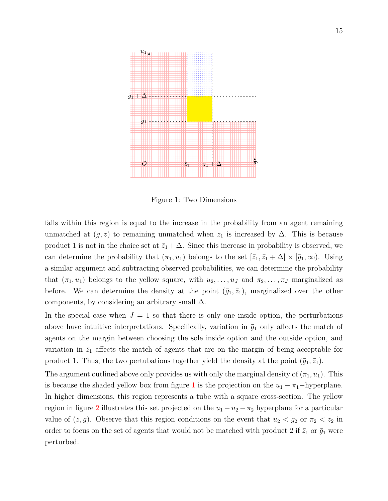<span id="page-16-0"></span>

Figure 1: Two Dimensions

falls within this region is equal to the increase in the probability from an agent remaining unmatched at  $(\bar{g}, \bar{z})$  to remaining unmatched when  $\bar{z}_1$  is increased by  $\Delta$ . This is because product 1 is not in the choice set at  $\bar{z}_1 + \Delta$ . Since this increase in probability is observed, we can determine the probability that  $(\pi_1, u_1)$  belongs to the set  $[\bar{z}_1, \bar{z}_1 + \Delta] \times [\bar{g}_1, \infty)$ . Using a similar argument and subtracting observed probabilities, we can determine the probability that  $(\pi_1, u_1)$  belongs to the yellow square, with  $u_2, \ldots, u_J$  and  $\pi_2, \ldots, \pi_J$  marginalized as before. We can determine the density at the point  $(\bar{g}_1, \bar{z}_1)$ , marginalized over the other components, by considering an arbitrary small  $\Delta$ .

In the special case when  $J = 1$  so that there is only one inside option, the perturbations above have intuitive interpretations. Specifically, variation in  $\bar{g}_1$  only affects the match of agents on the margin between choosing the sole inside option and the outside option, and variation in  $\bar{z}_1$  affects the match of agents that are on the margin of being acceptable for product 1. Thus, the two pertubations together yield the density at the point  $(\bar{g}_1, \bar{z}_1)$ .

The argument outlined above only provides us with only the marginal density of  $(\pi_1, u_1)$ . This is because the shaded yellow box from figure [1](#page-16-0) is the projection on the  $u_1 - \pi_1$ -hyperplane. In higher dimensions, this region represents a tube with a square cross-section. The yellow region in figure [2](#page-17-0) illustrates this set projected on the  $u_1 - u_2 - \pi_2$  hyperplane for a particular value of  $(\bar{z}, \bar{g})$ . Observe that this region conditions on the event that  $u_2 < \bar{g}_2$  or  $\pi_2 < \bar{z}_2$  in order to focus on the set of agents that would not be matched with product 2 if  $\bar{z}_1$  or  $\bar{g}_1$  were perturbed.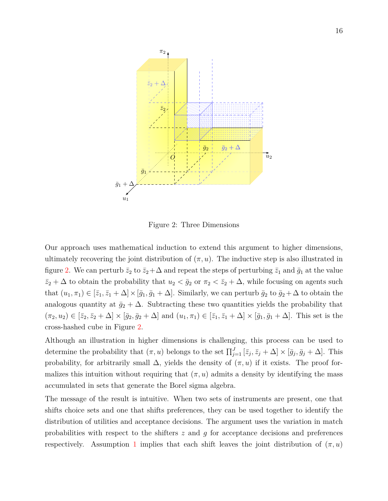<span id="page-17-0"></span>

Figure 2: Three Dimensions

Our approach uses mathematical induction to extend this argument to higher dimensions, ultimately recovering the joint distribution of  $(\pi, u)$ . The inductive step is also illustrated in figure [2.](#page-17-0) We can perturb  $\bar{z}_2$  to  $\bar{z}_2 + \Delta$  and repeat the steps of perturbing  $\bar{z}_1$  and  $\bar{g}_1$  at the value  $\bar{z}_2 + \Delta$  to obtain the probability that  $u_2 < \bar{g}_2$  or  $\pi_2 < \bar{z}_2 + \Delta$ , while focusing on agents such that  $(u_1, \pi_1) \in [\bar{z}_1, \bar{z}_1 + \Delta] \times [\bar{g}_1, \bar{g}_1 + \Delta]$ . Similarly, we can perturb  $\bar{g}_2$  to  $\bar{g}_2 + \Delta$  to obtain the analogous quantity at  $\bar{g}_2 + \Delta$ . Subtracting these two quantities yields the probability that  $(\pi_2, u_2) \in [\bar{z}_2, \bar{z}_2 + \Delta] \times [\bar{g}_2, \bar{g}_2 + \Delta]$  and  $(u_1, \pi_1) \in [\bar{z}_1, \bar{z}_1 + \Delta] \times [\bar{g}_1, \bar{g}_1 + \Delta]$ . This set is the cross-hashed cube in Figure [2.](#page-17-0)

Although an illustration in higher dimensions is challenging, this process can be used to determine the probability that  $(\pi, u)$  belongs to the set  $\prod_{j=1}^{J} [\bar{z}_j, \bar{z}_j + \Delta] \times [\bar{g}_j, \bar{g}_j + \Delta]$ . This probability, for arbitrarily small  $\Delta$ , yields the density of  $(\pi, u)$  if it exists. The proof formalizes this intuition without requiring that  $(\pi, u)$  admits a density by identifying the mass accumulated in sets that generate the Borel sigma algebra.

The message of the result is intuitive. When two sets of instruments are present, one that shifts choice sets and one that shifts preferences, they can be used together to identify the distribution of utilities and acceptance decisions. The argument uses the variation in match probabilities with respect to the shifters *z* and *g* for acceptance decisions and preferences respectively. Assumption [1](#page-10-0) implies that each shift leaves the joint distribution of  $(\pi, u)$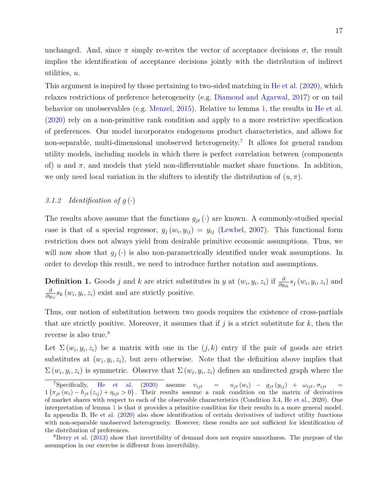unchanged. And, since  $\pi$  simply re-writes the vector of acceptance decisions  $\sigma$ , the result implies the identification of acceptance decisions jointly with the distribution of indirect utilities, *u*.

This argument is inspired by those pertaining to two-sided matching in [He et al.](#page-51-4) [\(2020\)](#page-51-4), which relaxes restrictions of preference heterogeneity (e.g. [Diamond and Agarwal,](#page-50-1) [2017\)](#page-50-1) or on tail behavior on unobservables (e.g. [Menzel,](#page-52-5) [2015\)](#page-52-5). Relative to lemma [1,](#page-15-0) the results in [He et al.](#page-51-4) [\(2020\)](#page-51-4) rely on a non-primitive rank condition and apply to a more restrictive specification of preferences. Our model incorporates endogenous product characteristics, and allows for non-separable, multi-dimensional unobserved heterogeneity.<sup>[7](#page-18-1)</sup> It allows for general random utility models, including models in which there is perfect correlation between (components of) *u* and  $\pi$ , and models that yield non-differentiable market share functions. In addition, we only need local variation in the shifters to identify the distribution of  $(u, \pi)$ .

## <span id="page-18-0"></span>3.1.2 Identification of  $g(\cdot)$

The results above assume that the functions  $g_{it}(\cdot)$  are known. A commonly-studied special case is that of a special regressor,  $g_j(w_i, y_{ij}) = y_{ij}$  [\(Lewbel,](#page-52-10) [2007\)](#page-52-10). This functional form restriction does not always yield from desirable primitive economic assumptions. Thus, we will now show that  $g_i(\cdot)$  is also non-parametrically identified under weak assumptions. In order to develop this result, we need to introduce further notation and assumptions.

**Definition 1.** Goods j and k are strict substitutes in y at  $(w_i, y_i, z_i)$  if  $\frac{\partial}{\partial y_{ik}} s_j(w_i, y_i, z_i)$  and *∂*  $\frac{\partial}{\partial y_{ij}} s_k (w_i, y_i, z_i)$  exist and are strictly positive.

Thus, our notion of substitution between two goods requires the existence of cross-partials that are strictly positive. Moreover, it assumes that if  $j$  is a strict substitute for  $k$ , then the reverse is also true.<sup>[8](#page-18-2)</sup>

Let  $\Sigma(w_i, y_i, z_i)$  be a matrix with one in the  $(j, k)$  entry if the pair of goods are strict substitutes at  $(w_i, y_i, z_i)$ , but zero otherwise. Note that the definition above implies that  $\Sigma(w_i, y_i, z_i)$  is symmetric. Observe that  $\Sigma(w_i, y_i, z_i)$  defines an undirected graph where the

<span id="page-18-1"></span> $^7$ Specifically, [He et al.](#page-51-4) [\(2020\)](#page-51-4) assume  $v_{ijt}$  =  $u_{jt}(w_i) - g_{jt}(y_{ij}) + \omega_{ijt}, \sigma_{ijt}$  =  $1\{\pi_{jt}(w_i) - h_{jt}(z_{ij}) + \eta_{ijt} > 0\}$ . Their results assume a rank condition on the matrix of derivatives of market shares with respect to each of the observable characteristics (Condition 3.4, [He et al.,](#page-51-4) [2020\)](#page-51-4). One interpretation of lemma [1](#page-15-0) is that it provides a primitive condition for their results in a more general model. In appendix B, [He et al.](#page-51-4) [\(2020\)](#page-51-4) also show identification of certain derivatives of indirect utility functions with non-separable unobserved heterogeneity. However, these results are not sufficient for identification of the distribution of preferences.

<span id="page-18-2"></span><sup>&</sup>lt;sup>8</sup>[Berry et al.](#page-49-9) [\(2013\)](#page-49-9) show that invertibility of demand does not require smoothness. The purpose of the assumption in our exercise is different from invertibility.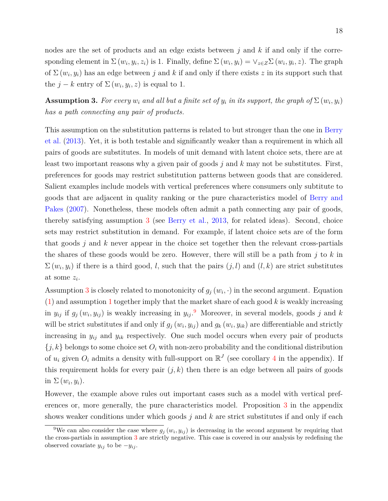nodes are the set of products and an edge exists between *j* and *k* if and only if the corresponding element in  $\Sigma(w_i, y_i, z_i)$  is 1. Finally, define  $\Sigma(w_i, y_i) = \vee_{z \in Z} \Sigma(w_i, y_i, z)$ . The graph of  $\Sigma(w_i, y_i)$  has an edge between *j* and *k* if and only if there exists *z* in its support such that the  $j - k$  entry of  $\Sigma(w_i, y_i, z)$  is equal to 1.

<span id="page-19-0"></span>**Assumption 3.** For every  $w_i$  and all but a finite set of  $y_i$  in its support, the graph of  $\Sigma(w_i, y_i)$ *has a path connecting any pair of products.*

This assumption on the substitution patterns is related to but stronger than the one in [Berry](#page-49-9) [et al.](#page-49-9) [\(2013\)](#page-49-9). Yet, it is both testable and significantly weaker than a requirement in which all pairs of goods are substitutes. In models of unit demand with latent choice sets, there are at least two important reasons why a given pair of goods *j* and *k* may not be substitutes. First, preferences for goods may restrict substitution patterns between goods that are considered. Salient examples include models with vertical preferences where consumers only subtitute to goods that are adjacent in quality ranking or the pure characteristics model of [Berry and](#page-49-10) [Pakes](#page-49-10) [\(2007\)](#page-49-10). Nonetheless, these models often admit a path connecting any pair of goods, thereby satisfying assumption [3](#page-19-0) (see [Berry et al.,](#page-49-9) [2013,](#page-49-9) for related ideas). Second, choice sets may restrict substitution in demand. For example, if latent choice sets are of the form that goods *j* and *k* never appear in the choice set together then the relevant cross-partials the shares of these goods would be zero. However, there will still be a path from *j* to *k* in  $\Sigma(w_i, y_i)$  if there is a third good, *l*, such that the pairs  $(j, l)$  and  $(l, k)$  are strict substitutes at some *z<sup>i</sup>* .

Assumption [3](#page-19-0) is closely related to monotonicity of  $g_j(w_i, \cdot)$  in the second argument. Equation [\(1\)](#page-8-1) and assumption [1](#page-10-0) together imply that the market share of each good *k* is weakly increasing in  $y_{ij}$  if  $g_j(w_i, y_{ij})$  is weakly increasing in  $y_{ij}$ . Moreover, in several models, goods *j* and *k* will be strict substitutes if and only if  $g_j(w_i, y_{ij})$  and  $g_k(w_i, y_{ik})$  are differentiable and strictly increasing in  $y_{ij}$  and  $y_{ik}$  respectively. One such model occurs when every pair of products  $\{j, k\}$  belongs to some choice set  $O_i$  with non-zero probability and the conditional distribution of  $u_i$  given  $O_i$  admits a density with full-support on  $\mathbb{R}^J$  (see corollary [4](#page-58-0) in the appendix). If this requirement holds for every pair  $(j, k)$  then there is an edge between all pairs of goods in  $\Sigma(w_i, y_i)$ .

However, the example above rules out important cases such as a model with vertical preferences or, more generally, the pure characteristics model. Proposition [3](#page-57-0) in the appendix shows weaker conditions under which goods *j* and *k* are strict substitutes if and only if each

<span id="page-19-1"></span><sup>&</sup>lt;sup>9</sup>We can also consider the case where  $g_j(w_i, y_{ij})$  is decreasing in the second argument by requiring that the cross-partials in assumption [3](#page-19-0) are strictly negative. This case is covered in our analysis by redefining the observed covariate  $y_{ij}$  to be  $-y_{ij}$ .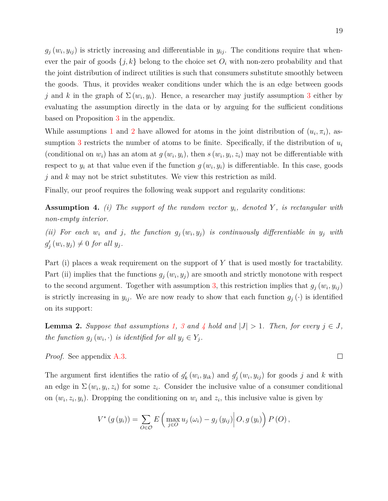$g_j(w_i, y_{ij})$  is strictly increasing and differentiable in  $y_{ij}$ . The conditions require that whenever the pair of goods  $\{j, k\}$  belong to the choice set  $O_i$  with non-zero probability and that the joint distribution of indirect utilities is such that consumers substitute smoothly between the goods. Thus, it provides weaker conditions under which the is an edge between goods *j* and *k* in the graph of  $\Sigma(w_i, y_i)$ . Hence, a researcher may justify assumption [3](#page-19-0) either by evaluating the assumption directly in the data or by arguing for the sufficient conditions based on Proposition [3](#page-57-0) in the appendix.

While assumptions [1](#page-10-0) and [2](#page-14-3) have allowed for atoms in the joint distribution of  $(u_i, \pi_i)$ , as-sumption [3](#page-19-0) restricts the number of atoms to be finite. Specifically, if the distribution of  $u_i$ (conditional on  $w_i$ ) has an atom at  $g(w_i, y_i)$ , then  $s(w_i, y_i, z_i)$  may not be differentiable with respect to  $y_i$  at that value even if the function  $g(w_i, y_i)$  is differentiable. In this case, goods *j* and *k* may not be strict substitutes. We view this restriction as mild.

Finally, our proof requires the following weak support and regularity conditions:

<span id="page-20-1"></span>**Assumption 4.** *(i) The support of the random vector yi, denoted Y , is rectangular with non-empty interior.*

*(ii)* For each  $w_i$  and  $j$ , the function  $g_j(w_i, y_j)$  is continuously differentiable in  $y_j$  with  $g'_{j}(w_{i}, y_{j}) \neq 0$  *for all*  $y_{j}$ *.* 

Part (i) places a weak requirement on the support of *Y* that is used mostly for tractability. Part (ii) implies that the functions  $g_j(w_i, y_j)$  are smooth and strictly monotone with respect to the second argument. Together with assumption [3,](#page-19-0) this restriction implies that  $g_j(w_i, y_{ij})$ is strictly increasing in  $y_{ij}$ . We are now ready to show that each function  $g_j(\cdot)$  is identified on its support:

<span id="page-20-0"></span>**Lemma 2.** *Suppose that assumptions* [1,](#page-10-0) [3](#page-19-0) and [4](#page-20-1) hold and  $|J| > 1$ . Then, for every  $j \in J$ , *the function*  $g_j(w_i, \cdot)$  *is identified for all*  $y_j \in Y_j$ *.* 

*Proof.* See appendix [A.3.](#page-58-1)

The argument first identifies the ratio of  $g'_k(w_i, y_{ik})$  and  $g'_j(w_i, y_{ij})$  for goods *j* and *k* with an edge in  $\Sigma(w_i, y_i, z_i)$  for some  $z_i$ . Consider the inclusive value of a consumer conditional on  $(w_i, z_i, y_i)$ . Dropping the conditioning on  $w_i$  and  $z_i$ , this inclusive value is given by

$$
V^*\left(g\left(y_i\right)\right) = \sum_{O \in \mathcal{O}} E\left(\max_{j \in O} u_j\left(\omega_i\right) - g_j\left(y_{ij}\right)\middle| O, g\left(y_i\right)\right) P\left(O\right),\,
$$

 $\Box$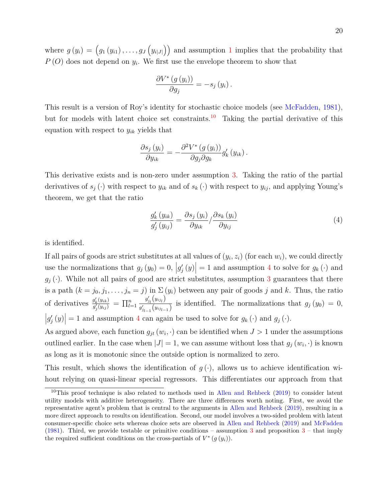where  $g(y_i) = (g_1(y_{i1}), \ldots, g_J(y_{i|J|}))$  $g(y_i) = (g_1(y_{i1}), \ldots, g_J(y_{i|J|}))$  $g(y_i) = (g_1(y_{i1}), \ldots, g_J(y_{i|J|}))$  and assumption 1 implies that the probability that *P* (*O*) does not depend on *y<sup>i</sup>* . We first use the envelope theorem to show that

$$
\frac{\partial V^*\left(g\left(y_i\right)\right)}{\partial g_j} = -s_j\left(y_i\right).
$$

This result is a version of Roy's identity for stochastic choice models (see [McFadden,](#page-52-11) [1981\)](#page-52-11), but for models with latent choice set constraints.<sup>[10](#page-21-0)</sup> Taking the partial derivative of this equation with respect to *yik* yields that

$$
\frac{\partial s_j(y_i)}{\partial y_{ik}} = -\frac{\partial^2 V^*(g(y_i))}{\partial g_j \partial g_k} g'_k(y_{ik}).
$$

This derivative exists and is non-zero under assumption [3.](#page-19-0) Taking the ratio of the partial derivatives of  $s_j(\cdot)$  with respect to  $y_{ik}$  and of  $s_k(\cdot)$  with respect to  $y_{ij}$ , and applying Young's theorem, we get that the ratio

<span id="page-21-1"></span>
$$
\frac{g_k'(y_{ik})}{g_j'(y_{ij})} = \frac{\partial s_j(y_i)}{\partial y_{ik}} / \frac{\partial s_k(y_i)}{\partial y_{ij}}
$$
\n(4)

is identified.

If all pairs of goods are strict substitutes at all values of  $(y_i, z_i)$  (for each  $w_i$ ), we could directly use the normalizations that  $g_j(y_0) = 0$ ,  $|g'_j(y)| = 1$  and assumption [4](#page-20-1) to solve for  $g_k(\cdot)$  and  $g_j(\cdot)$ . While not all pairs of good are strict substitutes, assumption [3](#page-19-0) guarantees that there is a path  $(k = j_0, j_1, \ldots, j_n = j)$  in  $\Sigma(y_i)$  between any pair of goods *j* and *k*. Thus, the ratio of derivatives  $\frac{g'_k(y_{ik})}{g'(y_{ik})}$  $\frac{g'_{k}(y_{ik})}{g'_{j}(y_{ij})} = \prod_{l=1}^{n}$  $g'_{j_l}\big(y_{ij_l}\big)$  $g_{j_l}(y_{i_l})$  is identified. The normalizations that  $g_j(y_0) = 0$ ,  $|g'_{j}(y)| = 1$  and assumption [4](#page-20-1) can again be used to solve for  $g_{k}(\cdot)$  and  $g_{j}(\cdot)$ .

As argued above, each function  $g_{jt}(w_i, \cdot)$  can be identified when  $J > 1$  under the assumptions outlined earlier. In the case when  $|J| = 1$ , we can assume without loss that  $g_j(w_i, \cdot)$  is known as long as it is monotonic since the outside option is normalized to zero.

This result, which shows the identification of  $g(\cdot)$ , allows us to achieve identification wihout relying on quasi-linear special regressors. This differentiates our approach from that

<span id="page-21-0"></span> $10$ This proof technique is also related to methods used in [Allen and Rehbeck](#page-49-11) [\(2019\)](#page-49-11) to consider latent utility models with additive heterogeneity. There are three differences worth noting. First, we avoid the representative agent's problem that is central to the arguments in [Allen and Rehbeck](#page-49-11) [\(2019\)](#page-49-11), resulting in a more direct approach to results on identification. Second, our model involves a two-sided problem with latent consumer-specific choice sets whereas choice sets are observed in [Allen and Rehbeck](#page-49-11) [\(2019\)](#page-49-11) and [McFadden](#page-52-11) [\(1981\)](#page-52-11). Third, we provide testable or primitive conditions – assumption [3](#page-57-0) and proposition  $3$  – that imply the required sufficient conditions on the cross-partials of  $V^*(g(y_i))$ .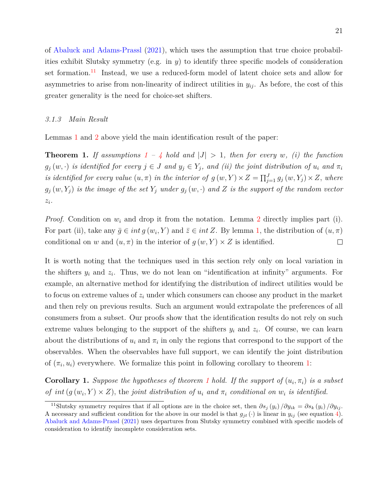of [Abaluck and Adams-Prassl](#page-48-2) [\(2021\)](#page-48-2), which uses the assumption that true choice probabilities exhibit Slutsky symmetry (e.g. in *y*) to identify three specific models of consideration set formation.<sup>[11](#page-22-2)</sup> Instead, we use a reduced-form model of latent choice sets and allow for asymmetries to arise from non-linearity of indirect utilities in  $y_{ij}$ . As before, the cost of this greater generality is the need for choice-set shifters.

#### <span id="page-22-1"></span>*3.1.3 Main Result*

Lemmas [1](#page-15-0) and [2](#page-20-0) above yield the main identification result of the paper:

<span id="page-22-0"></span>**Theorem [1](#page-10-0).** If assumptions  $1 - 4$  $1 - 4$  hold and  $|J| > 1$ , then for every w, (i) the function  $g_j(w, \cdot)$  *is identified for every*  $j \in J$  *and*  $y_j \in Y_j$ *, and (ii) the joint distribution of*  $u_i$  *and*  $\pi_i$ *is identified for every value*  $(u, \pi)$  *in the interior of*  $g(w, Y) \times Z = \prod_{j=1}^{J} g_j(w, Y_j) \times Z$ , where  $g_j(w, Y_j)$  *is the image of the set*  $Y_j$  *under*  $g_j(w, \cdot)$  *and*  $Z$  *is the support of the random vector zi.*

*Proof.* Condition on *w<sup>i</sup>* and drop it from the notation. Lemma [2](#page-20-0) directly implies part (i). For part (ii), take any  $\bar{g} \in int g(w_i, Y)$  and  $\bar{z} \in int Z$ . By lemma [1,](#page-15-0) the distribution of  $(u, \pi)$ conditional on *w* and  $(u, \pi)$  in the interior of  $g(w, Y) \times Z$  is identified.  $\Box$ 

It is worth noting that the techniques used in this section rely only on local variation in the shifters  $y_i$  and  $z_i$ . Thus, we do not lean on "identification at infinity" arguments. For example, an alternative method for identifying the distribution of indirect utilities would be to focus on extreme values of *z<sup>i</sup>* under which consumers can choose any product in the market and then rely on previous results. Such an argument would extrapolate the preferences of all consumers from a subset. Our proofs show that the identification results do not rely on such extreme values belonging to the support of the shifters  $y_i$  and  $z_i$ . Of course, we can learn about the distributions of  $u_i$  and  $\pi_i$  in only the regions that correspond to the support of the observables. When the observables have full support, we can identify the joint distribution of  $(\pi_i, u_i)$  everywhere. We formalize this point in following corollary to theorem [1:](#page-22-0)

<span id="page-22-3"></span>**Corollary [1](#page-22-0).** *Suppose the hypotheses of theorem 1 hold. If the support of*  $(u_i, \pi_i)$  *is a subset of*  $int(g(w_i, Y) \times Z)$ , the *joint distribution of*  $u_i$  *and*  $\pi_i$  *conditional on*  $w_i$  *is identified.* 

<span id="page-22-2"></span><sup>&</sup>lt;sup>11</sup>Slutsky symmetry requires that if all options are in the choice set, then  $\partial s_j(y_i)/\partial y_{ik} = \partial s_k(y_i)/\partial y_{ij}$ . A necessary and sufficient condition for the above in our model is that  $g_{jt}(\cdot)$  is linear in  $y_{ij}$  (see equation [4\)](#page-21-1). [Abaluck and Adams-Prassl](#page-48-2) [\(2021\)](#page-48-2) uses departures from Slutsky symmetry combined with specific models of consideration to identify incomplete consideration sets.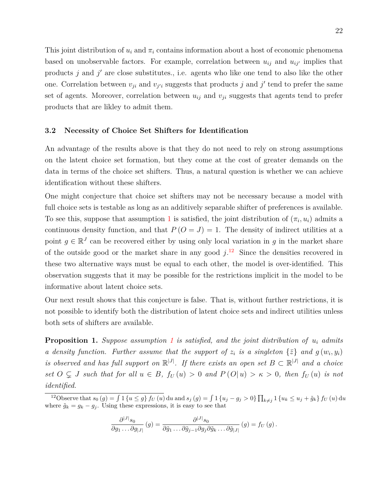This joint distribution of  $u_i$  and  $\pi_i$  contains information about a host of economic phenomena based on unobservable factors. For example, correlation between  $u_{ij}$  and  $u_{ij'}$  implies that products  $j$  and  $j'$  are close substitutes., i.e. agents who like one tend to also like the other one. Correlation between  $v_{ji}$  and  $v_{j'i}$  suggests that products *j* and *j*' tend to prefer the same set of agents. Moreover, correlation between  $u_{ij}$  and  $v_{ji}$  suggests that agents tend to prefer products that are likley to admit them.

## <span id="page-23-0"></span>**3.2 Necessity of Choice Set Shifters for Identification**

An advantage of the results above is that they do not need to rely on strong assumptions on the latent choice set formation, but they come at the cost of greater demands on the data in terms of the choice set shifters. Thus, a natural question is whether we can achieve identification without these shifters.

One might conjecture that choice set shifters may not be necessary because a model with full choice sets is testable as long as an additively separable shifter of preferences is available. To see this, suppose that assumption [1](#page-10-0) is satisfied, the joint distribution of  $(\pi_i, u_i)$  admits a continuous density function, and that  $P(O = J) = 1$ . The density of indirect utilities at a point  $g \in \mathbb{R}^J$  can be recovered either by using only local variation in *g* in the market share of the outside good or the market share in any good  $j$ <sup>[12](#page-23-1)</sup>. Since the densities recovered in these two alternative ways must be equal to each other, the model is over-identified. This observation suggests that it may be possible for the restrictions implicit in the model to be informative about latent choice sets.

Our next result shows that this conjecture is false. That is, without further restrictions, it is not possible to identify both the distribution of latent choice sets and indirect utilities unless both sets of shifters are available.

**Proposition 1.** *Suppose assumption [1](#page-10-0) is satisfied, and the joint distribution of u<sup>i</sup> admits a* density function. Further assume that the support of  $z_i$  is a singleton  $\{\bar{z}\}\$  and  $g(w_i, y_i)$ *is observed and has full support on*  $\mathbb{R}^{|J|}$ . If there exists an open set  $B \subset \mathbb{R}^{|J|}$  and a choice set  $O \subseteq J$  such that for all  $u \in B$ ,  $f_U(u) > 0$  and  $P(O|u) > \kappa > 0$ , then  $f_U(u)$  is not *identified.*

$$
\frac{\partial^{|J|} s_0}{\partial g_1 \dots \partial g_{|J|}}(g) = \frac{\partial^{|J|} s_0}{\partial \tilde{g}_1 \dots \partial \tilde{g}_{j-1} \partial g_j \partial \tilde{g}_k \dots \partial \tilde{g}_{|J|}}(g) = f_U(g).
$$

<span id="page-23-1"></span><sup>&</sup>lt;sup>12</sup>Observe that  $s_0(g) = \int 1\{u \le g\} f_U(u) du$  and  $s_j(g) = \int 1\{u_j - g_j > 0\} \prod_{k \ne j} 1\{u_k \le u_j + \tilde{g}_k\} f_U(u) du$ where  $\tilde{g}_k = g_k - g_j$ . Using these expressions, it is easy to see that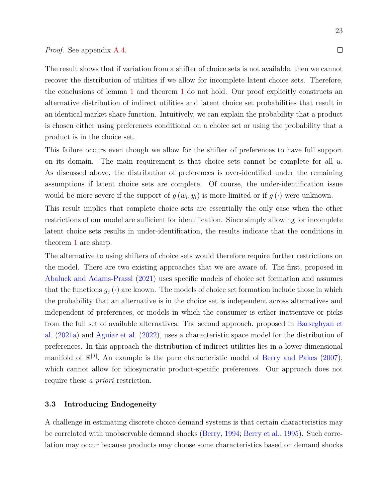#### *Proof.* See appendix [A.4.](#page-60-0)

The result shows that if variation from a shifter of choice sets is not available, then we cannot recover the distribution of utilities if we allow for incomplete latent choice sets. Therefore, the conclusions of lemma [1](#page-15-0) and theorem [1](#page-22-0) do not hold. Our proof explicitly constructs an alternative distribution of indirect utilities and latent choice set probabilities that result in an identical market share function. Intuitively, we can explain the probability that a product is chosen either using preferences conditional on a choice set or using the probability that a product is in the choice set.

This failure occurs even though we allow for the shifter of preferences to have full support on its domain. The main requirement is that choice sets cannot be complete for all *u*. As discussed above, the distribution of preferences is over-identified under the remaining assumptions if latent choice sets are complete. Of course, the under-identification issue would be more severe if the support of  $g(w_i, y_i)$  is more limited or if  $g(\cdot)$  were unknown.

This result implies that complete choice sets are essentially the only case when the other restrictions of our model are sufficient for identification. Since simply allowing for incomplete latent choice sets results in under-identification, the results indicate that the conditions in theorem [1](#page-22-0) are sharp.

The alternative to using shifters of choice sets would therefore require further restrictions on the model. There are two existing approaches that we are aware of. The first, proposed in [Abaluck and Adams-Prassl](#page-48-2) [\(2021\)](#page-48-2) uses specific models of choice set formation and assumes that the functions  $g_j(\cdot)$  are known. The models of choice set formation include those in which the probability that an alternative is in the choice set is independent across alternatives and independent of preferences, or models in which the consumer is either inattentive or picks from the full set of available alternatives. The second approach, proposed in [Barseghyan et](#page-49-1) [al.](#page-49-1) [\(2021a\)](#page-49-1) and [Aguiar et al.](#page-48-4) [\(2022\)](#page-48-4), uses a characteristic space model for the distribution of preferences. In this approach the distribution of indirect utilities lies in a lower-dimensional manifold of  $\mathbb{R}^{|J|}$ . An example is the pure characteristic model of [Berry and Pakes](#page-49-10) [\(2007\)](#page-49-10), which cannot allow for idiosyncratic product-specific preferences. Our approach does not require these *a priori* restriction.

## <span id="page-24-0"></span>**3.3 Introducing Endogeneity**

A challenge in estimating discrete choice demand systems is that certain characteristics may be correlated with unobservable demand shocks [\(Berry,](#page-49-4) [1994;](#page-49-4) [Berry et al.,](#page-49-5) [1995\)](#page-49-5). Such correlation may occur because products may choose some characteristics based on demand shocks

 $\Box$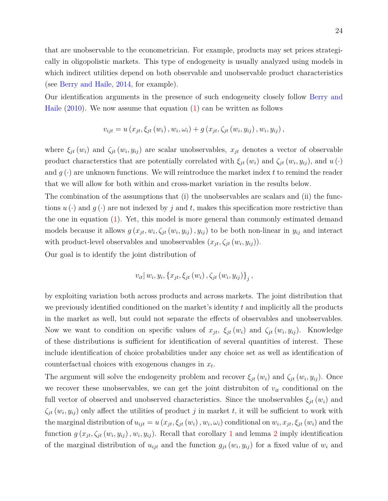that are unobservable to the econometrician. For example, products may set prices strategically in oligopolistic markets. This type of endogeneity is usually analyzed using models in which indirect utilities depend on both observable and unobservable product characteristics (see [Berry and Haile,](#page-49-12) [2014,](#page-49-12) for example).

Our identification arguments in the presence of such endogeneity closely follow [Berry and](#page-49-6) [Haile](#page-49-6)  $(2010)$ . We now assume that equation  $(1)$  can be written as follows

$$
v_{ijt} = u(x_{jt}, \xi_{jt}(w_i), w_i, \omega_i) + g(x_{jt}, \zeta_{jt}(w_i, y_{ij}), w_i, y_{ij}),
$$

where  $\xi_{jt}(w_i)$  and  $\zeta_{jt}(w_i, y_{ij})$  are scalar unobservables,  $x_{jt}$  denotes a vector of observable product characterstics that are potentially correlated with  $\xi_{jt}(w_i)$  and  $\zeta_{jt}(w_i, y_{ij})$ , and  $u(\cdot)$ and  $q(\cdot)$  are unknown functions. We will reintroduce the market index t to remind the reader that we will allow for both within and cross-market variation in the results below.

The combination of the assumptions that (i) the unobservables are scalars and (ii) the functions  $u(\cdot)$  and  $g(\cdot)$  are not indexed by *j* and *t*, makes this specification more restrictive than the one in equation  $(1)$ . Yet, this model is more general than commonly estimated demand models because it allows  $g(x_{jt}, w_i, \zeta_{jt}(w_i, y_{ij}), y_{ij})$  to be both non-linear in  $y_{ij}$  and interact with product-level observables and unobservables  $(x_{jt}, \zeta_{jt}(w_i, y_{ij}))$ .

Our goal is to identify the joint distribution of

$$
v_{it} | w_i, y_i, \{x_{jt}, \xi_{jt} (w_i), \zeta_{jt} (w_i, y_{ij})\}_j,
$$

by exploiting variation both across products and across markets. The joint distribution that we previously identified conditioned on the market's identity *t* and implicitly all the products in the market as well, but could not separate the effects of observables and unobservables. Now we want to condition on specific values of  $x_{jt}$ ,  $\xi_{jt}(w_i)$  and  $\zeta_{jt}(w_i, y_{ij})$ . Knowledge of these distributions is sufficient for identification of several quantities of interest. These include identification of choice probabilities under any choice set as well as identification of counterfactual choices with exogenous changes in *x<sup>t</sup>* .

The argument will solve the endogeneity problem and recover  $\xi_{jt}(w_i)$  and  $\zeta_{jt}(w_i, y_{ij})$ . Once we recover these unobservables, we can get the joint distrubiton of *vit* conditional on the full vector of observed and unobserved characteristics. Since the unobservables  $\xi_{it}(w_i)$  and  $\zeta_{jt}(w_i, y_{ij})$  only affect the utilities of product *j* in market *t*, it will be sufficient to work with the marginal distribution of  $u_{ijt} = u(x_{jt}, \xi_{jt}(w_i), w_i, \omega_i)$  conditional on  $w_i, x_{jt}, \xi_{jt}(w_i)$  and the function  $g(x_{jt}, \zeta_{jt}(w_i, y_{ij}), w_i, y_{ij})$ . Recall that corollary [1](#page-22-3) and lemma [2](#page-20-0) imply identification of the marginal distribution of  $u_{ijt}$  and the function  $g_{jt}(w_i, y_{ij})$  for a fixed value of  $w_i$  and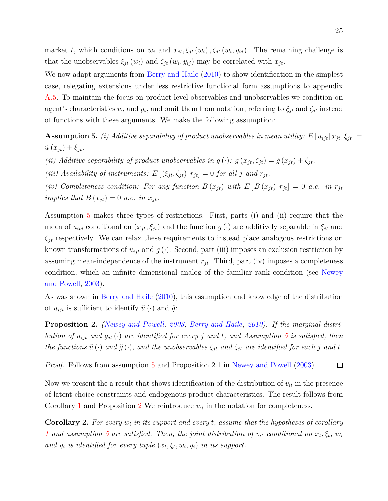market *t*, which conditions on  $w_i$  and  $x_{jt}$ ,  $\xi_{jt}(w_i)$ ,  $\zeta_{jt}(w_i, y_{ij})$ . The remaining challenge is that the unobservables  $\xi_{jt}(w_i)$  and  $\zeta_{jt}(w_i, y_{ij})$  may be correlated with  $x_{jt}$ .

We now adapt arguments from [Berry and Haile](#page-49-6) [\(2010\)](#page-49-6) to show identification in the simplest case, relegating extensions under less restrictive functional form assumptions to appendix [A.5.](#page-62-0) To maintain the focus on product-level observables and unobservables we condition on agent's characteristics  $w_i$  and  $y_i$ , and omit them from notation, referring to  $\xi_{jt}$  and  $\zeta_{jt}$  instead of functions with these arguments. We make the following assumption:

<span id="page-26-0"></span>**Assumption 5.** *(i) Additive separability of product unobservables in mean utility:*  $E[u_{ijt}|x_{jt}, \xi_{jt}] =$  $\tilde{u}(x_{jt}) + \xi_{jt}$ .

*(ii)* Additive separability of product unobservables in  $g(\cdot)$ :  $g(x_{jt}, \zeta_{jt}) = \tilde{g}(x_{jt}) + \zeta_{jt}$ .

*(iii)* Availability of instruments:  $E[(\xi_{jt}, \zeta_{jt}) | r_{jt}] = 0$  for all *j* and  $r_{jt}$ .

(*iv*) Completeness condition: For any function  $B(x_{jt})$  with  $E[B(x_{jt})|r_{jt}] = 0$  a.e. in  $r_{jt}$ *implies that*  $B(x_{it}) = 0$  *a.e. in*  $x_{it}$ .

Assumption [5](#page-26-0) makes three types of restrictions. First, parts (i) and (ii) require that the mean of  $u_{itj}$  conditional on  $(x_{jt}, \xi_{jt})$  and the function  $g(\cdot)$  are additively separable in  $\xi_{jt}$  and  $\zeta_{jt}$  respectively. We can relax these requirements to instead place analogous restrictions on known transformations of  $u_{ijt}$  and  $g(\cdot)$ . Second, part (iii) imposes an exclusion restriction by assuming mean-independence of the instrument  $r_{jt}$ . Third, part (iv) imposes a completeness condition, which an infinite dimensional analog of the familiar rank condition (see [Newey](#page-53-10) [and Powell,](#page-53-10) [2003\)](#page-53-10).

As was shown in [Berry and Haile](#page-49-6) [\(2010\)](#page-49-6), this assumption and knowledge of the distribution of  $u_{ijt}$  is sufficient to identify  $\tilde{u}(\cdot)$  and  $\tilde{g}$ :

<span id="page-26-1"></span>**Proposition 2.** *[\(Newey and Powell,](#page-53-10) [2003;](#page-53-10) [Berry and Haile,](#page-49-6) [2010\)](#page-49-6). If the marginal distribution of*  $u_{ijt}$  *and*  $g_{jt}(\cdot)$  *are identified for every j and t*, *and Assumption* [5](#page-26-0) *is satisfied, then the functions*  $\tilde{u}(\cdot)$  *and*  $\tilde{g}(\cdot)$ *, and the unobservables*  $\xi_{jt}$  *and*  $\zeta_{jt}$  *are identified for each j and t.* 

*Proof.* Follows from assumption [5](#page-26-0) and Proposition 2.1 in [Newey and Powell](#page-53-10) [\(2003\)](#page-53-10).  $\Box$ 

Now we present the a result that shows identification of the distribution of  $v_{it}$  in the presence of latent choice constraints and endogenous product characteristics. The result follows from Corollary [1](#page-22-3) and Proposition [2](#page-26-1) We reintroduce  $w_i$  in the notation for completeness.

**Corollary 2.** *For every w<sup>i</sup> in its support and every t, assume that the hypotheses of corollary [1](#page-22-3)* and assumption [5](#page-26-0) are satisfied. Then, the joint distribution of  $v_{it}$  conditional on  $x_t, \xi_t, w_i$ *and*  $y_i$  *is identified for every tuple*  $(x_t, \xi_t, w_i, y_i)$  *in its support.*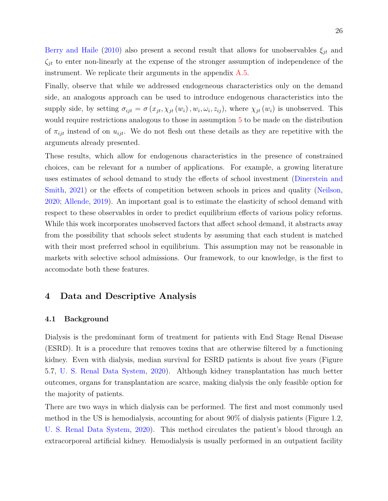[Berry and Haile](#page-49-6) [\(2010\)](#page-49-6) also present a second result that allows for unobservables  $\xi_{jt}$  and *ζjt* to enter non-linearly at the expense of the stronger assumption of independence of the instrument. We replicate their arguments in the appendix [A.5.](#page-62-0)

Finally, observe that while we addressed endogeneous characteristics only on the demand side, an analogous approach can be used to introduce endogenous characteristics into the supply side, by setting  $\sigma_{ijt} = \sigma(x_{jt}, \chi_{jt}(w_i), w_i, \omega_i, z_{ij})$ , where  $\chi_{jt}(w_i)$  is unobserved. This would require restrictions analogous to those in assumption [5](#page-26-0) to be made on the distribution of  $\pi_{ijt}$  instead of on  $u_{ijt}$ . We do not flesh out these details as they are repetitive with the arguments already presented.

These results, which allow for endogenous characteristics in the presence of constrained choices, can be relevant for a number of applications. For example, a growing literature uses estimates of school demand to study the effects of school investment [\(Dinerstein and](#page-50-2) [Smith,](#page-50-2) [2021\)](#page-50-2) or the effects of competition between schools in prices and quality [\(Neilson,](#page-53-5) [2020;](#page-53-5) [Allende,](#page-49-7) [2019\)](#page-49-7). An important goal is to estimate the elasticity of school demand with respect to these observables in order to predict equilibrium effects of various policy reforms. While this work incorporates unobserved factors that affect school demand, it abstracts away from the possibility that schools select students by assuming that each student is matched with their most preferred school in equilibrium. This assumption may not be reasonable in markets with selective school admissions. Our framework, to our knowledge, is the first to accomodate both these features.

## <span id="page-27-0"></span>**4 Data and Descriptive Analysis**

#### **4.1 Background**

Dialysis is the predominant form of treatment for patients with End Stage Renal Disease (ESRD). It is a procedure that removes toxins that are otherwise filtered by a functioning kidney. Even with dialysis, median survival for ESRD patients is about five years (Figure 5.7, [U. S. Renal Data System,](#page-53-3) [2020\)](#page-53-3). Although kidney transplantation has much better outcomes, organs for transplantation are scarce, making dialysis the only feasible option for the majority of patients.

There are two ways in which dialysis can be performed. The first and most commonly used method in the US is hemodialysis, accounting for about 90% of dialysis patients (Figure 1.2, [U. S. Renal Data System,](#page-53-3) [2020\)](#page-53-3). This method circulates the patient's blood through an extracorporeal artificial kidney. Hemodialysis is usually performed in an outpatient facility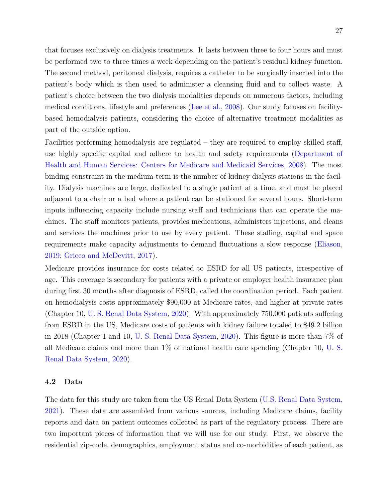that focuses exclusively on dialysis treatments. It lasts between three to four hours and must be performed two to three times a week depending on the patient's residual kidney function. The second method, peritoneal dialysis, requires a catheter to be surgically inserted into the patient's body which is then used to administer a cleansing fluid and to collect waste. A patient's choice between the two dialysis modalities depends on numerous factors, including medical conditions, lifestyle and preferences [\(Lee et al.,](#page-52-12) [2008\)](#page-52-12). Our study focuses on facilitybased hemodialysis patients, considering the choice of alternative treatment modalities as part of the outside option.

Facilities performing hemodialysis are regulated – they are required to employ skilled staff, use highly specific capital and adhere to health and safety requirements [\(Department of](#page-50-10) [Health and Human Services: Centers for Medicare and Medicaid Services,](#page-50-10) [2008\)](#page-50-10). The most binding constraint in the medium-term is the number of kidney dialysis stations in the facility. Dialysis machines are large, dedicated to a single patient at a time, and must be placed adjacent to a chair or a bed where a patient can be stationed for several hours. Short-term inputs influencing capacity include nursing staff and technicians that can operate the machines. The staff monitors patients, provides medications, administers injections, and cleans and services the machines prior to use by every patient. These staffing, capital and space requirements make capacity adjustments to demand fluctuations a slow response [\(Eliason,](#page-51-6) [2019;](#page-51-6) [Grieco and McDevitt,](#page-51-5) [2017\)](#page-51-5).

Medicare provides insurance for costs related to ESRD for all US patients, irrespective of age. This coverage is secondary for patients with a private or employer health insurance plan during first 30 months after diagnosis of ESRD, called the coordination period. Each patient on hemodialysis costs approximately \$90,000 at Medicare rates, and higher at private rates (Chapter 10, [U. S. Renal Data System,](#page-53-3) [2020\)](#page-53-3). With approximately 750,000 patients suffering from ESRD in the US, Medicare costs of patients with kidney failure totaled to \$49.2 billion in 2018 (Chapter 1 and 10, [U. S. Renal Data System,](#page-53-3) [2020\)](#page-53-3). This figure is more than 7% of all Medicare claims and more than 1% of national health care spending (Chapter 10, [U. S.](#page-53-3) [Renal Data System,](#page-53-3) [2020\)](#page-53-3).

## **4.2 Data**

The data for this study are taken from the US Renal Data System [\(U.S. Renal Data System,](#page-53-11) [2021\)](#page-53-11). These data are assembled from various sources, including Medicare claims, facility reports and data on patient outcomes collected as part of the regulatory process. There are two important pieces of information that we will use for our study. First, we observe the residential zip-code, demographics, employment status and co-morbidities of each patient, as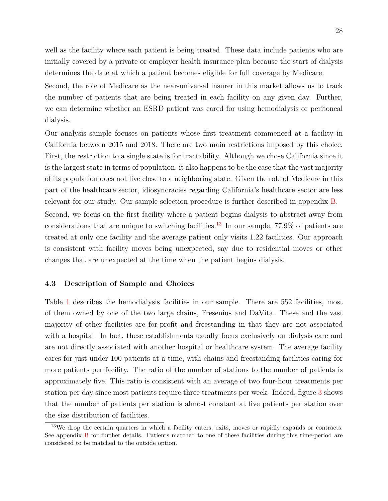well as the facility where each patient is being treated. These data include patients who are initially covered by a private or employer health insurance plan because the start of dialysis determines the date at which a patient becomes eligible for full coverage by Medicare.

Second, the role of Medicare as the near-universal insurer in this market allows us to track the number of patients that are being treated in each facility on any given day. Further, we can determine whether an ESRD patient was cared for using hemodialysis or peritoneal dialysis.

Our analysis sample focuses on patients whose first treatment commenced at a facility in California between 2015 and 2018. There are two main restrictions imposed by this choice. First, the restriction to a single state is for tractability. Although we chose California since it is the largest state in terms of population, it also happens to be the case that the vast majority of its population does not live close to a neighboring state. Given the role of Medicare in this part of the healthcare sector, idiosyncracies regarding California's healthcare sector are less relevant for our study. Our sample selection procedure is further described in appendix [B.](#page-63-0)

Second, we focus on the first facility where a patient begins dialysis to abstract away from considerations that are unique to switching facilities.<sup>[13](#page-29-0)</sup> In our sample,  $77.9\%$  of patients are treated at only one facility and the average patient only visits 1.22 facilities. Our approach is consistent with facility moves being unexpected, say due to residential moves or other changes that are unexpected at the time when the patient begins dialysis.

## **4.3 Description of Sample and Choices**

Table [1](#page-30-0) describes the hemodialysis facilities in our sample. There are 552 facilities, most of them owned by one of the two large chains, Fresenius and DaVita. These and the vast majority of other facilities are for-profit and freestanding in that they are not associated with a hospital. In fact, these establishments usually focus exclusively on dialysis care and are not directly associated with another hospital or healthcare system. The average facility cares for just under 100 patients at a time, with chains and freestanding facilities caring for more patients per facility. The ratio of the number of stations to the number of patients is approximately five. This ratio is consistent with an average of two four-hour treatments per station per day since most patients require three treatments per week. Indeed, figure [3](#page-30-1) shows that the number of patients per station is almost constant at five patients per station over the size distribution of facilities.

<span id="page-29-0"></span><sup>&</sup>lt;sup>13</sup>We drop the certain quarters in which a facility enters, exits, moves or rapidly expands or contracts. See appendix [B](#page-63-0) for further details. Patients matched to one of these facilities during this time-period are considered to be matched to the outside option.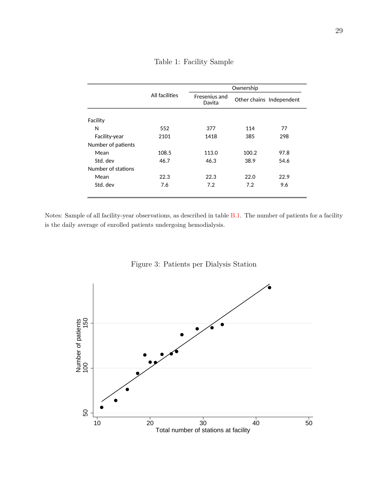<span id="page-30-0"></span>

|                    | All facilities | Ownership               |                          |      |  |
|--------------------|----------------|-------------------------|--------------------------|------|--|
|                    |                | Fresenius and<br>Davita | Other chains Independent |      |  |
| Facility           |                |                         |                          |      |  |
| N                  | 552            | 377                     | 114                      | 77   |  |
| Facility-year      | 2101           | 1418                    | 385                      | 298  |  |
| Number of patients |                |                         |                          |      |  |
| Mean               | 108.5          | 113.0                   | 100.2                    | 97.8 |  |
| Std. dev           | 46.7           | 46.3                    | 38.9                     | 54.6 |  |
| Number of stations |                |                         |                          |      |  |
| Mean               | 22.3           | 22.3                    | 22.0                     | 22.9 |  |
| Std. dev           | 7.6            | 7.2                     | 7.2                      | 9.6  |  |

Table 1: Facility Sample

Notes: Sample of all facility-year observations, as described in table **B.1**. The number of patients for a facility is the daily average of enrolled patients undergoing hemodialysis.

<span id="page-30-1"></span>

Figure 3: Patients per Dialysis Station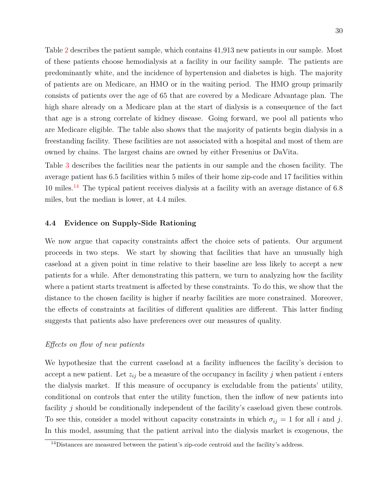Table [2](#page-32-0) describes the patient sample, which contains 41,913 new patients in our sample. Most of these patients choose hemodialysis at a facility in our facility sample. The patients are predominantly white, and the incidence of hypertension and diabetes is high. The majority of patients are on Medicare, an HMO or in the waiting period. The HMO group primarily consists of patients over the age of 65 that are covered by a Medicare Advantage plan. The high share already on a Medicare plan at the start of dialysis is a consequence of the fact that age is a strong correlate of kidney disease. Going forward, we pool all patients who are Medicare eligible. The table also shows that the majority of patients begin dialysis in a freestanding facility. These facilities are not associated with a hospital and most of them are owned by chains. The largest chains are owned by either Fresenius or DaVita.

Table [3](#page-33-0) describes the facilities near the patients in our sample and the chosen facility. The average patient has 6.5 facilities within 5 miles of their home zip-code and 17 facilities within  $10$  miles.<sup>[14](#page-31-0)</sup> The typical patient receives dialysis at a facility with an average distance of  $6.8$ miles, but the median is lower, at 4.4 miles.

### **4.4 Evidence on Supply-Side Rationing**

We now argue that capacity constraints affect the choice sets of patients. Our argument proceeds in two steps. We start by showing that facilities that have an unusually high caseload at a given point in time relative to their baseline are less likely to accept a new patients for a while. After demonstrating this pattern, we turn to analyzing how the facility where a patient starts treatment is affected by these constraints. To do this, we show that the distance to the chosen facility is higher if nearby facilities are more constrained. Moreover, the effects of constraints at facilities of different qualities are different. This latter finding suggests that patients also have preferences over our measures of quality.

## *Effects on flow of new patients*

We hypothesize that the current caseload at a facility influences the facility's decision to accept a new patient. Let  $z_{ij}$  be a measure of the occupancy in facility  $j$  when patient  $i$  enters the dialysis market. If this measure of occupancy is excludable from the patients' utility, conditional on controls that enter the utility function, then the inflow of new patients into facility *j* should be conditionally independent of the facility's caseload given these controls. To see this, consider a model without capacity constraints in which  $\sigma_{ij} = 1$  for all *i* and *j*. In this model, assuming that the patient arrival into the dialysis market is exogenous, the

<span id="page-31-0"></span><sup>14</sup>Distances are measured between the patient's zip-code centroid and the facility's address.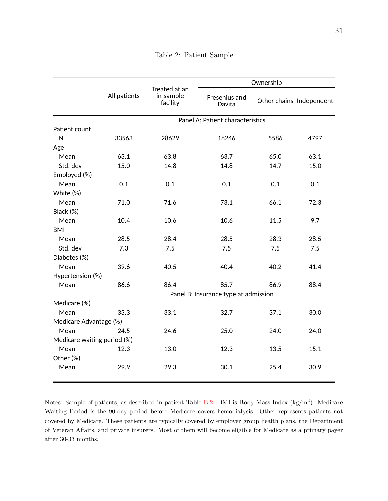<span id="page-32-0"></span>

|                             |              |                                        | Ownership                            |      |                          |  |
|-----------------------------|--------------|----------------------------------------|--------------------------------------|------|--------------------------|--|
|                             | All patients | Treated at an<br>in-sample<br>facility | Fresenius and<br>Davita              |      | Other chains Independent |  |
|                             |              |                                        | Panel A: Patient characteristics     |      |                          |  |
| Patient count               |              |                                        |                                      |      |                          |  |
| ${\sf N}$                   | 33563        | 28629                                  | 18246                                | 5586 | 4797                     |  |
| Age                         |              |                                        |                                      |      |                          |  |
| Mean                        | 63.1         | 63.8                                   | 63.7                                 | 65.0 | 63.1                     |  |
| Std. dev                    | 15.0         | 14.8                                   | 14.8                                 | 14.7 | 15.0                     |  |
| Employed (%)                |              |                                        |                                      |      |                          |  |
| Mean                        | 0.1          | 0.1                                    | 0.1                                  | 0.1  | 0.1                      |  |
| White (%)                   |              |                                        |                                      |      |                          |  |
| Mean                        | 71.0         | 71.6                                   | 73.1                                 | 66.1 | 72.3                     |  |
| Black (%)                   |              |                                        |                                      |      |                          |  |
| Mean                        | 10.4         | 10.6                                   | 10.6                                 | 11.5 | 9.7                      |  |
| <b>BMI</b>                  |              |                                        |                                      |      |                          |  |
| Mean                        | 28.5         | 28.4                                   | 28.5                                 | 28.3 | 28.5                     |  |
| Std. dev                    | 7.3          | 7.5                                    | 7.5                                  | 7.5  | 7.5                      |  |
| Diabetes (%)                |              |                                        |                                      |      |                          |  |
| Mean                        | 39.6         | 40.5                                   | 40.4                                 | 40.2 | 41.4                     |  |
| Hypertension (%)            |              |                                        |                                      |      |                          |  |
| Mean                        | 86.6         | 86.4                                   | 85.7                                 | 86.9 | 88.4                     |  |
|                             |              |                                        | Panel B: Insurance type at admission |      |                          |  |
| Medicare (%)                |              |                                        |                                      |      |                          |  |
| Mean                        | 33.3         | 33.1                                   | 32.7                                 | 37.1 | 30.0                     |  |
| Medicare Advantage (%)      |              |                                        |                                      |      |                          |  |
| Mean                        | 24.5         | 24.6                                   | 25.0                                 | 24.0 | 24.0                     |  |
| Medicare waiting period (%) |              |                                        |                                      |      |                          |  |
| Mean                        | 12.3         | 13.0                                   | 12.3                                 | 13.5 | 15.1                     |  |
| Other (%)                   |              |                                        |                                      |      |                          |  |
| Mean                        | 29.9         | 29.3                                   | 30.1                                 | 25.4 | 30.9                     |  |
|                             |              |                                        |                                      |      |                          |  |

Table 2: Patient Sample

Notes: Sample of patients, as described in patient Table  $B.2$ . BMI is Body Mass Index  $(kg/m<sup>2</sup>)$ . Medicare Waiting Period is the 90-day period before Medicare covers hemodialysis. Other represents patients not covered by Medicare. These patients are typically covered by employer group health plans, the Department of Veteran Affairs, and private insurers. Most of them will become eligible for Medicare as a primary payer after 30-33 months.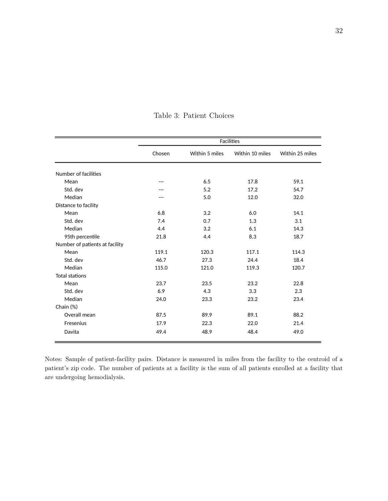<span id="page-33-0"></span>

|                                | Facilities |                |                 |                 |  |
|--------------------------------|------------|----------------|-----------------|-----------------|--|
|                                | Chosen     | Within 5 miles | Within 10 miles | Within 25 miles |  |
| Number of facilities           |            |                |                 |                 |  |
| Mean                           | ---        | 6.5            | 17.8            | 59.1            |  |
| Std. dev                       | ---        | $5.2$          | 17.2            | 54.7            |  |
| Median                         | ---        | $5.0\,$        | 12.0            | 32.0            |  |
| Distance to facility           |            |                |                 |                 |  |
| Mean                           | 6.8        | 3.2            | 6.0             | 14.1            |  |
| Std. dev                       | 7.4        | 0.7            | 1.3             | 3.1             |  |
| Median                         | 4.4        | 3.2            | 6.1             | 14.3            |  |
| 95th percentile                | 21.8       | 4.4            | 8.3             | 18.7            |  |
| Number of patients at facility |            |                |                 |                 |  |
| Mean                           | 119.1      | 120.3          | 117.1           | 114.3           |  |
| Std. dev                       | 46.7       | 27.3           | 24.4            | 18.4            |  |
| Median                         | 115.0      | 121.0          | 119.3           | 120.7           |  |
| <b>Total stations</b>          |            |                |                 |                 |  |
| Mean                           | 23.7       | 23.5           | 23.2            | 22.8            |  |
| Std. dev                       | 6.9        | 4.3            | 3.3             | 2.3             |  |
| Median                         | 24.0       | 23.3           | 23.2            | 23.4            |  |
| Chain (%)                      |            |                |                 |                 |  |
| Overall mean                   | 87.5       | 89.9           | 89.1            | 88.2            |  |
| Fresenius                      | 17.9       | 22.3           | 22.0            | 21.4            |  |
| Davita                         | 49.4       | 48.9           | 48.4            | 49.0            |  |

Table 3: Patient Choices

 $N$  sample of Patient-Facility pairs where the patient is in our patient sample and the facility is in our facility is in our facility is in our facility is in our facility is in our facility is in our facility is in our patient's zip code. The number of patients at a facility is the sum of all patients enrolled at a facility that  $\mu$ under $\sigma$ oing hemodialysis are undergoing hemodialysis. Notes: Sample of patient-facility pairs. Distance is measured in miles from the facility to the centroid of a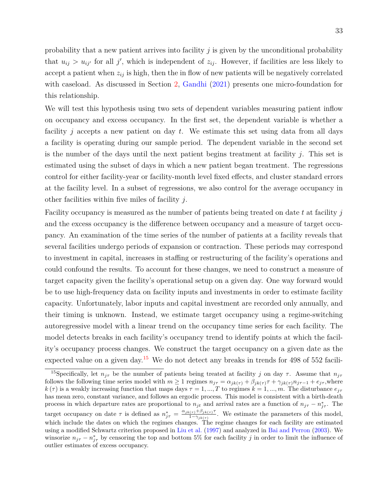probability that a new patient arrives into facility *j* is given by the unconditional probability that  $u_{ij} > u_{ij'}$  for all *j'*, which is independent of  $z_{ij}$ . However, if facilities are less likely to accept a patient when  $z_{ij}$  is high, then the in flow of new patients will be negatively correlated with caseload. As discussed in Section [2,](#page-8-0) [Gandhi](#page-51-3) [\(2021\)](#page-51-3) presents one micro-foundation for this relationship.

We will test this hypothesis using two sets of dependent variables measuring patient inflow on occupancy and excess occupancy. In the first set, the dependent variable is whether a facility *j* accepts a new patient on day *t*. We estimate this set using data from all days a facility is operating during our sample period. The dependent variable in the second set is the number of the days until the next patient begins treatment at facility *j*. This set is estimated using the subset of days in which a new patient began treatment. The regressions control for either facility-year or facility-month level fixed effects, and cluster standard errors at the facility level. In a subset of regressions, we also control for the average occupancy in other facilities within five miles of facility *j*.

Facility occupancy is measured as the number of patients being treated on date *t* at facility *j* and the excess occupancy is the difference between occupancy and a measure of target occupancy. An examination of the time series of the number of patients at a facility reveals that several facilities undergo periods of expansion or contraction. These periods may correspond to investment in capital, increases in staffing or restructuring of the facility's operations and could confound the results. To account for these changes, we need to construct a measure of target capacity given the facility's operational setup on a given day. One way forward would be to use high-frequency data on facility inputs and investments in order to estimate facility capacity. Unfortunately, labor inputs and capital investment are recorded only annually, and their timing is unknown. Instead, we estimate target occupancy using a regime-switching autoregressive model with a linear trend on the occupancy time series for each facility. The model detects breaks in each facility's occupancy trend to identify points at which the facility's occupancy process changes. We construct the target occupancy on a given date as the expected value on a given day.<sup>[15](#page-34-0)</sup> We do not detect any breaks in trends for 498 of 552 facili-

<span id="page-34-0"></span><sup>&</sup>lt;sup>15</sup>Specifically, let  $n_{i\tau}$  be the number of patients being treated at facility *j* on day  $\tau$ . Assume that  $n_{j\tau}$ follows the following time series model with  $m \ge 1$  regimes  $n_{j\tau} = \alpha_{jk(\tau)} + \beta_{jk(\tau)}\tau + \gamma_{jk(\tau)}n_{j\tau-1} + e_{j\tau}$ , where  $k(\tau)$  is a weakly increasing function that maps days  $\tau = 1, ..., T$  to regimes  $k = 1, ..., m$ . The disturbance  $e_{j\tau}$ has mean zero, constant variance, and follows an ergodic process. This model is consistent with a birth-death process in which departure rates are proportional to  $n_{jt}$  and arrival rates are a function of  $n_{j\tau} - n_{j\tau}^*$ . The target occupancy on date  $\tau$  is defined as  $n_{j\tau}^* = \frac{\alpha_{jk(\tau)} + \beta_{jk(\tau)}\tau}{1 - \gamma_{ik(\tau)}}$  $\frac{1-(\tau)^{\tau}P_{jk}(\tau)^{\tau}}{1-\gamma_{jk}(\tau)}$ . We estimate the parameters of this model, which include the dates on which the regimes changes. The regime changes for each facility are estimated using a modified Schwartz criterion proposed in [Liu et al.](#page-52-13) [\(1997\)](#page-52-13) and analyzed in [Bai and Perron](#page-49-13) [\(2003\)](#page-49-13). We winsorize  $n_{j\tau} - n_{j\tau}^*$  by censoring the top and bottom 5% for each facility *j* in order to limit the influence of outlier estimates of excess occupancy.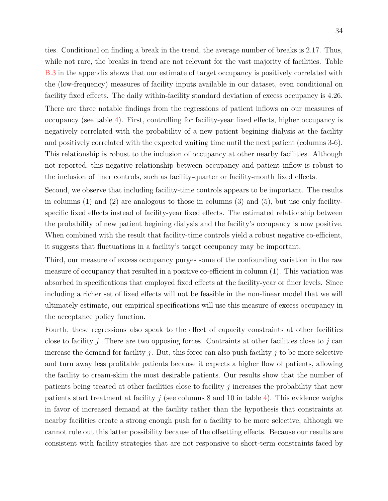ties. Conditional on finding a break in the trend, the average number of breaks is 2.17. Thus, while not rare, the breaks in trend are not relevant for the vast majority of facilities. Table [B.3](#page-68-0) in the appendix shows that our estimate of target occupancy is positively correlated with the (low-frequency) measures of facility inputs available in our dataset, even conditional on facility fixed effects. The daily within-facility standard deviation of excess occupancy is 4.26. There are three notable findings from the regressions of patient inflows on our measures of occupancy (see table [4\)](#page-36-0). First, controlling for facility-year fixed effects, higher occupancy is negatively correlated with the probability of a new patient begining dialysis at the facility and positively correlated with the expected waiting time until the next patient (columns 3-6). This relationship is robust to the inclusion of occupancy at other nearby facilities. Although not reported, this negative relationship between occupancy and patient inflow is robust to the inclusion of finer controls, such as facility-quarter or facility-month fixed effects.

Second, we observe that including facility-time controls appears to be important. The results in columns (1) and (2) are analogous to those in columns (3) and (5), but use only facilityspecific fixed effects instead of facility-year fixed effects. The estimated relationship between the probability of new patient begining dialysis and the facility's occupancy is now positive. When combined with the result that facility-time controls yield a robust negative co-efficient, it suggests that fluctuations in a facility's target occupancy may be important.

Third, our measure of excess occupancy purges some of the confounding variation in the raw measure of occupancy that resulted in a positive co-efficient in column (1). This variation was absorbed in specifications that employed fixed effects at the facility-year or finer levels. Since including a richer set of fixed effects will not be feasible in the non-linear model that we will ultimately estimate, our empirical specifications will use this measure of excess occupancy in the acceptance policy function.

Fourth, these regressions also speak to the effect of capacity constraints at other facilities close to facility *j*. There are two opposing forces. Contraints at other facilities close to *j* can increase the demand for facility *j*. But, this force can also push facility *j* to be more selective and turn away less profitable patients because it expects a higher flow of patients, allowing the facility to cream-skim the most desirable patients. Our results show that the number of patients being treated at other facilities close to facility *j* increases the probability that new patients start treatment at facility  $j$  (see columns 8 and 10 in table [4\)](#page-36-0). This evidence weighs in favor of increased demand at the facility rather than the hypothesis that constraints at nearby facilities create a strong enough push for a facility to be more selective, although we cannot rule out this latter possibility because of the offsetting effects. Because our results are consistent with facility strategies that are not responsive to short-term constraints faced by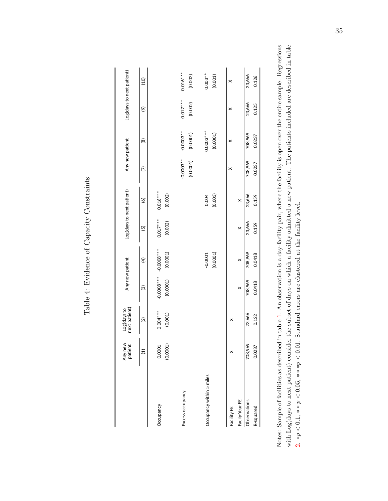Table 4: Evidence of Capacity Constraints Table 4: Evidence of Capacity Constraints

|                          | Any new<br>patient | Log(days to<br>next patient) | Any new patient          |                          |                       | Log(days to next patient) |                            | Any new patient         | Log(days to next patient) |                       |
|--------------------------|--------------------|------------------------------|--------------------------|--------------------------|-----------------------|---------------------------|----------------------------|-------------------------|---------------------------|-----------------------|
|                          | $\widehat{\Xi}$    | $\widetilde{\Omega}$         | $\widehat{\mathcal{C}}$  | £                        | $\overline{5}$        | $\widehat{\mathcal{C}}$   | $\widehat{\triangleright}$ | $\circledR$             | $\widehat{e}$             | (10)                  |
| Occupancy                | (0.0001)<br>0.0001 | $0.004***$<br>(0.001)        | $-0.0008***$<br>(0.0001) | $-0.0008***$<br>(0.0001) | $0.017***$<br>(0.002) | $0.016***$<br>(0.002)     |                            |                         |                           |                       |
| Excess occupancy         |                    |                              |                          |                          |                       |                           | $-0.0003**$<br>(0.0001)    | $-0.0003**$<br>(0.0001) | $0.017***$<br>(0.002)     | $0.016***$<br>(0.002) |
| Occupancy within 5 miles |                    |                              |                          | (0.0001)<br>$-0.0001$    |                       | (0.003)<br>0.004          |                            | $0.0003***$<br>(0.0001) |                           | $0.003**$<br>(0.001)  |
| Facility FE              |                    | ×                            |                          |                          |                       |                           | ×                          | ×                       | ×                         | ×                     |
| Facily-Year FE           |                    |                              | $\times$                 | $\times$                 | $\times$              | $\times$                  |                            |                         |                           |                       |
| Observations             | 708,969            | 23,666                       | 708,969                  | 708,969                  | 23,666                | 23,666                    | 708,969                    | 708,969                 | 23,666                    | 23,666                |
| R-squared                | 0.0237             | 0.122                        | 0.0418                   | 0.0418                   | 0.159                 | 0.159                     | 0.0237                     | 0.0237                  | 0.125                     | 0.126                 |

Notes: Sample of facilities as described in table 1. An observation is a day-facility pair, where the facility is open over the entire sample. Regressions with Log(days to next patient) consider the subset of days on which a facility admitted a new patient. The patients included are described in table Notes: Sample of facilities as described in table [1.](#page-30-0) An observation is a day-facility pair, where the facility is open over the entire sample. Regressions with Log(days to next patient) consider the subset of days on which a facility admitted a new patient. The patients included are described in table (day,facility) pair, where the facility is open over the entire sample. The patients included are those described in the patient sample table. 2.  $\ast p < 0.1$ ,  $\ast \ast p < 0.05$ ,  $\ast \ast \ast p < 0.01$ . Standard errors are clustered at the facility level. [2.](#page-32-0) ∗*p <* 0*.*1, ∗ ∗ *p <* 0*.*05, ∗ ∗ ∗*p <* 0*.*01. Standard errors are clustered at the facility level.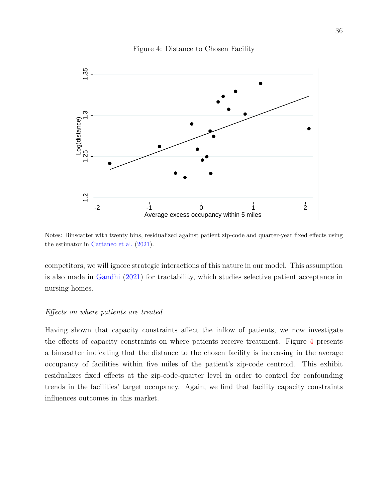<span id="page-37-0"></span>

#### Figure 4: Distance to Chosen Facility

Notes: Binscatter with twenty bins, residualized against patient zip-code and quarter-year fixed effects using the estimator in [Cattaneo et al.](#page-50-0) [\(2021\)](#page-50-0).

competitors, we will ignore strategic interactions of this nature in our model. This assumption is also made in [Gandhi](#page-51-0) [\(2021\)](#page-51-0) for tractability, which studies selective patient acceptance in nursing homes.

#### *Effects on where patients are treated*

Having shown that capacity constraints affect the inflow of patients, we now investigate the effects of capacity constraints on where patients receive treatment. Figure [4](#page-37-0) presents a binscatter indicating that the distance to the chosen facility is increasing in the average occupancy of facilities within five miles of the patient's zip-code centroid. This exhibit residualizes fixed effects at the zip-code-quarter level in order to control for confounding trends in the facilities' target occupancy. Again, we find that facility capacity constraints influences outcomes in this market.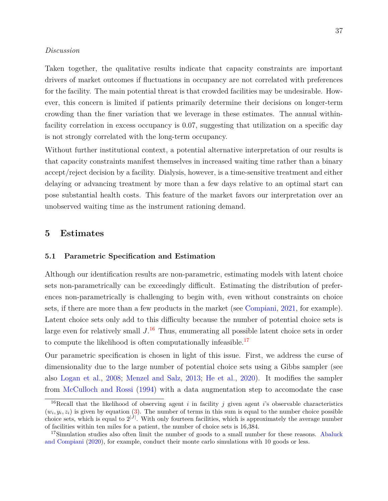#### *Discussion*

Taken together, the qualitative results indicate that capacity constraints are important drivers of market outcomes if fluctuations in occupancy are not correlated with preferences for the facility. The main potential threat is that crowded facilities may be undesirable. However, this concern is limited if patients primarily determine their decisions on longer-term crowding than the finer variation that we leverage in these estimates. The annual withinfacility correlation in excess occupancy is 0.07, suggesting that utilization on a specific day is not strongly correlated with the long-term occupancy.

Without further institutional context, a potential alternative interpretation of our results is that capacity constraints manifest themselves in increased waiting time rather than a binary accept/reject decision by a facility. Dialysis, however, is a time-sensitive treatment and either delaying or advancing treatment by more than a few days relative to an optimal start can pose substantial health costs. This feature of the market favors our interpretation over an unobserved waiting time as the instrument rationing demand.

### **5 Estimates**

#### **5.1 Parametric Specification and Estimation**

Although our identification results are non-parametric, estimating models with latent choice sets non-parametrically can be exceedingly difficult. Estimating the distribution of preferences non-parametrically is challenging to begin with, even without constraints on choice sets, if there are more than a few products in the market (see [Compiani,](#page-50-1) [2021,](#page-50-1) for example). Latent choice sets only add to this difficulty because the number of potential choice sets is large even for relatively small *J*. [16](#page-38-0) Thus, enumerating all possible latent choice sets in order to compute the likelihood is often computationally infeasible.<sup>[17](#page-38-1)</sup>

Our parametric specification is chosen in light of this issue. First, we address the curse of dimensionality due to the large number of potential choice sets using a Gibbs sampler (see also [Logan et al.,](#page-52-0) [2008;](#page-52-0) [Menzel and Salz,](#page-52-1) [2013;](#page-52-1) [He et al.,](#page-51-1) [2020\)](#page-51-1). It modifies the sampler from [McCulloch and Rossi](#page-52-2) [\(1994\)](#page-52-2) with a data augmentation step to accomodate the case

<span id="page-38-0"></span><sup>&</sup>lt;sup>16</sup>Recall that the likelihood of observing agent  $i$  in facility  $j$  given agent  $i$ 's observable characteristics  $(w_i, y_i, z_i)$  is given by equation [\(3\)](#page-10-0). The number of terms in this sum is equal to the number choice possible choice sets, which is equal to  $2^{|J|}$ . With only fourteen facilities, which is approximately the average number of facilities within ten miles for a patient, the number of choice sets is 16,384.

<span id="page-38-1"></span><sup>&</sup>lt;sup>17</sup>Simulation studies also often limit the number of goods to a small number for these reasons. [Abaluck](#page-48-0) [and Compiani](#page-48-0) [\(2020\)](#page-48-0), for example, conduct their monte carlo simulations with 10 goods or less.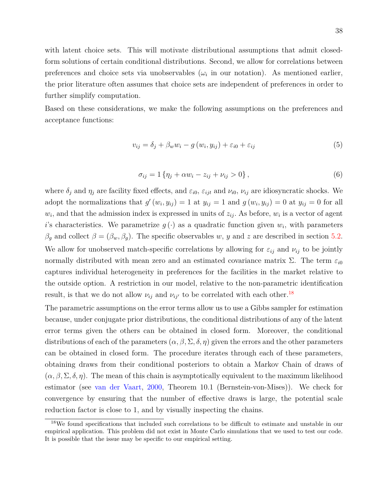with latent choice sets. This will motivate distributional assumptions that admit closedform solutions of certain conditional distributions. Second, we allow for correlations between preferences and choice sets via unobservables  $(\omega_i)$  in our notation). As mentioned earlier, the prior literature often assumes that choice sets are independent of preferences in order to further simplify computation.

Based on these considerations, we make the following assumptions on the preferences and acceptance functions:

<span id="page-39-1"></span>
$$
v_{ij} = \delta_j + \beta_w w_i - g(w_i, y_{ij}) + \varepsilon_{i0} + \varepsilon_{ij}
$$
\n
$$
(5)
$$

<span id="page-39-2"></span>
$$
\sigma_{ij} = 1 \{ \eta_j + \alpha w_i - z_{ij} + \nu_{ij} > 0 \}, \tag{6}
$$

where  $\delta_j$  and  $\eta_j$  are facility fixed effects, and  $\varepsilon_{i0}$ ,  $\varepsilon_{ijt}$  and  $\nu_{i0}$ ,  $\nu_{ij}$  are idiosyncratic shocks. We adopt the normalizations that  $g'(w_i, y_{ij}) = 1$  at  $y_{ij} = 1$  and  $g(w_i, y_{ij}) = 0$  at  $y_{ij} = 0$  for all  $w_i$ , and that the admission index is expressed in units of  $z_{ij}$ . As before,  $w_i$  is a vector of agent *i*'s characteristics. We parametrize  $g(\cdot)$  as a quadratic function given  $w_i$ , with parameters  $\beta_g$  and collect  $\beta = (\beta_w, \beta_g)$ . The specific observables *w*, *y* and *z* are described in section [5.2.](#page-40-0) We allow for unobserved match-specific correlations by allowing for  $\varepsilon_{ij}$  and  $\nu_{ij}$  to be jointly normally distributed with mean zero and an estimated covariance matrix  $\Sigma$ . The term  $\varepsilon_{i0}$ captures individual heterogeneity in preferences for the facilities in the market relative to the outside option. A restriction in our model, relative to the non-parametric identification result, is that we do not allow  $\nu_{ij}$  and  $\nu_{ij'}$  to be correlated with each other.<sup>[18](#page-39-0)</sup>

The parametric assumptions on the error terms allow us to use a Gibbs sampler for estimation because, under conjugate prior distributions, the conditional distributions of any of the latent error terms given the others can be obtained in closed form. Moreover, the conditional distributions of each of the parameters  $(\alpha, \beta, \Sigma, \delta, \eta)$  given the errors and the other parameters can be obtained in closed form. The procedure iterates through each of these parameters, obtaining draws from their conditional posteriors to obtain a Markov Chain of draws of  $(\alpha, \beta, \Sigma, \delta, \eta)$ . The mean of this chain is asymptotically equivalent to the maximum likelihood estimator (see [van der Vaart,](#page-53-0) [2000,](#page-53-0) Theorem 10.1 (Bernstein-von-Mises)). We check for convergence by ensuring that the number of effective draws is large, the potential scale reduction factor is close to 1, and by visually inspecting the chains.

<span id="page-39-0"></span><sup>&</sup>lt;sup>18</sup>We found specifications that included such correlations to be difficult to estimate and unstable in our empirical application. This problem did not exist in Monte Carlo simulations that we used to test our code. It is possible that the issue may be specific to our empirical setting.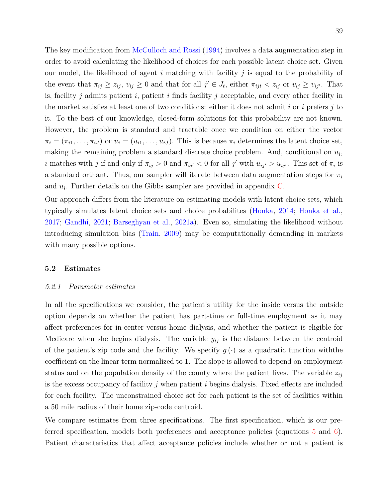The key modification from [McCulloch and Rossi](#page-52-2) [\(1994\)](#page-52-2) involves a data augmentation step in order to avoid calculating the likelihood of choices for each possible latent choice set. Given our model, the likelihood of agent *i* matching with facility *j* is equal to the probability of the event that  $\pi_{ij} \geq z_{ij}$ ,  $v_{ij} \geq 0$  and that for all  $j' \in J_t$ , either  $\pi_{ijt} < z_{ij}$  or  $v_{ij} \geq v_{ij'}$ . That is, facility *j* admits patient *i*, patient *i* finds facility *j* acceptable, and every other facility in the market satisfies at least one of two conditions: either it does not admit *i* or *i* prefers *j* to it. To the best of our knowledge, closed-form solutions for this probability are not known. However, the problem is standard and tractable once we condition on either the vector  $\pi_i = (\pi_{i1}, \ldots, \pi_{iJ})$  or  $u_i = (u_{i1}, \ldots, u_{iJ})$ . This is because  $\pi_i$  determines the latent choice set, making the remaining problem a standard discrete choice problem. And, conditional on *u<sup>i</sup>* , *i* matches with *j* if and only if  $\pi_{ij} > 0$  and  $\pi_{ij'} < 0$  for all *j*' with  $u_{ij'} > u_{ij'}$ . This set of  $\pi_i$  is a standard orthant. Thus, our sampler will iterate between data augmentation steps for  $\pi_i$ and  $u_i$ . Further details on the Gibbs sampler are provided in appendix  $C$ .

Our approach differs from the literature on estimating models with latent choice sets, which typically simulates latent choice sets and choice probabilites [\(Honka,](#page-51-2) [2014;](#page-51-2) [Honka et al.,](#page-52-3) [2017;](#page-52-3) [Gandhi,](#page-51-0) [2021;](#page-51-0) [Barseghyan et al.,](#page-49-0) [2021a\)](#page-49-0). Even so, simulating the likelihood without introducing simulation bias [\(Train,](#page-53-1) [2009\)](#page-53-1) may be computationally demanding in markets with many possible options.

#### <span id="page-40-0"></span>**5.2 Estimates**

#### *5.2.1 Parameter estimates*

In all the specifications we consider, the patient's utility for the inside versus the outside option depends on whether the patient has part-time or full-time employment as it may affect preferences for in-center versus home dialysis, and whether the patient is eligible for Medicare when she begins dialysis. The variable *yij* is the distance between the centroid of the patient's zip code and the facility. We specify  $g(\cdot)$  as a quadratic function with the coefficient on the linear term normalized to 1. The slope is allowed to depend on employment status and on the population density of the county where the patient lives. The variable  $z_{ij}$ is the excess occupancy of facility *j* when patient *i* begins dialysis. Fixed effects are included for each facility. The unconstrained choice set for each patient is the set of facilities within a 50 mile radius of their home zip-code centroid.

We compare estimates from three specifications. The first specification, which is our preferred specification, models both preferences and acceptance policies (equations [5](#page-39-1) and [6\)](#page-39-2). Patient characteristics that affect acceptance policies include whether or not a patient is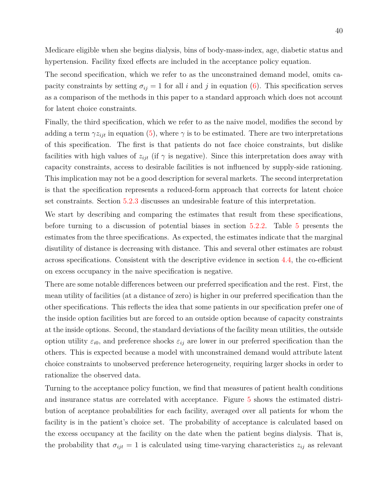Medicare eligible when she begins dialysis, bins of body-mass-index, age, diabetic status and hypertension. Facility fixed effects are included in the acceptance policy equation.

The second specification, which we refer to as the unconstrained demand model, omits capacity constraints by setting  $\sigma_{ij} = 1$  for all *i* and *j* in equation [\(6\)](#page-39-2). This specification serves as a comparison of the methods in this paper to a standard approach which does not account for latent choice constraints.

Finally, the third specification, which we refer to as the naive model, modifies the second by adding a term  $\gamma z_{ijt}$  in equation [\(5\)](#page-39-1), where  $\gamma$  is to be estimated. There are two interpretations of this specification. The first is that patients do not face choice constraints, but dislike facilities with high values of  $z_{ijt}$  (if  $\gamma$  is negative). Since this interpretation does away with capacity constraints, access to desirable facilities is not influenced by supply-side rationing. This implication may not be a good description for several markets. The second interpretation is that the specification represents a reduced-form approach that corrects for latent choice set constraints. Section [5.2.3](#page-45-0) discusses an undesirable feature of this interpretation.

We start by describing and comparing the estimates that result from these specifications, before turning to a discussion of potential biases in section [5.2.2.](#page-43-0) Table [5](#page-42-0) presents the estimates from the three specifications. As expected, the estimates indicate that the marginal disutility of distance is decreasing with distance. This and several other estimates are robust across specifications. Consistent with the descriptive evidence in section [4.4,](#page-31-0) the co-efficient on excess occupancy in the naive specification is negative.

There are some notable differences between our preferred specification and the rest. First, the mean utility of facilities (at a distance of zero) is higher in our preferred specification than the other specifications. This reflects the idea that some patients in our specification prefer one of the inside option facilities but are forced to an outside option because of capacity constraints at the inside options. Second, the standard deviations of the facility mean utilities, the outside option utility  $\varepsilon_{i0}$ , and preference shocks  $\varepsilon_{ij}$  are lower in our preferred specification than the others. This is expected because a model with unconstrained demand would attribute latent choice constraints to unobserved preference heterogeneity, requiring larger shocks in order to rationalize the observed data.

Turning to the acceptance policy function, we find that measures of patient health conditions and insurance status are correlated with acceptance. Figure [5](#page-43-1) shows the estimated distribution of aceptance probabilities for each facility, averaged over all patients for whom the facility is in the patient's choice set. The probability of acceptance is calculated based on the excess occupancy at the facility on the date when the patient begins dialysis. That is, the probability that  $\sigma_{ijt} = 1$  is calculated using time-varying characteristics  $z_{ij}$  as relevant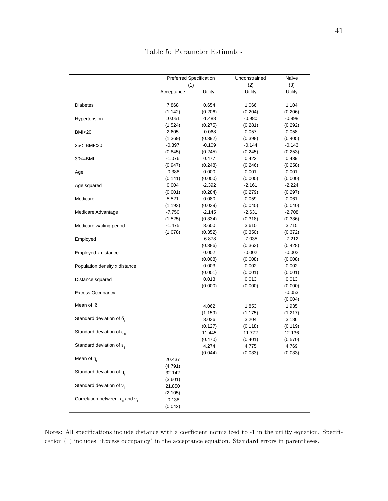<span id="page-42-0"></span>

|                                                     | Preferred Specification |                | Unconstrained | Naïve    |
|-----------------------------------------------------|-------------------------|----------------|---------------|----------|
|                                                     | (1)                     |                | (2)           | (3)      |
|                                                     | Acceptance              | <b>Utility</b> | Utility       | Utility  |
| <b>Diabetes</b>                                     | 7.868                   | 0.654          | 1.066         | 1.104    |
|                                                     | (1.142)                 | (0.206)        | (0.204)       | (0.206)  |
| Hypertension                                        | 10.051                  | $-1.488$       | $-0.980$      | $-0.998$ |
|                                                     | (1.524)                 | (0.275)        | (0.281)       | (0.292)  |
| <b>BMI&lt;20</b>                                    | 2.605                   | $-0.068$       | 0.057         | 0.058    |
|                                                     | (1.369)                 | (0.392)        | (0.398)       | (0.405)  |
| 25 <= BMI < 30                                      | $-0.397$                | $-0.109$       | $-0.144$      | $-0.143$ |
|                                                     | (0.845)                 | (0.245)        | (0.245)       | (0.253)  |
| $30 < B$ MI                                         | $-1.076$                | 0.477          | 0.422         | 0.439    |
|                                                     | (0.947)                 | (0.248)        | (0.246)       | (0.258)  |
| Age                                                 | $-0.388$                | 0.000          | 0.001         | 0.001    |
|                                                     | (0.141)                 | (0.000)        | (0.000)       | (0.000)  |
| Age squared                                         | 0.004                   | $-2.392$       | $-2.161$      | $-2.224$ |
|                                                     | (0.001)                 | (0.284)        | (0.279)       | (0.297)  |
| Medicare                                            | 5.521                   | 0.080          | 0.059         | 0.061    |
|                                                     | (1.193)                 | (0.039)        | (0.040)       | (0.040)  |
| Medicare Advantage                                  | $-7.750$                | $-2.145$       | $-2.631$      | $-2.708$ |
|                                                     | (1.525)                 | (0.334)        | (0.318)       | (0.336)  |
| Medicare waiting period                             | $-1.475$                | 3.600          | 3.610         | 3.715    |
|                                                     | (1.078)                 | (0.352)        | (0.350)       | (0.372)  |
| Employed                                            |                         | $-6.878$       | $-7.035$      | $-7.212$ |
|                                                     |                         | (0.386)        | (0.363)       | (0.428)  |
| Employed x distance                                 |                         | 0.002          | $-0.002$      | $-0.002$ |
|                                                     |                         | (0.008)        | (0.008)       | (0.008)  |
| Population density x distance                       |                         | 0.003          | 0.002         | 0.002    |
|                                                     |                         | (0.001)        | (0.001)       | (0.001)  |
| Distance squared                                    |                         | 0.013          | 0.013         | 0.013    |
|                                                     |                         | (0.000)        | (0.000)       | (0.000)  |
| <b>Excess Occupancy</b>                             |                         |                |               | $-0.053$ |
|                                                     |                         |                |               | (0.004)  |
| Mean of $\delta$ .                                  |                         | 4.062          | 1.853         | 1.935    |
|                                                     |                         | (1.159)        | (1.175)       | (1.217)  |
| Standard deviation of $\delta_i$                    |                         | 3.036          | 3.204         | 3.186    |
|                                                     |                         | (0.127)        | (0.118)       | (0.119)  |
| Standard deviation of $\varepsilon_{i0}$            |                         | 11.445         | 11.772        | 12.136   |
|                                                     |                         | (0.470)        | (0.401)       | (0.570)  |
| Standard deviation of $\varepsilon_{ii}$            |                         | 4.274          | 4.775         | 4.769    |
|                                                     |                         | (0.044)        | (0.033)       | (0.033)  |
| Mean of $\eta_i$                                    | 20.437                  |                |               |          |
|                                                     | (4.791)                 |                |               |          |
| Standard deviation of $\eta_i$                      | 32.142                  |                |               |          |
|                                                     | (3.601)                 |                |               |          |
| Standard deviation of $v_{ii}$                      | 21.850                  |                |               |          |
|                                                     | (2.105)                 |                |               |          |
| Correlation between $\varepsilon_{ij}$ and $v_{ij}$ | $-0.138$                |                |               |          |
|                                                     | (0.042)                 |                |               |          |
|                                                     |                         |                |               |          |

Notes: All specifications include distance with a coefficient normalized to -1 in the utility equation. Specification (1) includes "Excess occupancy" in the acceptance equation. Standard errors in parentheses.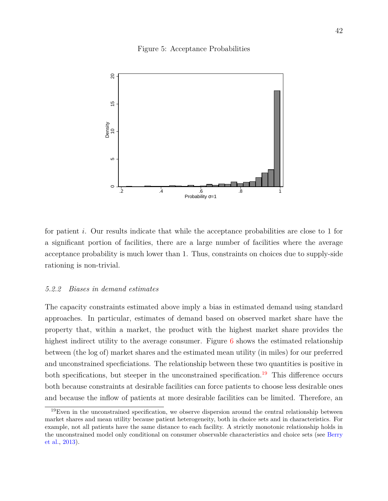#### Figure 5: Acceptance Probabilities

<span id="page-43-1"></span>

for patient *i*. Our results indicate that while the acceptance probabilities are close to 1 for a significant portion of facilities, there are a large number of facilities where the average acceptance probability is much lower than 1. Thus, constraints on choices due to supply-side rationing is non-trivial.

#### <span id="page-43-0"></span>*5.2.2 Biases in demand estimates*

The capacity constraints estimated above imply a bias in estimated demand using standard approaches. In particular, estimates of demand based on observed market share have the property that, within a market, the product with the highest market share provides the highest indirect utility to the average consumer. Figure [6](#page-44-0) shows the estimated relationship between (the log of) market shares and the estimated mean utility (in miles) for our preferred and unconstrained specficiations. The relationship between these two quantities is positive in both specifications, but steeper in the unconstrained specification.<sup>[19](#page-43-2)</sup> This difference occurs both because constraints at desirable facilities can force patients to choose less desirable ones and because the inflow of patients at more desirable facilities can be limited. Therefore, an

<span id="page-43-2"></span> $19$ Even in the unconstrained specification, we observe dispersion around the central relationship between market shares and mean utility because patient heterogeneity, both in choice sets and in characteristics. For example, not all patients have the same distance to each facility. A strictly monotonic relationship holds in the unconstrained model only conditional on consumer observable characteristics and choice sets (see [Berry](#page-49-1) [et al.,](#page-49-1) [2013\)](#page-49-1).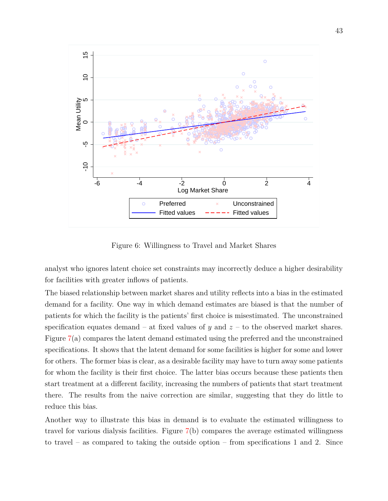<span id="page-44-0"></span>

Figure 6: Willingness to Travel and Market Shares

analyst who ignores latent choice set constraints may incorrectly deduce a higher desirability for facilities with greater inflows of patients.

The biased relationship between market shares and utility reflects into a bias in the estimated demand for a facility. One way in which demand estimates are biased is that the number of patients for which the facility is the patients' first choice is misestimated. The unconstrained specification equates demand – at fixed values of  $y$  and  $z$  – to the observed market shares. Figure [7\(](#page-45-1)a) compares the latent demand estimated using the preferred and the unconstrained specifications. It shows that the latent demand for some facilities is higher for some and lower for others. The former bias is clear, as a desirable facility may have to turn away some patients for whom the facility is their first choice. The latter bias occurs because these patients then start treatment at a different facility, increasing the numbers of patients that start treatment there. The results from the naive correction are similar, suggesting that they do little to reduce this bias.

Another way to illustrate this bias in demand is to evaluate the estimated willingness to travel for various dialysis facilities. Figure [7\(](#page-45-1)b) compares the average estimated willingness to travel – as compared to taking the outside option – from specifications 1 and 2. Since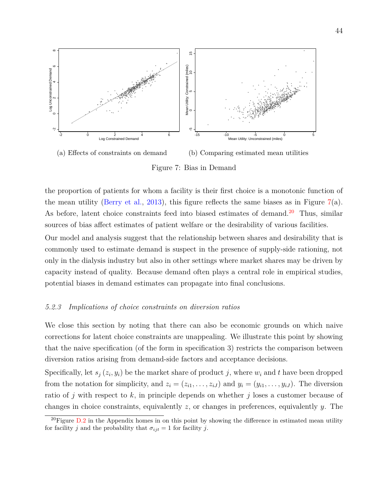<span id="page-45-1"></span>

Figure 7: Bias in Demand

the proportion of patients for whom a facility is their first choice is a monotonic function of the mean utility [\(Berry et al.,](#page-49-1) [2013\)](#page-49-1), this figure reflects the same biases as in Figure [7\(](#page-45-1)a). As before, latent choice constraints feed into biased estimates of demand.<sup>[20](#page-45-2)</sup> Thus, similar sources of bias affect estimates of patient welfare or the desirability of various facilities.

Our model and analysis suggest that the relationship between shares and desirability that is commonly used to estimate demand is suspect in the presence of supply-side rationing, not only in the dialysis industry but also in other settings where market shares may be driven by capacity instead of quality. Because demand often plays a central role in empirical studies, potential biases in demand estimates can propagate into final conclusions.

#### <span id="page-45-0"></span>*5.2.3 Implications of choice constraints on diversion ratios*

We close this section by noting that there can also be economic grounds on which naive corrections for latent choice constraints are unappealing. We illustrate this point by showing that the naive specification (of the form in specification 3) restricts the comparison between diversion ratios arising from demand-side factors and acceptance decisions.

Specifically, let  $s_j(z_i, y_i)$  be the market share of product *j*, where  $w_i$  and *t* have been dropped from the notation for simplicity, and  $z_i = (z_{i1}, \ldots, z_{iJ})$  and  $y_i = (y_{i1}, \ldots, y_{iJ})$ . The diversion ratio of *j* with respect to *k*, in principle depends on whether *j* loses a customer because of changes in choice constraints, equivalently *z*, or changes in preferences, equivalently *y*. The

<span id="page-45-2"></span><sup>&</sup>lt;sup>20</sup>Figure  $D.2$  in the Appendix homes in on this point by showing the difference in estimated mean utility for facility *j* and the probability that  $\sigma_{ijt} = 1$  for facility *j*.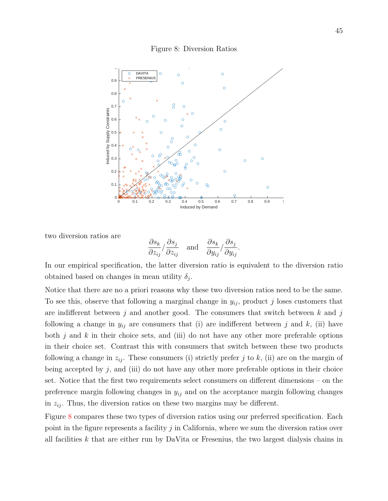#### Figure 8: Diversion Ratios

<span id="page-46-0"></span>

two diversion ratios are

$$
\frac{\partial s_k}{\partial z_{ij}} / \frac{\partial s_j}{\partial z_{ij}}
$$
 and 
$$
\frac{\partial s_k}{\partial y_{ij}} / \frac{\partial s_j}{\partial y_{ij}}.
$$

In our empirical specification, the latter diversion ratio is equivalent to the diversion ratio obtained based on changes in mean utility  $\delta_j$ .

Notice that there are no a priori reasons why these two diversion ratios need to be the same. To see this, observe that following a marginal change in  $y_{ij}$ , product *j* loses customers that are indifferent between *j* and another good. The consumers that switch between *k* and *j* following a change in  $y_{ij}$  are consumers that (i) are indifferent between *j* and *k*, (ii) have both *j* and *k* in their choice sets, and (iii) do not have any other more preferable options in their choice set. Contrast this with consumers that switch between these two products following a change in  $z_{ij}$ . These consumers (i) strictly prefer *j* to *k*, (ii) are on the margin of being accepted by  $j$ , and (iii) do not have any other more preferable options in their choice set. Notice that the first two requirements select consumers on different dimensions – on the preference margin following changes in *yij* and on the acceptance margin following changes in  $z_{ij}$ . Thus, the diversion ratios on these two margins may be different.

Figure [8](#page-46-0) compares these two types of diversion ratios using our preferred specification. Each point in the figure represents a facility *j* in California, where we sum the diversion ratios over all facilities *k* that are either run by DaVita or Fresenius, the two largest dialysis chains in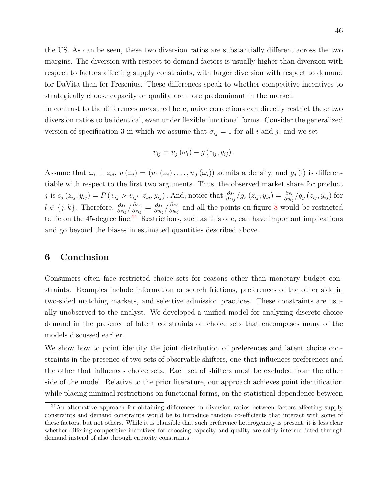the US. As can be seen, these two diversion ratios are substantially different across the two margins. The diversion with respect to demand factors is usually higher than diversion with respect to factors affecting supply constraints, with larger diversion with respect to demand for DaVita than for Fresenius. These differences speak to whether competitive incentives to strategically choose capacity or quality are more predominant in the market.

In contrast to the differences measured here, naive corrections can directly restrict these two diversion ratios to be identical, even under flexible functional forms. Consider the generalized version of specification 3 in which we assume that  $\sigma_{ij} = 1$  for all *i* and *j*, and we set

$$
v_{ij} = u_j(\omega_i) - g(z_{ij}, y_{ij}).
$$

Assume that  $\omega_i \perp z_{ij}$ ,  $u(\omega_i) = (u_1(\omega_i), \ldots, u_j(\omega_i))$  admits a density, and  $g_j(\cdot)$  is differentiable with respect to the first two arguments. Thus, the observed market share for product j is  $s_j(z_{ij}, y_{ij}) = P(v_{ij} > v_{ij'} | z_{ij}, y_{ij})$ . And, notice that  $\frac{\partial s_l}{\partial z_{ij}}/g_z(z_{ij}, y_{ij}) = \frac{\partial s_l}{\partial y_{ij}}/g_y(z_{ij}, y_{ij})$  for *l* ∈ {*j*, *k*}. Therefore,  $\frac{\partial s_k}{\partial z_{ij}} / \frac{\partial s_j}{\partial z_{i_j}}$  $\frac{\partial s_j}{\partial z_{ij}} = \frac{\partial s_k}{\partial y_{ij}}$  $\frac{\partial s_k}{\partial y_{ij}}$ /  $\frac{\partial s_j}{\partial y_{ij}}$ *∂yij* and all the points on figure [8](#page-46-0) would be restricted to lie on the  $45$ -degree line.<sup>[21](#page-47-0)</sup> Restrictions, such as this one, can have important implications and go beyond the biases in estimated quantities described above.

### **6 Conclusion**

Consumers often face restricted choice sets for reasons other than monetary budget constraints. Examples include information or search frictions, preferences of the other side in two-sided matching markets, and selective admission practices. These constraints are usually unobserved to the analyst. We developed a unified model for analyzing discrete choice demand in the presence of latent constraints on choice sets that encompases many of the models discussed earlier.

We show how to point identify the joint distribution of preferences and latent choice constraints in the presence of two sets of observable shifters, one that influences preferences and the other that influences choice sets. Each set of shifters must be excluded from the other side of the model. Relative to the prior literature, our approach achieves point identification while placing minimal restrictions on functional forms, on the statistical dependence between

<span id="page-47-0"></span> $21$ An alternative approach for obtaining differences in diversion ratios between factors affecting supply constraints and demand constraints would be to introduce random co-efficients that interact with some of these factors, but not others. While it is plausible that such preference heterogeneity is present, it is less clear whether differing competitive incentives for choosing capacity and quality are solely intermediated through demand instead of also through capacity constraints.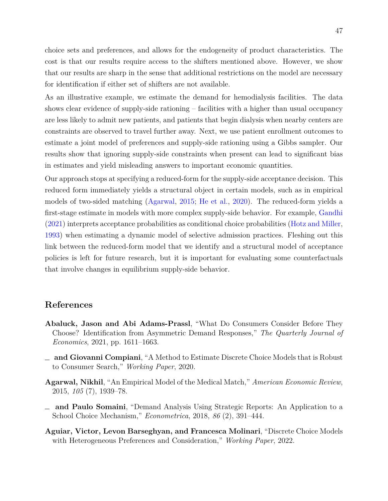choice sets and preferences, and allows for the endogeneity of product characteristics. The cost is that our results require access to the shifters mentioned above. However, we show that our results are sharp in the sense that additional restrictions on the model are necessary for identification if either set of shifters are not available.

As an illustrative example, we estimate the demand for hemodialysis facilities. The data shows clear evidence of supply-side rationing – facilities with a higher than usual occupancy are less likely to admit new patients, and patients that begin dialysis when nearby centers are constraints are observed to travel further away. Next, we use patient enrollment outcomes to estimate a joint model of preferences and supply-side rationing using a Gibbs sampler. Our results show that ignoring supply-side constraints when present can lead to significant bias in estimates and yield misleading answers to important economic quantities.

Our approach stops at specifying a reduced-form for the supply-side acceptance decision. This reduced form immediately yields a structural object in certain models, such as in empirical models of two-sided matching [\(Agarwal,](#page-48-1) [2015;](#page-48-1) [He et al.,](#page-51-1) [2020\)](#page-51-1). The reduced-form yields a first-stage estimate in models with more complex supply-side behavior. For example, [Gandhi](#page-51-0) [\(2021\)](#page-51-0) interprets acceptance probabilities as conditional choice probabilities [\(Hotz and Miller,](#page-52-4) [1993\)](#page-52-4) when estimating a dynamic model of selective admission practices. Fleshing out this link between the reduced-form model that we identify and a structural model of acceptance policies is left for future research, but it is important for evaluating some counterfactuals that involve changes in equilibrium supply-side behavior.

### **References**

- **Abaluck, Jason and Abi Adams-Prassl**, "What Do Consumers Consider Before They Choose? Identification from Asymmetric Demand Responses," *The Quarterly Journal of Economics*, 2021, pp. 1611–1663.
- <span id="page-48-0"></span>**and Giovanni Compiani**, "A Method to Estimate Discrete Choice Models that is Robust to Consumer Search," *Working Paper*, 2020.
- <span id="page-48-1"></span>**Agarwal, Nikhil**, "An Empirical Model of the Medical Match," *American Economic Review*, 2015, *105* (7), 1939–78.
- **and Paulo Somaini**, "Demand Analysis Using Strategic Reports: An Application to a School Choice Mechanism," *Econometrica*, 2018, *86* (2), 391–444.
- **Aguiar, Victor, Levon Barseghyan, and Francesca Molinari**, "Discrete Choice Models with Heterogeneous Preferences and Consideration," *Working Paper*, 2022.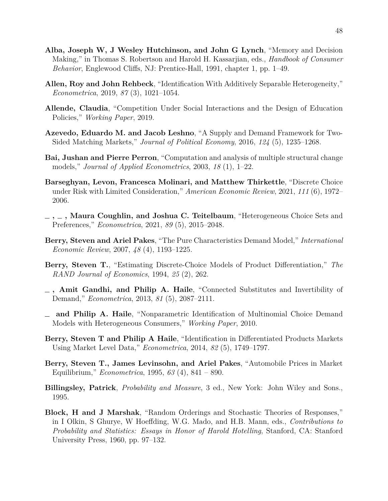- **Alba, Joseph W, J Wesley Hutchinson, and John G Lynch**, "Memory and Decision Making," in Thomas S. Robertson and Harold H. Kassarjian, eds., *Handbook of Consumer Behavior*, Englewood Cliffs, NJ: Prentice-Hall, 1991, chapter 1, pp. 1–49.
- **Allen, Roy and John Rehbeck**, "Identification With Additively Separable Heterogeneity," *Econometrica*, 2019, *87* (3), 1021–1054.
- **Allende, Claudia**, "Competition Under Social Interactions and the Design of Education Policies," *Working Paper*, 2019.
- **Azevedo, Eduardo M. and Jacob Leshno**, "A Supply and Demand Framework for Two-Sided Matching Markets," *Journal of Political Economy*, 2016, *124* (5), 1235–1268.
- **Bai, Jushan and Pierre Perron**, "Computation and analysis of multiple structural change models," *Journal of Applied Econometrics*, 2003, *18* (1), 1–22.
- <span id="page-49-0"></span>**Barseghyan, Levon, Francesca Molinari, and Matthew Thirkettle**, "Discrete Choice under Risk with Limited Consideration," *American Economic Review*, 2021, *111* (6), 1972– 2006.
- **, , Maura Coughlin, and Joshua C. Teitelbaum**, "Heterogeneous Choice Sets and Preferences," *Econometrica*, 2021, *89* (5), 2015–2048.
- **Berry, Steven and Ariel Pakes**, "The Pure Characteristics Demand Model," *International Economic Review*, 2007, *48* (4), 1193–1225.
- **Berry, Steven T.**, "Estimating Discrete-Choice Models of Product Differentiation," *The RAND Journal of Economics*, 1994, *25* (2), 262.
- <span id="page-49-1"></span>**, Amit Gandhi, and Philip A. Haile**, "Connected Substitutes and Invertibility of Demand," *Econometrica*, 2013, *81* (5), 2087–2111.
- <span id="page-49-3"></span>**and Philip A. Haile**, "Nonparametric Identification of Multinomial Choice Demand Models with Heterogeneous Consumers," *Working Paper*, 2010.
- **Berry, Steven T and Philip A Haile**, "Identification in Differentiated Products Markets Using Market Level Data," *Econometrica*, 2014, *82* (5), 1749–1797.
- **Berry, Steven T., James Levinsohn, and Ariel Pakes**, "Automobile Prices in Market Equilibrium," *Econometrica*, 1995, *63* (4), 841 – 890.
- <span id="page-49-2"></span>**Billingsley, Patrick**, *Probability and Measure*, 3 ed., New York: John Wiley and Sons., 1995.
- **Block, H and J Marshak**, "Random Orderings and Stochastic Theories of Responses," in I Olkin, S Ghurye, W Hoeffding, W.G. Mado, and H.B. Mann, eds., *Contributions to Probability and Statistics: Essays in Honor of Harold Hotelling*, Stanford, CA: Stanford University Press, 1960, pp. 97–132.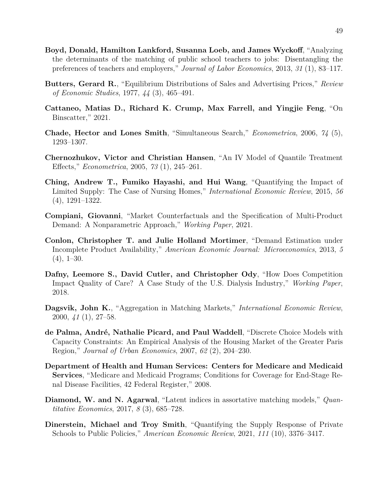- **Boyd, Donald, Hamilton Lankford, Susanna Loeb, and James Wyckoff**, "Analyzing the determinants of the matching of public school teachers to jobs: Disentangling the preferences of teachers and employers," *Journal of Labor Economics*, 2013, *31* (1), 83–117.
- **Butters, Gerard R.**, "Equilibrium Distributions of Sales and Advertising Prices," *Review of Economic Studies*, 1977, *44* (3), 465–491.
- <span id="page-50-0"></span>**Cattaneo, Matias D., Richard K. Crump, Max Farrell, and Yingjie Feng**, "On Binscatter," 2021.
- **Chade, Hector and Lones Smith**, "Simultaneous Search," *Econometrica*, 2006, *74* (5), 1293–1307.
- <span id="page-50-2"></span>**Chernozhukov, Victor and Christian Hansen**, "An IV Model of Quantile Treatment Effects," *Econometrica*, 2005, *73* (1), 245–261.
- **Ching, Andrew T., Fumiko Hayashi, and Hui Wang**, "Quantifying the Impact of Limited Supply: The Case of Nursing Homes," *International Economic Review*, 2015, *56* (4), 1291–1322.
- <span id="page-50-1"></span>**Compiani, Giovanni**, "Market Counterfactuals and the Specification of Multi-Product Demand: A Nonparametric Approach," *Working Paper*, 2021.
- **Conlon, Christopher T. and Julie Holland Mortimer**, "Demand Estimation under Incomplete Product Availability," *American Economic Journal: Microeconomics*, 2013, *5*  $(4), 1-30.$
- **Dafny, Leemore S., David Cutler, and Christopher Ody**, "How Does Competition Impact Quality of Care? A Case Study of the U.S. Dialysis Industry," *Working Paper*, 2018.
- **Dagsvik, John K.**, "Aggregation in Matching Markets," *International Economic Review*, 2000, *41* (1), 27–58.
- **de Palma, André, Nathalie Picard, and Paul Waddell**, "Discrete Choice Models with Capacity Constraints: An Empirical Analysis of the Housing Market of the Greater Paris Region," *Journal of Urban Economics*, 2007, *62* (2), 204–230.
- **Department of Health and Human Services: Centers for Medicare and Medicaid Services**, "Medicare and Medicaid Programs; Conditions for Coverage for End-Stage Renal Disease Facilities, 42 Federal Register," 2008.
- **Diamond, W. and N. Agarwal**, "Latent indices in assortative matching models," *Quantitative Economics*, 2017, *8* (3), 685–728.
- **Dinerstein, Michael and Troy Smith**, "Quantifying the Supply Response of Private Schools to Public Policies," *American Economic Review*, 2021, *111* (10), 3376–3417.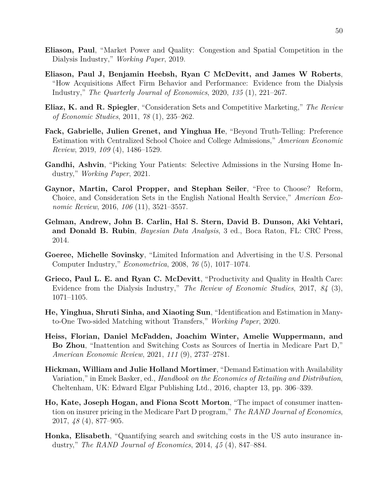- **Eliason, Paul**, "Market Power and Quality: Congestion and Spatial Competition in the Dialysis Industry," *Working Paper*, 2019.
- **Eliason, Paul J, Benjamin Heebsh, Ryan C McDevitt, and James W Roberts**, "How Acquisitions Affect Firm Behavior and Performance: Evidence from the Dialysis Industry," *The Quarterly Journal of Economics*, 2020, *135* (1), 221–267.
- **Eliaz, K. and R. Spiegler**, "Consideration Sets and Competitive Marketing," *The Review of Economic Studies*, 2011, *78* (1), 235–262.
- **Fack, Gabrielle, Julien Grenet, and Yinghua He**, "Beyond Truth-Telling: Preference Estimation with Centralized School Choice and College Admissions," *American Economic Review*, 2019, *109* (4), 1486–1529.
- <span id="page-51-0"></span>**Gandhi, Ashvin**, "Picking Your Patients: Selective Admissions in the Nursing Home Industry," *Working Paper*, 2021.
- **Gaynor, Martin, Carol Propper, and Stephan Seiler**, "Free to Choose? Reform, Choice, and Consideration Sets in the English National Health Service," *American Economic Review*, 2016, *106* (11), 3521–3557.
- <span id="page-51-3"></span>**Gelman, Andrew, John B. Carlin, Hal S. Stern, David B. Dunson, Aki Vehtari, and Donald B. Rubin**, *Bayesian Data Analysis*, 3 ed., Boca Raton, FL: CRC Press, 2014.
- **Goeree, Michelle Sovinsky**, "Limited Information and Advertising in the U.S. Personal Computer Industry," *Econometrica*, 2008, *76* (5), 1017–1074.
- **Grieco, Paul L. E. and Ryan C. McDevitt**, "Productivity and Quality in Health Care: Evidence from the Dialysis Industry," *The Review of Economic Studies*, 2017, *84* (3), 1071–1105.
- <span id="page-51-1"></span>**He, Yinghua, Shruti Sinha, and Xiaoting Sun**, "Identification and Estimation in Manyto-One Two-sided Matching without Transfers," *Working Paper*, 2020.
- **Heiss, Florian, Daniel McFadden, Joachim Winter, Amelie Wuppermann, and Bo Zhou**, "Inattention and Switching Costs as Sources of Inertia in Medicare Part D," *American Economic Review*, 2021, *111* (9), 2737–2781.
- **Hickman, William and Julie Holland Mortimer**, "Demand Estimation with Availability Variation," in Emek Basker, ed., *Handbook on the Economics of Retailing and Distribution*, Cheltenham, UK: Edward Elgar Publishing Ltd., 2016, chapter 13, pp. 306–339.
- **Ho, Kate, Joseph Hogan, and Fiona Scott Morton**, "The impact of consumer inattention on insurer pricing in the Medicare Part D program," *The RAND Journal of Economics*, 2017, *48* (4), 877–905.
- <span id="page-51-2"></span>**Honka, Elisabeth**, "Quantifying search and switching costs in the US auto insurance industry," *The RAND Journal of Economics*, 2014, *45* (4), 847–884.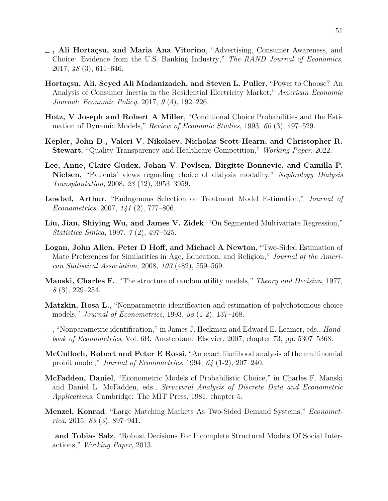- <span id="page-52-3"></span>**, Ali Hortaçsu, and Maria Ana Vitorino**, "Advertising, Consumer Awareness, and Choice: Evidence from the U.S. Banking Industry," *The RAND Journal of Economics*, 2017, *48* (3), 611–646.
- **Hortaçsu, Ali, Seyed Ali Madanizadeh, and Steven L. Puller**, "Power to Choose? An Analysis of Consumer Inertia in the Residential Electricity Market," *American Economic Journal: Economic Policy*, 2017, *9* (4), 192–226.
- <span id="page-52-4"></span>**Hotz, V Joseph and Robert A Miller**, "Conditional Choice Probabilities and the Estimation of Dynamic Models," *Review of Economic Studies*, 1993, *60* (3), 497–529.
- **Kepler, John D., Valeri V. Nikolaev, Nicholas Scott-Hearn, and Christopher R. Stewart**, "Quality Transparency and Healthcare Competition," *Working Paper*, 2022.
- **Lee, Anne, Claire Gudex, Johan V. Povlsen, Birgitte Bonnevie, and Camilla P. Nielsen**, "Patients' views regarding choice of dialysis modality," *Nephrology Dialysis Transplantation*, 2008, *23* (12), 3953–3959.
- **Lewbel, Arthur**, "Endogenous Selection or Treatment Model Estimation," *Journal of Econometrics*, 2007, *141* (2), 777–806.
- **Liu, Jian, Shiying Wu, and James V. Zidek**, "On Segmented Multivariate Regression," *Statistica Sinica*, 1997, *7* (2), 497–525.
- <span id="page-52-0"></span>**Logan, John Allen, Peter D Hoff, and Michael A Newton**, "Two-Sided Estimation of Mate Preferences for Similarities in Age, Education, and Religion," *Journal of the American Statistical Association*, 2008, *103* (482), 559–569.
- **Manski, Charles F.**, "The structure of random utility models," *Theory and Decision*, 1977, *8* (3), 229–254.
- **Matzkin, Rosa L.**, "Nonparametric identification and estimation of polychotomous choice models," *Journal of Econometrics*, 1993, *58* (1-2), 137–168.
- <span id="page-52-5"></span>, "Nonparametric identification," in James J. Heckman and Edward E. Leamer, eds., *Handbook of Econometrics*, Vol. 6B, Amsterdam: Elsevier, 2007, chapter 73, pp. 5307–5368.
- <span id="page-52-2"></span>**McCulloch, Robert and Peter E Rossi**, "An exact likelihood analysis of the multinomial probit model," *Journal of Econometrics*, 1994, *64* (1-2), 207–240.
- **McFadden, Daniel**, "Econometric Models of Probabilistic Choice," in Charles F. Manski and Daniel L. McFadden, eds., *Structural Analysis of Discrete Data and Econometric Applications*, Cambridge: The MIT Press, 1981, chapter 5.
- **Menzel, Konrad**, "Large Matching Markets As Two-Sided Demand Systems," *Econometrica*, 2015, *83* (3), 897–941.
- <span id="page-52-1"></span>**and Tobias Salz**, "Robust Decisions For Incomplete Structural Models Of Social Interactions," *Working Paper*, 2013.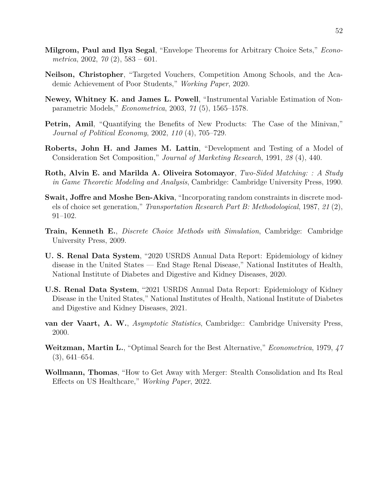- <span id="page-53-2"></span>**Milgrom, Paul and Ilya Segal**, "Envelope Theorems for Arbitrary Choice Sets," *Econometrica*, 2002, *70* (2), 583 – 601.
- **Neilson, Christopher**, "Targeted Vouchers, Competition Among Schools, and the Academic Achievement of Poor Students," *Working Paper*, 2020.
- **Newey, Whitney K. and James L. Powell**, "Instrumental Variable Estimation of Nonparametric Models," *Econometrica*, 2003, *71* (5), 1565–1578.
- **Petrin, Amil,** "Quantifying the Benefits of New Products: The Case of the Minivan," *Journal of Political Economy*, 2002, *110* (4), 705–729.
- **Roberts, John H. and James M. Lattin**, "Development and Testing of a Model of Consideration Set Composition," *Journal of Marketing Research*, 1991, *28* (4), 440.
- **Roth, Alvin E. and Marilda A. Oliveira Sotomayor**, *Two-Sided Matching: : A Study in Game Theoretic Modeling and Analysis*, Cambridge: Cambridge University Press, 1990.
- **Swait, Joffre and Moshe Ben-Akiva**, "Incorporating random constraints in discrete models of choice set generation," *Transportation Research Part B: Methodological*, 1987, *21* (2), 91–102.
- <span id="page-53-1"></span>**Train, Kenneth E.**, *Discrete Choice Methods with Simulation*, Cambridge: Cambridge University Press, 2009.
- **U. S. Renal Data System**, "2020 USRDS Annual Data Report: Epidemiology of kidney disease in the United States — End Stage Renal Disease," National Institutes of Health, National Institute of Diabetes and Digestive and Kidney Diseases, 2020.
- **U.S. Renal Data System**, "2021 USRDS Annual Data Report: Epidemiology of Kidney Disease in the United States," National Institutes of Health, National Institute of Diabetes and Digestive and Kidney Diseases, 2021.
- <span id="page-53-0"></span>**van der Vaart, A. W.**, *Asymptotic Statistics*, Cambridge:: Cambridge University Press, 2000.
- **Weitzman, Martin L.**, "Optimal Search for the Best Alternative," *Econometrica*, 1979, *47* (3), 641–654.
- **Wollmann, Thomas**, "How to Get Away with Merger: Stealth Consolidation and Its Real Effects on US Healthcare," *Working Paper*, 2022.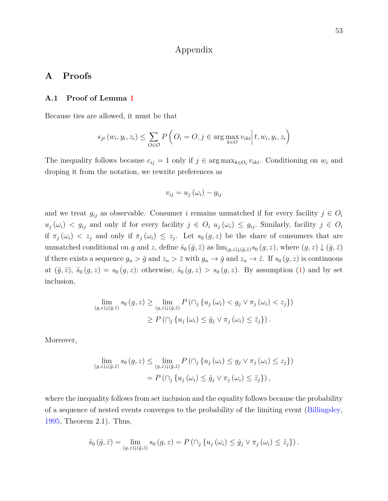## Appendix

## **A Proofs**

#### **A.1 Proof of Lemma [1](#page-15-0)**

Because ties are allowed, it must be that

$$
s_{jt}(w_i, y_i, z_i) \le \sum_{O \in \mathcal{O}} P\left(O_i = O, j \in \arg\max_{k \in O} v_{ikt} \middle| t, w_i, y_i, z_i\right)
$$

The inequality follows because  $c_{ij} = 1$  only if  $j \in \arg \max_{k \in O_i} v_{ikt}$ . Conditioning on  $w_i$  and droping it from the notation, we rewrite preferences as

$$
v_{ij} = u_j \left(\omega_i\right) - g_{ij}
$$

and we treat  $g_{ij}$  as observable. Consumer *i* remains unmatched if for every facility  $j \in O_i$  $u_j(\omega_i) < g_{ij}$  and only if for every facility  $j \in O_i$   $u_j(\omega_i) \le g_{ij}$ . Similarly, facility  $j \in O_i$ if  $\pi_j(\omega_i) < z_j$  and only if  $\pi_j(\omega_i) \leq z_j$ . Let  $s_0(g, z)$  be the share of consumers that are unmatched conditional on *g* and *z*, define  $\bar{s}_0(\bar{g}, \bar{z})$  as  $\lim_{(g,z)\downarrow(\bar{g}, \bar{z})} s_0(g, z)$ , where  $(g, z) \downarrow (\bar{g}, \bar{z})$ if there exists a sequence  $g_n > \bar{g}$  and  $z_n > \bar{z}$  with  $g_n \to \bar{g}$  and  $z_n \to \bar{z}$ . If  $s_0(g, z)$  is continuous at  $(\bar{g}, \bar{z})$ ,  $\bar{s}_0(g, z) = s_0(g, z)$ ; otherwise,  $\bar{s}_0(g, z) > s_0(g, z)$ . By assumption [\(1\)](#page-10-1) and by set inclusion,

$$
\lim_{(g,z)\downarrow(\bar{g},\bar{z})} s_0(g,z) \ge \lim_{(g,z)\downarrow(\bar{g},\bar{z})} P\left(\bigcap_j \{u_j(\omega_i) < g_j \vee \pi_j(\omega_i) < z_j\}\right)
$$
\n
$$
\ge P\left(\bigcap_j \{u_j(\omega_i) \le \bar{g}_j \vee \pi_j(\omega_i) \le \bar{z}_j\}\right).
$$

Moreover,

$$
\lim_{(g,z)\downarrow(\bar{g},\bar{z})} s_0(g,z) \leq \lim_{(g,z)\downarrow(\bar{g},\bar{z})} P\left(\bigcap_j \{u_j(\omega_i) \leq g_j \lor \pi_j(\omega_i) \leq z_j\}\right)
$$

$$
= P\left(\bigcap_j \{u_j(\omega_i) \leq \bar{g}_j \lor \pi_j(\omega_i) \leq \bar{z}_j\}\right),
$$

where the inequality follows from set inclusion and the equality follows because the probability of a sequence of nested events converges to the probability of the limiting event [\(Billingsley,](#page-49-2) [1995,](#page-49-2) Theorem 2.1). Thus,

$$
\bar{s}_{0}(\bar{g},\bar{z}) = \lim_{(g,z)\downarrow(\bar{g},\bar{z})} s_{0}(g,z) = P(\cap_{j} \{ u_{j}(\omega_{i}) \leq \bar{g}_{j} \vee \pi_{j}(\omega_{i}) \leq \bar{z}_{j} \}).
$$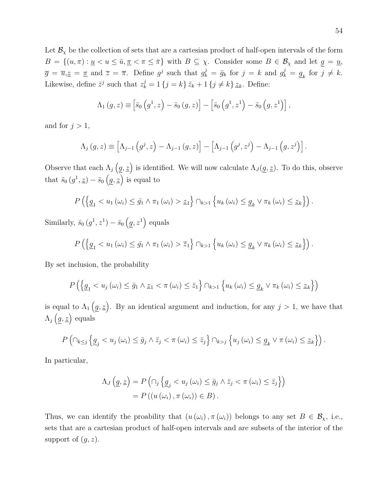Let  $\mathcal{B}_{\chi}$  be the collection of sets that are a cartesian product of half-open intervals of the form  $B = \{(u, \pi) : u \le u \le \bar{u}, \underline{\pi} < \pi \le \bar{\pi}\}\$  with  $B \subseteq \chi$ . Consider some  $B \in \mathcal{B}_\chi$  and let  $\underline{g} = \underline{u},$  $\overline{g} = \overline{u}, \underline{z} = \underline{\pi}$  and  $\overline{z} = \overline{\pi}$ . Define  $g^j$  such that  $g^j_k = \overline{g}_k$  for  $j = k$  and  $g^j_k = \underline{g}_k$  for  $j \neq k$ . Likewise, define  $\bar{z}^j$  such that  $z^j_k = 1$  {*j* = *k*}  $\bar{z}_k + 1$  {*j*  $\neq k$ }  $z_k$ . Define:

$$
\Lambda_1(g, z) \equiv \left[\bar{s}_0(g^1, z) - \bar{s}_0(g, z)\right] - \left[\bar{s}_0(g^1, z^1) - \bar{s}_0(g, z^1)\right],
$$

and for  $j > 1$ ,

$$
\Lambda_{j}(g, z) \equiv \left[\Lambda_{j-1}(g^{j}, z) - \Lambda_{j-1}(g, z)\right] - \left[\Lambda_{j-1}(g^{j}, z^{j}) - \Lambda_{j-1}(g, z^{j})\right].
$$

Observe that each  $\Lambda_j(g, z)$  is identified. We will now calculate  $\Lambda_j(g, z)$ . To do this, observe that  $\bar{s}_0(g^1, \underline{z}) - \bar{s}_0(g, \underline{z})$  is equal to

$$
P\left(\left\{\underline{g}_1 < u_1\left(\omega_i\right) \leq \bar{g}_1 \land \pi_1\left(\omega_i\right) > \underline{z}_1\right\}\cap_{k>1}\left\{u_k\left(\omega_i\right) \leq \underline{g}_k \lor \pi_k\left(\omega_i\right) \leq \underline{z}_k\right\}\right).
$$

Similarly,  $\bar{s}_0(g^1, z^1) - \bar{s}_0(g, z^1)$  equals

$$
P\left(\left\{\underline{g}_1 < u_1\left(\omega_i\right) \leq \bar{g}_1 \land \pi_1\left(\omega_i\right) > \bar{z}_1\right\}\cap_{k>1}\left\{u_k\left(\omega_i\right) \leq \underline{g}_k \lor \pi_k\left(\omega_i\right) \leq \underline{z}_k\right\}\right).
$$

By set inclusion, the probability

$$
P\left(\left\{\underline{g}_1 < u_j\left(\omega_i\right) \leq \bar{g}_1 \land \underline{z}_1 < \pi\left(\omega_i\right) \leq \bar{z}_1\right\} \cap_{k > 1} \left\{u_k\left(\omega_i\right) \leq \underline{g}_k \lor \pi_k\left(\omega_i\right) \leq \underline{z}_k\right\}\right)
$$

is equal to  $\Lambda_1(g, z)$ . By an identical argument and induction, for any  $j > 1$ , we have that  $\Lambda_j(g,\underline{z})$  equals

$$
P\left(\cap_{k\leq j}\left\{ \underline{g}_j < u_j\left(\omega_i\right) \leq \bar{g}_j \land \bar{z}_j < \pi\left(\omega_i\right) \leq \bar{z}_j\right\} \cap_{k>j}\left\{ u_j\left(\omega_i\right) \leq \underline{g}_k \lor \pi\left(\omega_i\right) \leq \underline{z}_k\right\} \right).
$$

In particular,

$$
\Lambda_J(g, \underline{z}) = P\left(\cap_j \{ \underline{g}_j < u_j(\omega_i) \le \bar{g}_j \land \bar{z}_j < \pi(\omega_i) \le \bar{z}_j \}\right)
$$
\n
$$
= P\left((u(\omega_i), \pi(\omega_i)) \in B\right).
$$

Thus, we can identify the proability that  $(u(\omega_i), \pi(\omega_i))$  belongs to any set  $B \in \mathcal{B}_{\chi}$ , i.e., sets that are a cartesian product of half-open intervals and are subsets of the interior of the support of  $(g, z)$ .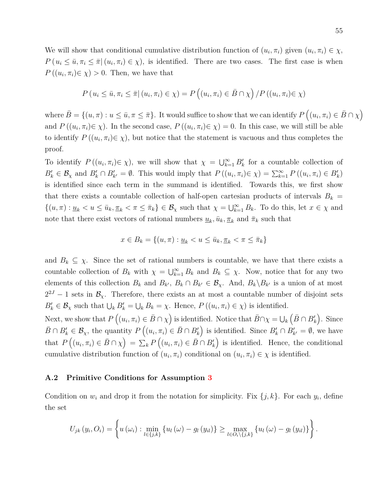We will show that conditional cumulative distribution function of  $(u_i, \pi_i)$  given  $(u_i, \pi_i) \in \chi$ ,  $P(u_i \leq \bar{u}, \pi_i \leq \bar{\pi} | (u_i, \pi_i) \in \chi)$ , is identified. There are two cases. The first case is when  $P((u_i, \pi_i) \in \chi) > 0$ . Then, we have that

$$
P(u_i \leq \bar{u}, \pi_i \leq \bar{\pi} | (u_i, \pi_i) \in \chi) = P\left((u_i, \pi_i) \in \bar{B} \cap \chi\right) / P\left((u_i, \pi_i) \in \chi\right)
$$

where  $\bar{B} = \{(u, \pi) : u \le \bar{u}, \pi \le \bar{\pi}\}$ . It would suffice to show that we can identify  $P((u_i, \pi_i) \in \bar{B} \cap \chi)$ and  $P((u_i, \pi_i) \in \chi)$ . In the second case,  $P((u_i, \pi_i) \in \chi) = 0$ . In this case, we will still be able to identify  $P((u_i, \pi_i) \in \chi)$ , but notice that the statement is vacuous and thus completes the proof.

To identify  $P((u_i, \pi_i) \in \chi)$ , we will show that  $\chi = \bigcup_{k=1}^{\infty} B'_k$  for a countable collection of  $B'_k \in \mathcal{B}_\chi$  and  $B'_k \cap B'_{k'} = \emptyset$ . This would imply that  $P((u_i, \pi_i) \in \chi) = \sum_{k=1}^\infty P((u_i, \pi_i) \in B'_k)$ is identified since each term in the summand is identified. Towards this, we first show that there exists a countable collection of half-open cartesian products of intervals  $B_k =$  $\{(u,\pi): \underline{u}_k < u \le \overline{u}_k, \underline{\pi}_k < \pi \le \overline{\pi}_k\} \in \mathcal{B}_\chi$  such that  $\chi = \bigcup_{k=1}^\infty B_k$ . To do this, let  $x \in \chi$  and note that there exist vectors of rational numbers  $\underline{u}_k$ ,  $\overline{u}_k$ ,  $\underline{\pi}_k$  and  $\overline{\pi}_k$  such that

$$
x \in B_k = \{(u, \pi) : \underline{u}_k < u \le \overline{u}_k, \underline{\pi}_k < \pi \le \overline{\pi}_k\}
$$

and  $B_k \subseteq \chi$ . Since the set of rational numbers is countable, we have that there exists a countable collection of  $B_k$  with  $\chi = \bigcup_{k=1}^{\infty} B_k$  and  $B_k \subseteq \chi$ . Now, notice that for any two elements of this collection  $B_k$  and  $B_{k'}$ ,  $B_k \cap B_{k'} \in \mathcal{B}_{\chi}$ . And,  $B_k \backslash B_{k'}$  is a union of at most  $2^{2J} - 1$  sets in  $\mathcal{B}_{\chi}$ . Therefore, there exists an at most a countable number of disjoint sets  $B'_k \in \mathcal{B}_\chi$  such that  $\bigcup_k B'_k = \bigcup_k B_k = \chi$ . Hence,  $P((u_i, \pi_i) \in \chi)$  is identified.

Next, we show that  $P((u_i, \pi_i) \in \bar{B} \cap \chi)$  is identified. Notice that  $\bar{B} \cap \chi = \bigcup_k (\bar{B} \cap B'_k)$ . Since  $\overline{B} \cap B'_k \in \mathcal{B}_{\chi}$ , the quantity  $P((u_i, \pi_i) \in \overline{B} \cap B'_k)$  is identified. Since  $B'_k \cap B'_{k'} = \emptyset$ , we have that  $P((u_i, \pi_i) \in \overline{B} \cap \chi) = \sum_k P((u_i, \pi_i) \in \overline{B} \cap B'_k)$  is identified. Hence, the conditional cumulative distribution function of  $(u_i, \pi_i)$  conditional on  $(u_i, \pi_i) \in \chi$  is identified.

#### **A.2 Primitive Conditions for Assumption [3](#page-19-0)**

Condition on  $w_i$  and drop it from the notation for simplicity. Fix  $\{j, k\}$ . For each  $y_i$ , define the set

$$
U_{jk}(y_i, O_i) = \left\{ u(\omega_i) : \min_{l \in \{j,k\}} \{u_l(\omega) - g_l(y_{il})\} \ge \max_{l \in O_i \setminus \{j,k\}} \{u_l(\omega) - g_l(y_{il})\} \right\}.
$$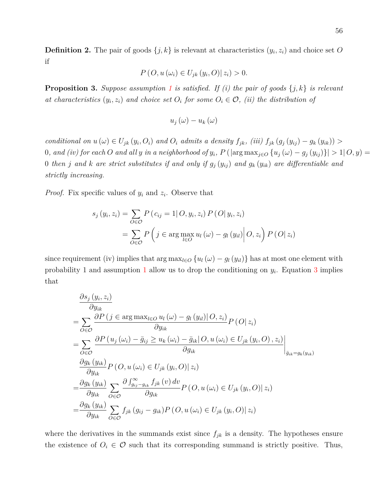**Definition 2.** The pair of goods  $\{j, k\}$  is relevant at characteristics  $(y_i, z_i)$  and choice set O if

$$
P\left(O, u\left(\omega_i\right) \in U_{jk}\left(y_i, O\right) \mid z_i\right) > 0.
$$

**Proposition 3.** Suppose assumption [1](#page-10-1) is satisfied. If (i) the pair of goods  $\{j, k\}$  is relevant *at characteristics*  $(y_i, z_i)$  *and choice set*  $O_i$  *for some*  $O_i \in \mathcal{O}$ *, (ii) the distribution of* 

$$
u_{j}\left(\omega\right)-u_{k}\left(\omega\right)
$$

conditional on  $u(\omega) \in U_{jk}(y_i, O_i)$  and  $O_i$  admits a density  $f_{jk}$ , (iii)  $f_{jk}(g_j(y_{ij}) - g_k(y_{ik})) >$ 0, and (iv) for each O and all y in a neighborhood of  $y_i$ ,  $P(\arg \max_{j \in O} \{u_j(\omega) - g_j(y_{ij})\}| > 1 | O, y) =$ 0 *then j* and *k* are strict substitutes if and only if  $g_j(y_{ij})$  and  $g_k(y_{ik})$  are differentiable and *strictly increasing.*

*Proof.* Fix specific values of  $y_i$  and  $z_i$ . Observe that

$$
s_j(y_i, z_i) = \sum_{O \in \mathcal{O}} P(c_{ij} = 1 | O, y_i, z_i) P(O|y_i, z_i)
$$
  
= 
$$
\sum_{O \in \mathcal{O}} P\left(j \in \arg\max_{l \in O} u_l(\omega) - g_l(y_{il}) | O, z_i\right) P(O|z_i)
$$

since requirement (iv) implies that  $\arg \max_{l \in O} \{ u_l(\omega) - g_l(y_{il}) \}$  has at most one element with probability [1](#page-10-1) and assumption 1 allow us to drop the conditioning on  $y_i$ . Equation [3](#page-10-0) implies that

$$
\frac{\partial s_{j}(y_{i}, z_{i})}{\partial y_{ik}}
$$
\n
$$
= \sum_{O \in \mathcal{O}} \frac{\partial P(j \in \arg \max_{l \in O} u_{l}(\omega) - g_{l}(y_{il}) | O, z_{i})}{\partial y_{ik}} P(O|z_{i})
$$
\n
$$
= \sum_{O \in \mathcal{O}} \frac{\partial P(u_{j}(\omega_{i}) - \bar{g}_{ij} \ge u_{k}(\omega_{i}) - \bar{g}_{ik} | O, u(\omega_{i}) \in U_{jk}(y_{i}, O), z_{i})}{\partial g_{ik}} \Big|_{\bar{g}_{ik} = g_{k}(y_{ik})}
$$
\n
$$
\frac{\partial g_{k}(y_{ik})}{\partial y_{ik}} P(O, u(\omega_{i}) \in U_{jk}(y_{i}, O) | z_{i})
$$
\n
$$
= \frac{\partial g_{k}(y_{ik})}{\partial y_{ik}} \sum_{O \in \mathcal{O}} \frac{\partial \int_{g_{ij} - g_{ik}}^{\infty} f_{jk}(v) dv}{\partial g_{ik}} P(O, u(\omega_{i}) \in U_{jk}(y_{i}, O) | z_{i})
$$
\n
$$
= \frac{\partial g_{k}(y_{ik})}{\partial y_{ik}} \sum_{O \in \mathcal{O}} f_{jk}(g_{ij} - g_{ik}) P(O, u(\omega_{i}) \in U_{jk}(y_{i}, O) | z_{i})
$$

where the derivatives in the summands exist since  $f_{jk}$  is a density. The hypotheses ensure the existence of  $O_i \in \mathcal{O}$  such that its corresponding summand is strictly positive. Thus,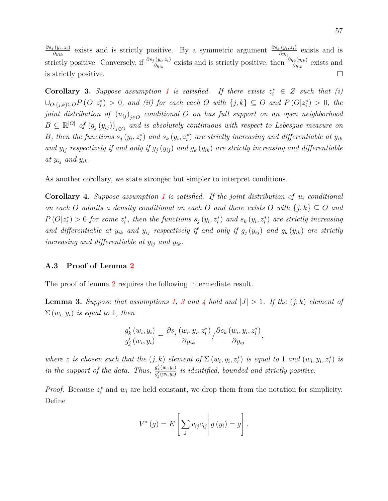*∂s<sup>j</sup>* (*yi, zi*) *∂y<sub>ik</sub>*</sub> exists and is strictly positive. By a symmetric argument  $\frac{\partial s_k(y_i, z_i)}{\partial y_{ij}}$  exists and is strictly positive. Conversely, if  $\frac{\partial s_j(y_i, z_i)}{\partial y_{ik}}$  exists and is strictly positive, then  $\frac{\partial g_k(y_{ik})}{\partial y_{ik}}$  exists and is strictly positive.  $\Box$ 

**Corollary 3.** Suppose assumption [1](#page-10-1) is satisfied. If there exists  $z_i^* \in Z$  such that (i)  $\bigcup_{O:\{j,k\}\subseteq O}P(O|z_i^*)\geq 0$ , and (ii) for each each O with  $\{j,k\}\subseteq O$  and  $P(O|z_i^*)\geq 0$ , the  $joint$  distribution of  $\left(u_{ij}\right)_{j\in O}$  conditional  $O$  on has full support on an open neighborhood  $B \subseteq \mathbb{R}^{|O|}$  of  $(g_j(y_{ij}))_{j \in O}$  and is absolutely continuous with respect to Lebesgue measure on B, then the functions  $s_j(y_i, z_i^*)$  and  $s_k(y_i, z_i^*)$  are strictly increasing and differentiable at  $y_{ik}$ and  $y_{ij}$  respectively if and only if  $g_j(y_{ij})$  and  $g_k(y_{ik})$  are strictly increasing and differentiable at  $y_{ij}$  and  $y_{ik}$ .

As another corollary, we state stronger but simpler to interpret conditions.

**Corollary 4.** *Suppose assumption [1](#page-10-1) is satisfied. If the joint distribution of u<sup>i</sup> conditional on each O admits* a *density conditional on each O and there exists O with*  $\{j, k\} \subseteq O$  *and*  $P(O|z_i^*) > 0$  for some  $z_i^*$ , then the functions  $s_j(y_i, z_i^*)$  and  $s_k(y_i, z_i^*)$  are strictly increasing and differentiable at  $y_{ik}$  and  $y_{ij}$  respectively if and only if  $g_j(y_{ij})$  and  $g_k(y_{ik})$  are strictly *increasing and differentiable at yij and yik.*

#### **A.3 Proof of Lemma [2](#page-20-0)**

The proof of lemma [2](#page-20-0) requires the following intermediate result.

<span id="page-58-0"></span>**Lemma [3](#page-19-0).** *Suppose that assumptions* [1,](#page-10-1) 3 and [4](#page-20-1) hold and  $|J| > 1$ . If the  $(j, k)$  element of  $\Sigma(w_i, y_i)$  *is equal to* 1*, then* 

$$
\frac{g_k'(w_i, y_i)}{g_j'(w_i, y_i)} = \frac{\partial s_j(w_i, y_i, z_i^*)}{\partial y_{ik}} / \frac{\partial s_k(w_i, y_i, z_i^*)}{\partial y_{ij}},
$$

where z is chosen such that the  $(j,k)$  element of  $\Sigma(w_i,y_i,z_i^*)$  is equal to 1 and  $(w_i,y_i,z_i^*)$  is *in the support of the data. Thus,*  $\frac{g'_k(w_i, y_i)}{g'(w_i, y_i)}$  $g_{\frac{j}{2}}^{(w_i,y_i)}$  is identified, bounded and strictly positive.

*Proof.* Because  $z_i^*$  and  $w_i$  are held constant, we drop them from the notation for simplicity. Define

$$
V^*(g) = E\left[\sum_j v_{ij} c_{ij} \middle| g(y_i) = g\right].
$$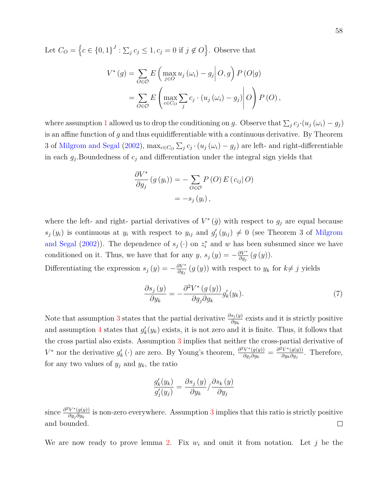Let  $C_O = \left\{c \in \{0,1\}^J : \sum_j c_j \leq 1, c_j = 0 \text{ if } j \notin O\right\}$ . Observe that

$$
V^*(g) = \sum_{O \in \mathcal{O}} E\left(\max_{j \in O} u_j(\omega_i) - g_j \middle| O, g\right) P\left(O|g\right)
$$
  
= 
$$
\sum_{O \in \mathcal{O}} E\left(\max_{c \in C_O} \sum_j c_j \cdot (u_j(\omega_i) - g_j) \middle| O \right) P\left(O\right),
$$

where assumption [1](#page-10-1) allowed us to drop the conditioning on *g*. Observe that  $\sum_j c_j \cdot (u_j(\omega_i) - g_j)$ is an affine function of *g* and thus equidifferentiable with a continuous derivative. By Theorem 3 of [Milgrom and Segal](#page-53-2) [\(2002\)](#page-53-2),  $\max_{c \in C_O} \sum_j c_j \cdot (u_j(\omega_i) - g_j)$  are left- and right-differentiable in each *g<sup>j</sup>* .Boundedness of *c<sup>j</sup>* and differentiation under the integral sign yields that

$$
\frac{\partial V^*}{\partial g_j} (g (y_i)) = - \sum_{O \in \mathcal{O}} P(O) E (c_{ij} | O)
$$

$$
= -s_j (y_i),
$$

where the left- and right- partial derivatives of  $V^*(\bar{g})$  with respect to  $g_j$  are equal because  $s_j(y_i)$  is continuous at  $y_i$  with respect to  $y_{ij}$  and  $g'_j(y_{ij}) \neq 0$  (see Theorem 3 of [Milgrom](#page-53-2) [and Segal](#page-53-2) [\(2002\)](#page-53-2)). The dependence of  $s_j(\cdot)$  on  $z_i^*$  and w has been subsumed since we have conditioned on it. Thus, we have that for any *y*,  $s_j(y) = -\frac{\partial V^*}{\partial q_j}$  $\frac{\partial V^*}{\partial g_j}\left(g\left(y\right)\right).$ 

Differentiating the expression  $s_j(y) = -\frac{\partial V^*}{\partial q_j}$ *∂* $\frac{\partial V^*}{\partial g_j}(g(y))$  with respect to *y<sub>k</sub>* for *k*≠ *j* yields

$$
\frac{\partial s_j(y)}{\partial y_k} = -\frac{\partial^2 V^*(g(y))}{\partial g_j \partial g_k} g'_k(y_k). \tag{7}
$$

Note that assumption [3](#page-19-0) states that the partial derivative  $\frac{\partial s_j(y)}{\partial y_k}$  exists and it is strictly positive and assumption [4](#page-20-1) states that  $g'_k(y_k)$  exists, it is not zero and it is finite. Thus, it follows that the cross partial also exists. Assumption [3](#page-19-0) implies that neither the cross-partial derivative of *V*<sup>∗</sup> nor the derivative  $g'_k$  (⋅) are zero. By Young's theorem,  $\frac{\partial^2 V^*(g(y))}{\partial g_i \partial q_k}$  $\frac{\partial^2 V^*(g(y))}{\partial g_j \partial g_k} = \frac{\partial^2 V^*(g(y))}{\partial g_k \partial g_j}$  $\frac{V^+(g(y))}{\partial g_k \partial g_j}$ . Therefore, for any two values of  $y_j$  and  $y_k$ , the ratio

$$
\frac{g_k'(y_k)}{g_j'(y_j)} = \frac{\partial s_j(y)}{\partial y_k} / \frac{\partial s_k(y)}{\partial y_j}
$$

since  $\frac{\partial^2 V^*(g(y))}{\partial g \cdot \partial g}$  $\frac{\partial V^*(g(y))}{\partial g_j \partial g_k}$  is non-zero everywhere. Assumption [3](#page-19-0) implies that this ratio is strictly positive and bounded.  $\Box$ 

We are now ready to prove lemma [2.](#page-20-0) Fix  $w_i$  and omit it from notation. Let j be the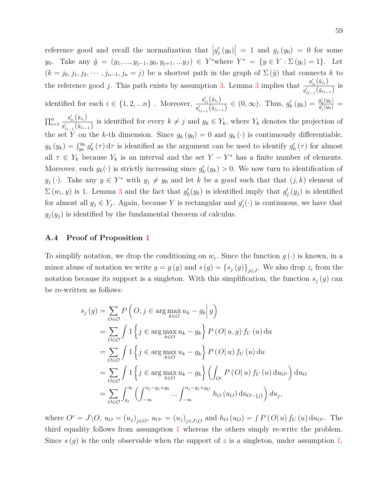reference good and recall the normalization that  $|g'_j(y_0)| = 1$  and  $g_j(y_0) = 0$  for some *y*<sub>0</sub>. Take any  $\tilde{y} = (y_1, ..., y_{j-1}, y_0, y_{j+1}, ... y_J) \in Y^*$  where  $Y^* = \{y \in Y : \Sigma(y_i) = 1\}$ . Let  $(k = j_0, j_1, j_2, \dots, j_{n-1}, j_n = j)$  be a shortest path in the graph of  $\Sigma(\tilde{y})$  that connects *k* to the reference good *j*. This path exists by assumption [3.](#page-19-0) Lemma [3](#page-58-0) implies that  $\frac{g'_{j_i}(g_{j_i})}{f}$  $\frac{g_{j_i}(y_{j_i})}{g'_{j_{i-1}}(y_{j_{i-1}})}$  is identified for each  $i \in \{1, 2, ..., n\}$ . Moreover,  $\frac{g'_{j_i}(y_{j_i})}{g'_{j_i}(y_{j_i})}$  $g'_{j_i}(\tilde{y}_{j_i})$ <br>  $g'_{j_{i-1}}(\tilde{y}_{j_{i-1}}) \in (0, \infty)$ . Thus,  $g'_k(y_k) = \frac{g'_k(y_k)}{g'_j(y_0)}$  $\frac{g^{}_{k} (y_{k})}{g^{\prime}_{j} (y_{0})} =$  $\prod_{i=1}^n$  $g'_{j_i}\big(\tilde{y}_{j_i}\big)$  $g_{j_i}(y_{j_i})$  is identified for every  $k \neq j$  and  $y_k \in Y_k$ , where  $Y_k$  denotes the projection of the set *Y* on the *k*-th dimension. Since  $g_k(y_0) = 0$  and  $g_k(\cdot)$  is continuously differentiable,  $g_k(y_k) = \int_{y_0}^{y_k} g'_k(\tau) d\tau$  is identified as the argument can be used to identify  $g'_k(\tau)$  for almost all  $\tau \in Y_k$  because  $Y_k$  is an interval and the set  $Y - Y^*$  has a finite number of elements. Moreover, each  $g_k(\cdot)$  is strictly increasing since  $g'_k(y_k) > 0$ . We now turn to identification of *g*<sub>*j*</sub> (·). Take any  $y \in Y^*$  with  $y_j \neq y_0$  and let *k* be a good such that that  $(j, k)$  element of  $\Sigma(w_i, y)$  is 1. Lemma [3](#page-58-0) and the fact that  $g'_k(y_k)$  is identified imply that  $g'_j(y_j)$  is identified for almost all  $y_j \in Y_j$ . Again, because Y is rectangular and  $g'_j(\cdot)$  is continuous, we have that  $g_j(y_j)$  is identified by the fundamental theorem of calculus.

#### **A.4 Proof of Proposition [1](#page-23-0)**

To simplify notation, we drop the conditioning on  $w_i$ . Since the function  $g(\cdot)$  is known, in a minor abuse of notation we write  $g = g(y)$  and  $s(g) = \{s_j(g)\}_{j \in J}$ . We also drop  $z_i$  from the notation because its support is a singleton. With this simplification, the function  $s_j(g)$  can be re-written as follows:

$$
s_j(g) = \sum_{O \in \mathcal{O}} P\left(O, j \in \arg\max_{k \in O} u_k - g_k \middle| g\right)
$$
  
\n
$$
= \sum_{O \in \mathcal{O}} \int 1\left\{j \in \arg\max_{k \in O} u_k - g_k\right\} P\left(O | u, g\right) f_U(u) \, du
$$
  
\n
$$
= \sum_{O \in \mathcal{O}} \int 1\left\{j \in \arg\max_{k \in O} u_k - g_k\right\} P\left(O | u\right) f_U(u) \, du
$$
  
\n
$$
= \sum_{O \in \mathcal{O}} \int 1\left\{j \in \arg\max_{k \in O} u_k - g_k\right\} \left(\int_{O^c} P\left(O | u\right) f_U(u) \, du_{O^c}\right) du_O
$$
  
\n
$$
= \sum_{O \in \mathcal{O}} \int_{g_j}^{\infty} \left(\int_{-\infty}^{u_j - g_j + g_k} \dots \int_{-\infty}^{u_j - g_j + g_{k'}} h_O(u_O) \, du_{O - \{j\}}\right) du_j,
$$

where  $O^c = J \backslash O$ ,  $u_O = (u_j)_{j \in O}$ ,  $u_{O^c} = (u_j)_{j \in J \backslash O}$  and  $h_O(u_O) = \int P(O|u) f_U(u) \, du_{O^c}$ . The third equality follows from assumption [1](#page-10-1) whereas the others simply re-write the problem. Since  $s(g)$  is the only observable when the support of z is a singleton, under assumption [1,](#page-10-1)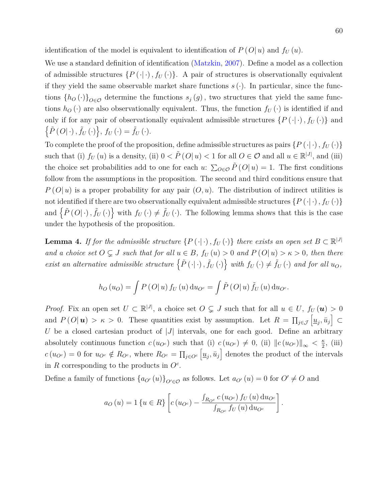identification of the model is equivalent to identification of  $P(O|u)$  and  $f_U(u)$ .

We use a standard definition of identification [\(Matzkin,](#page-52-5) [2007\)](#page-52-5). Define a model as a collection of admissible structures  $\{P(\cdot|\cdot), f_U(\cdot)\}\$ . A pair of structures is observationally equivalent if they yield the same observable market share functions  $s(\cdot)$ . In particular, since the functions  ${h_O(\cdot)}_{O \in O}$  determine the functions  $s_j(g)$ , two structures that yield the same functions  $h<sub>O</sub>(.)$  are also observationally equivalent. Thus, the function  $f<sub>U</sub>(.)$  is identified if and only if for any pair of observationally equivalent admissible structures  $\{P(\cdot|\cdot), f_U(\cdot)\}$  and  $\{\tilde{P}(O|\cdot), \tilde{f}_U(\cdot)\}, f_U(\cdot) = \tilde{f}_U(\cdot).$ 

To complete the proof of the proposition, define admissible structures as pairs  $\{P(\cdot|\cdot), f_U(\cdot)\}$ such that (i)  $f_U(u)$  is a density, (ii)  $0 < \tilde{P}(O|u) < 1$  for all  $O \in \mathcal{O}$  and all  $u \in \mathbb{R}^{|J|}$ , and (iii) the choice set probabilities add to one for each *u*:  $\sum_{O \in \mathcal{O}} \tilde{P}(O|u) = 1$ . The first conditions follow from the assumptions in the proposition. The second and third conditions ensure that *P* (*O*| *u*) is a proper probability for any pair (*O, u*). The distribution of indirect utilities is not identified if there are two observationally equivalent admissible structures  $\{P(\cdot|\cdot), f_U(\cdot)\}$ and  $\{\tilde{P}(O|\cdot), \tilde{f}_U(\cdot)\}$  with  $f_U(\cdot) \neq \tilde{f}_U(\cdot)$ . The following lemma shows that this is the case under the hypothesis of the proposition.

**Lemma 4.** *If for the admissible structure*  $\{P(\cdot|\cdot), f_U(\cdot)\}$  *there exists an open set*  $B \subset \mathbb{R}^{|J|}$ *and a choice set*  $O \subsetneq J$  *such that for all*  $u \in B$ *,*  $f_U(u) > 0$  *and*  $P(O|u) > \kappa > 0$ *, then there* exist an alternative admissible structure  $\left\{ \tilde{P}(\cdot|\cdot), \tilde{f}_U(\cdot) \right\}$  with  $f_U(\cdot) \neq \tilde{f}_U(\cdot)$  and for all  $u_O$ ,

$$
h_O(u_O) = \int P(O|u) f_U(u) \, du_{O^c} = \int \tilde{P}(O|u) \, \tilde{f}_U(u) \, du_{O^c}.
$$

*Proof.* Fix an open set  $U \subset \mathbb{R}^{|J|}$ , a choice set  $O \subsetneq J$  such that for all  $u \in U$ ,  $f_U(u) > 0$ and  $P(O|\mathbf{u}) > \kappa > 0$ . These quantities exist by assumption. Let  $R = \prod_{j \in \mathcal{J}} \left[\underline{u}_j, \bar{u}_j\right] \subset$ *U* be a closed cartesian product of |*J*| intervals, one for each good. Define an arbitrary absolutely continuous function  $c(u_{O^c})$  such that (i)  $c(u_{O^c}) \neq 0$ , (ii)  $||c(u_{O^c})||_{\infty} < \frac{\kappa}{2}$  $\frac{\kappa}{2}$ , (iii)  $c(u_{O}^c) = 0$  for  $u_{O}^c \notin R_{O}^c$ , where  $R_{O}^c = \prod_{j \in O}^c \left[ \underline{u}_j, \overline{u}_j \right]$  denotes the product of the intervals in  $R$  corresponding to the products in  $O^c$ .

Define a family of functions  $\{a_{O}(u)\}_{O\subseteq\mathcal{O}}$  as follows. Let  $a_{O}(u) = 0$  for  $O' \neq O$  and

$$
a_O(u) = 1\{u \in R\} \left[ c(u_{O^c}) - \frac{\int_{R_{O^c}} c(u_{O^c}) f_U(u) du_{O^c}}{\int_{R_{O^c}} f_U(u) du_{O^c}} \right].
$$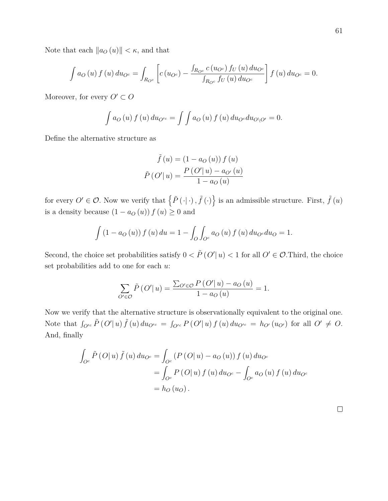Note that each  $\|a_O(u)\| < \kappa$ , and that

$$
\int a_O(u) f(u) du_{O^c} = \int_{R_{O^c}} \left[ c(u_{O^c}) - \frac{\int_{R_{O^c}} c(u_{O^c}) f_U(u) du_{O^c}}{\int_{R_{O^c}} f_U(u) du_{O^c}} \right] f(u) du_{O^c} = 0.
$$

Moreover, for every  $O' \subset O$ 

$$
\int a_0(u) f(u) du_{O^{c}} = \int \int a_0(u) f(u) du_{O^c} du_{O\setminus O'} = 0.
$$

Define the alternative structure as

$$
\tilde{f}(u) = (1 - a_O(u)) f (u)
$$

$$
\tilde{P}(O'|u) = \frac{P(O'|u) - a_{O'}(u)}{1 - a_O(u)}
$$

for every  $O' \in \mathcal{O}$ . Now we verify that  $\{\tilde{P}(\cdot|\cdot), \tilde{f}(\cdot)\}\)$  is an admissible structure. First,  $\tilde{f}(u)$ is a density because  $(1 - a_O(u)) f(u) \geq 0$  and

$$
\int (1 - a_O(u)) f(u) \, du = 1 - \int_O \int_{O^c} a_O(u) f(u) \, du_{O^c} \, du_O = 1.
$$

Second, the choice set probabilities satisfy  $0 < \tilde{P}(O'|u) < 1$  for all  $O' \in \mathcal{O}$ . Third, the choice set probabilities add to one for each *u*:

$$
\sum_{O' \in \mathcal{O}} \tilde{P}(O'|u) = \frac{\sum_{O' \in \mathcal{O}} P(O'|u) - a_O(u)}{1 - a_O(u)} = 1.
$$

Now we verify that the alternative structure is observationally equivalent to the original one. Note that  $\int_{O'^c} \tilde{P}(O'|u) \tilde{f}(u) du_{O'^c} = \int_{O'^c} P(O'|u) f(u) du_{O'^c} = h_{O'}(u_{O'})$  for all  $O' \neq O$ . And, finally

$$
\int_{O^c} \tilde{P}(O|u) \tilde{f}(u) du_{O^c} = \int_{O^c} (P(O|u) - a_O(u)) f(u) du_{O^c}
$$

$$
= \int_{O^c} P(O|u) f(u) du_{O^c} - \int_{O^c} a_O(u) f(u) du_{O^c}
$$

$$
= h_O(u_O).
$$

 $\Box$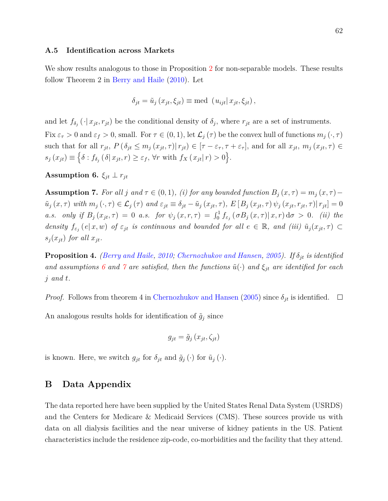#### **A.5 Identification across Markets**

We show results analogous to those in Proposition [2](#page-26-0) for non-separable models. These results follow Theorem 2 in [Berry and Haile](#page-49-3) [\(2010\)](#page-49-3). Let

$$
\delta_{jt} = \tilde{u}_j(x_{jt}, \xi_{jt}) \equiv \text{med} (u_{ijt} | x_{jt}, \xi_{jt}),
$$

and let  $f_{\delta_j}(\cdot | x_{jt}, r_{jt})$  be the conditional density of  $\delta_j$ , where  $r_{jt}$  are a set of instruments. Fix  $\varepsilon_{\tau} > 0$  and  $\varepsilon_{f} > 0$ , small. For  $\tau \in (0,1)$ , let  $\mathcal{L}_{j}(\tau)$  be the convex hull of functions  $m_{j}(\cdot,\tau)$ such that for all  $r_{jt}$ ,  $P(\delta_{jt} \leq m_j(x_{jt}, \tau) | r_{jt}) \in [\tau - \varepsilon_{\tau}, \tau + \varepsilon_{\tau}],$  and for all  $x_{jt}$ ,  $m_j(x_{jt}, \tau) \in$  $s_j(x_{jt}) \equiv \left\{ \delta : f_{\delta_j}(\delta | x_{jt}, r) \geq \varepsilon_f, \forall r \text{ with } f_X(x_{jt} | r) > 0 \right\}.$ 

<span id="page-63-0"></span>**Assumption 6.**  $\xi_{jt} \perp r_{jt}$ 

<span id="page-63-1"></span>**Assumption 7.** *For all j* and  $\tau \in (0,1)$ *,* (*i*) *for any bounded function*  $B_j(x,\tau) = m_j(x,\tau) \tilde{u}_j(x,\tau)$  with  $m_j(\cdot,\tau) \in \mathcal{L}_j(\tau)$  and  $\varepsilon_{jt} \equiv \delta_{jt} - \tilde{u}_j(x_{jt},\tau)$ ,  $E[B_j(x_{jt},\tau) \psi_j(x_{jt},r_{jt},\tau) | r_{jt}] = 0$ a.s. only if  $B_j(x_{jt}, \tau) = 0$  a.s. for  $\psi_j(x, r, \tau) = \int_0^1 f_{\varepsilon_j}(\sigma B_j(x, \tau) | x, r) d\sigma > 0$ . (ii) the *density*  $f_{\varepsilon_j}(e|x,w)$  *of*  $\varepsilon_{jt}$  *is continuous and bounded for all*  $e \in \mathbb{R}$ *, and (iii)*  $\tilde{u}_j(x_{jt},\tau) \subset$  $s_j(x_{jt})$  *for all*  $x_{jt}$ *.* 

**Proposition 4.** *[\(Berry and Haile,](#page-49-3) [2010;](#page-49-3) [Chernozhukov and Hansen,](#page-50-2) [2005\)](#page-50-2). If δjt is identified and assumptions* [6](#page-63-0) *and* [7](#page-63-1) *are satisfied, then the functions*  $\tilde{u}(\cdot)$  *and*  $\xi_{jt}$  *are identified for each j and t.*

*Proof.* Follows from theorem 4 in [Chernozhukov and Hansen](#page-50-2) [\(2005\)](#page-50-2) since  $\delta_{jt}$  is identified.  $\square$ 

An analogous results holds for identification of  $\tilde{g}_j$  since

$$
g_{jt} = \tilde{g}_j(x_{jt}, \zeta_{jt})
$$

is known. Here, we switch  $g_{jt}$  for  $\delta_{jt}$  and  $\tilde{g}_j(\cdot)$  for  $\tilde{u}_j(\cdot)$ .

# **B Data Appendix**

The data reported here have been supplied by the United States Renal Data System (USRDS) and the Centers for Medicare & Medicaid Services (CMS). These sources provide us with data on all dialysis facilities and the near universe of kidney patients in the US. Patient characteristics include the residence zip-code, co-morbidities and the facility that they attend.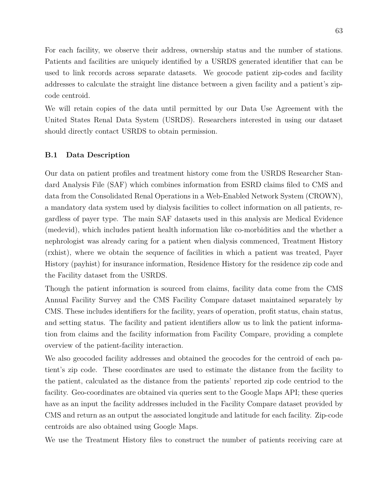For each facility, we observe their address, ownership status and the number of stations. Patients and facilities are uniquely identified by a USRDS generated identifier that can be used to link records across separate datasets. We geocode patient zip-codes and facility addresses to calculate the straight line distance between a given facility and a patient's zipcode centroid.

We will retain copies of the data until permitted by our Data Use Agreement with the United States Renal Data System (USRDS). Researchers interested in using our dataset should directly contact USRDS to obtain permission.

#### **B.1 Data Description**

Our data on patient profiles and treatment history come from the USRDS Researcher Standard Analysis File (SAF) which combines information from ESRD claims filed to CMS and data from the Consolidated Renal Operations in a Web-Enabled Network System (CROWN), a mandatory data system used by dialysis facilities to collect information on all patients, regardless of payer type. The main SAF datasets used in this analysis are Medical Evidence (medevid), which includes patient health information like co-morbidities and the whether a nephrologist was already caring for a patient when dialysis commenced, Treatment History (rxhist), where we obtain the sequence of facilities in which a patient was treated, Payer History (payhist) for insurance information, Residence History for the residence zip code and the Facility dataset from the USRDS.

Though the patient information is sourced from claims, facility data come from the CMS Annual Facility Survey and the CMS Facility Compare dataset maintained separately by CMS. These includes identifiers for the facility, years of operation, profit status, chain status, and setting status. The facility and patient identifiers allow us to link the patient information from claims and the facility information from Facility Compare, providing a complete overview of the patient-facility interaction.

We also geocoded facility addresses and obtained the geocodes for the centroid of each patient's zip code. These coordinates are used to estimate the distance from the facility to the patient, calculated as the distance from the patients' reported zip code centriod to the facility. Geo-coordinates are obtained via queries sent to the Google Maps API; these queries have as an input the facility addresses included in the Facility Compare dataset provided by CMS and return as an output the associated longitude and latitude for each facility. Zip-code centroids are also obtained using Google Maps.

We use the Treatment History files to construct the number of patients receiving care at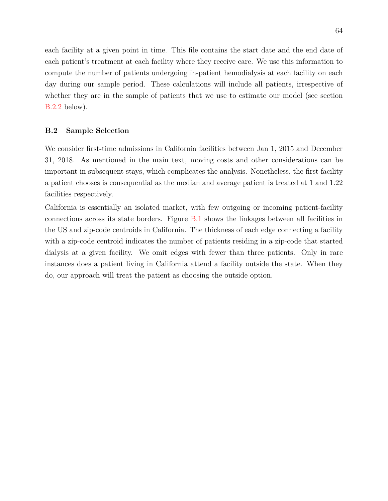each facility at a given point in time. This file contains the start date and the end date of each patient's treatment at each facility where they receive care. We use this information to compute the number of patients undergoing in-patient hemodialysis at each facility on each day during our sample period. These calculations will include all patients, irrespective of whether they are in the sample of patients that we use to estimate our model (see section [B.2.2](#page-67-0) below).

#### **B.2 Sample Selection**

We consider first-time admissions in California facilities between Jan 1, 2015 and December 31, 2018. As mentioned in the main text, moving costs and other considerations can be important in subsequent stays, which complicates the analysis. Nonetheless, the first facility a patient chooses is consequential as the median and average patient is treated at 1 and 1.22 facilities respectively.

California is essentially an isolated market, with few outgoing or incoming patient-facility connections across its state borders. Figure [B.1](#page-66-0) shows the linkages between all facilities in the US and zip-code centroids in California. The thickness of each edge connecting a facility with a zip-code centroid indicates the number of patients residing in a zip-code that started dialysis at a given facility. We omit edges with fewer than three patients. Only in rare instances does a patient living in California attend a facility outside the state. When they do, our approach will treat the patient as choosing the outside option.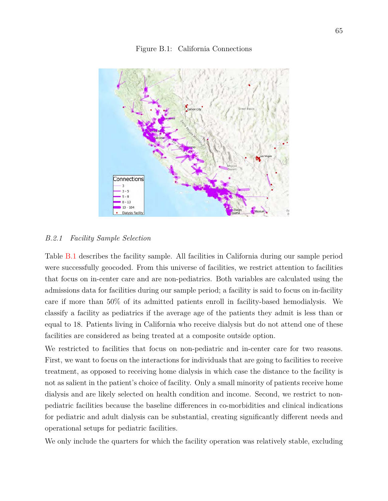<span id="page-66-0"></span>

Figure B.1: California Connections

#### *B.2.1 Facility Sample Selection*

Connections

 $3 - 5$  $5 - 8$  $8 - 13$  $13 - 104$ Dialysis Facility

Table [B.1](#page-67-1) describes the facility sample. All facilities in California during our sample period were successfully geocoded. From this universe of facilities, we restrict attention to facilities that focus on in-center care and are non-pediatrics. Both variables are calculated using the admissions data for facilities during our sample period; a facility is said to focus on in-facility care if more than 50% of its admitted patients enroll in facility-based hemodialysis. We classify a facility as pediatrics if the average age of the patients they admit is less than or equal to 18. Patients living in California who receive dialysis but do not attend one of these facilities are considered as being treated at a composite outside option.

We restricted to facilities that focus on non-pediatric and in-center care for two reasons. First, we want to focus on the interactions for individuals that are going to facilities to receive treatment, as opposed to receiving home dialysis in which case the distance to the facility is not as salient in the patient's choice of facility. Only a small minority of patients receive home dialysis and are likely selected on health condition and income. Second, we restrict to nonpediatric facilities because the baseline differences in co-morbidities and clinical indications for pediatric and adult dialysis can be substantial, creating significantly different needs and operational setups for pediatric facilities.

We only include the quarters for which the facility operation was relatively stable, excluding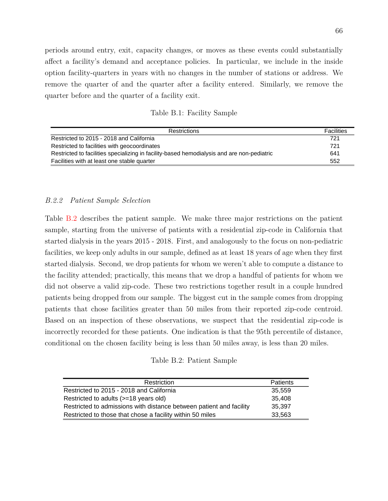periods around entry, exit, capacity changes, or moves as these events could substantially affect a facility's demand and acceptance policies. In particular, we include in the inside option facility-quarters in years with no changes in the number of stations or address. We remove the quarter of and the quarter after a facility entered. Similarly, we remove the quarter before and the quarter of a facility exit.

Table B.1: Facility Sample

<span id="page-67-1"></span>

| <b>Restrictions</b>                                                                        | Facilities |
|--------------------------------------------------------------------------------------------|------------|
| Restricted to 2015 - 2018 and California                                                   | 721        |
| Restricted to facilities with geocoordinates                                               | 721        |
| Restricted to facilities specializing in facility-based hemodialysis and are non-pediatric | 641        |
| Facilities with at least one stable quarter                                                | 552        |

### <span id="page-67-0"></span>*B.2.2 Patient Sample Selection*

Table [B.2](#page-67-2) describes the patient sample. We make three major restrictions on the patient sample, starting from the universe of patients with a residential zip-code in California that started dialysis in the years 2015 - 2018. First, and analogously to the focus on non-pediatric facilities, we keep only adults in our sample, defined as at least 18 years of age when they first started dialysis. Second, we drop patients for whom we weren't able to compute a distance to the facility attended; practically, this means that we drop a handful of patients for whom we did not observe a valid zip-code. These two restrictions together result in a couple hundred patients being dropped from our sample. The biggest cut in the sample comes from dropping patients that chose facilities greater than 50 miles from their reported zip-code centroid. Based on an inspection of these observations, we suspect that the residential zip-code is incorrectly recorded for these patients. One indication is that the 95th percentile of distance, conditional on the chosen facility being is less than 50 miles away, is less than 20 miles.

Table B.2: Patient Sample

<span id="page-67-2"></span>

| Restriction                                                         | <b>Patients</b> |
|---------------------------------------------------------------------|-----------------|
| Restricted to 2015 - 2018 and California                            | 35.559          |
| Restricted to adults (>=18 years old)                               | 35.408          |
| Restricted to admissions with distance between patient and facility | 35.397          |
| Restricted to those that chose a facility within 50 miles           | 33,563          |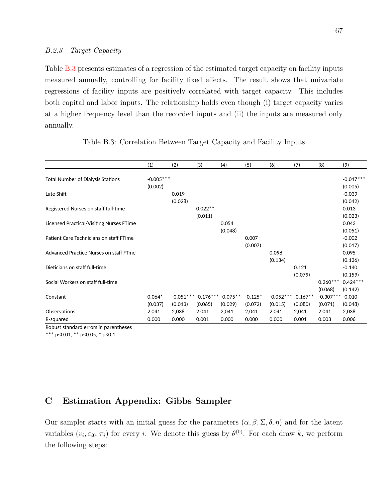#### *B.2.3 Target Capacity*

Table [B.3](#page-68-1) presents estimates of a regression of the estimated target capacity on facility inputs measured annually, controlling for facility fixed effects. The result shows that univariate regressions of facility inputs are positively correlated with target capacity. This includes both capital and labor inputs. The relationship holds even though (i) target capacity varies at a higher frequency level than the recorded inputs and (ii) the inputs are measured only annually.

<span id="page-68-1"></span>

|                                          | (1)         | (2)     | (3)                                | (4)     | (5)       | (6)         | (7)        | (8)         | (9)         |
|------------------------------------------|-------------|---------|------------------------------------|---------|-----------|-------------|------------|-------------|-------------|
|                                          |             |         |                                    |         |           |             |            |             |             |
| <b>Total Number of Dialysis Stations</b> | $-0.005***$ |         |                                    |         |           |             |            |             | $-0.017***$ |
|                                          | (0.002)     |         |                                    |         |           |             |            |             | (0.005)     |
| Late Shift                               |             | 0.019   |                                    |         |           |             |            |             | $-0.039$    |
|                                          |             | (0.028) |                                    |         |           |             |            |             | (0.042)     |
| Registered Nurses on staff full-time     |             |         | $0.022**$                          |         |           |             |            |             | 0.013       |
|                                          |             |         | (0.011)                            |         |           |             |            |             | (0.023)     |
| Licensed Practical/Visiting Nurses FTime |             |         |                                    | 0.054   |           |             |            |             | 0.043       |
|                                          |             |         |                                    | (0.048) |           |             |            |             | (0.051)     |
| Patient Care Technicians on staff FTime  |             |         |                                    |         | 0.007     |             |            |             | $-0.002$    |
|                                          |             |         |                                    |         | (0.007)   |             |            |             | (0.017)     |
| Advanced Practice Nurses on staff FTme   |             |         |                                    |         |           | 0.098       |            |             | 0.095       |
|                                          |             |         |                                    |         |           | (0.134)     |            |             | (0.136)     |
| Dieticians on staff full-time            |             |         |                                    |         |           |             | 0.121      |             | $-0.140$    |
|                                          |             |         |                                    |         |           |             | (0.079)    |             | (0.159)     |
| Social Workers on staff full-time        |             |         |                                    |         |           |             |            | $0.260***$  | $0.424***$  |
|                                          |             |         |                                    |         |           |             |            | (0.068)     | (0.142)     |
| Constant                                 | $0.064*$    |         | $-0.051***$ $-0.176***$ $-0.075**$ |         | $-0.125*$ | $-0.052***$ | $-0.167**$ | $-0.307***$ | $-0.010$    |
|                                          | (0.037)     | (0.013) | (0.065)                            | (0.029) | (0.072)   | (0.015)     | (0.080)    | (0.071)     | (0.048)     |
| Observations                             | 2,041       | 2,038   | 2,041                              | 2,041   | 2,041     | 2,041       | 2,041      | 2,041       | 2,038       |
| R-squared                                | 0.000       | 0.000   | 0.001                              | 0.000   | 0.000     | 0.000       | 0.001      | 0.003       | 0.006       |

#### Table B.3: Correlation Between Target Capacity and Facility Inputs

Robust standard errors in parentheses

\*\*\* p<0.01, \*\* p<0.05, \* p<0.1

# <span id="page-68-0"></span>**C Estimation Appendix: Gibbs Sampler**

Our sampler starts with an initial guess for the parameters  $(\alpha, \beta, \Sigma, \delta, \eta)$  and for the latent variables  $(v_i, \varepsilon_{i0}, \pi_i)$  for every *i*. We denote this guess by  $\theta^{(0)}$ . For each draw *k*, we perform the following steps: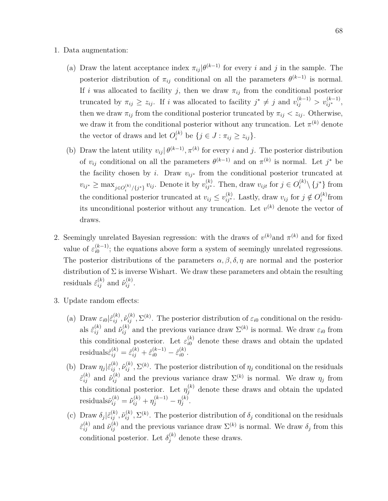- 1. Data augmentation:
	- (a) Draw the latent acceptance index  $\pi_{ij}$  | $\theta^{(k-1)}$  for every *i* and *j* in the sample. The posterior distribution of  $\pi_{ij}$  conditional on all the parameters  $\theta^{(k-1)}$  is normal. If *i* was allocated to facility *j*, then we draw  $\pi_{ij}$  from the conditional posterior truncated by  $\pi_{ij} \geq z_{ij}$ . If *i* was allocated to facility  $j^* \neq j$  and  $v_{ij}^{(k-1)} > v_{ij^*}^{(k-1)}$ , then we draw  $\pi_{ij}$  from the conditional posterior truncated by  $\pi_{ij} < z_{ij}$ . Otherwise, we draw it from the conditional posterior without any truncation. Let  $\pi^{(k)}$  denote the vector of draws and let  $O_i^{(k)}$  be  $\{j \in J : \pi_{ij} \geq z_{ij}\}.$
	- (b) Draw the latent utility  $v_{ij} | \theta^{(k-1)}$ ,  $\pi^{(k)}$  for every *i* and *j*. The posterior distribution of  $v_{ij}$  conditional on all the parameters  $\theta^{(k-1)}$  and on  $\pi^{(k)}$  is normal. Let  $j^*$  be the facility chosen by *i*. Draw  $v_{ij}$ <sup>\*</sup> from the conditional posterior truncated at  $v_{ij^*} \ge \max_{j \in O_i^{(k)}/\{j^*\}} v_{ij}$ . Denote it by  $v_{ij^*}^{(k)}$ . Then, draw  $v_{ijt}$  for  $j \in O_i^{(k)} \setminus \{j^*\}$  from the conditional posterior truncated at  $v_{ij} \le v_{ij}^{(k)}$ . Lastly, draw  $v_{ij}$  for  $j \notin O_i^{(k)}$  $i^{(\kappa)}$ from its unconditional posterior without any truncation. Let  $v^{(k)}$  denote the vector of draws.
- 2. Seemingly unrelated Bayesian regression: with the draws of  $v^{(k)}$  and  $\pi^{(k)}$  and for fixed value of  $\varepsilon_{i0}^{(k-1)}$  $\binom{k-1}{i0}$ ; the equations above form a system of seemingly unrelated regressions. The posterior distributions of the parameters  $\alpha$ ,  $\beta$ ,  $\delta$ ,  $\eta$  are normal and the posterior distribution of  $\Sigma$  is inverse Wishart. We draw these parameters and obtain the resulting residuals  $\hat{\varepsilon}_{ij}^{(k)}$  and  $\hat{\nu}_{ij}^{(k)}$ .
- 3. Update random effects:
	- (a) Draw  $\varepsilon_{i0}|\hat{\varepsilon}_{ij}^{(k)}, \hat{\nu}_{ij}^{(k)}, \Sigma^{(k)}$ . The posterior distribution of  $\varepsilon_{i0}$  conditional on the residuals  $\hat{\varepsilon}_{ij}^{(k)}$  and  $\hat{\nu}_{ij}^{(k)}$  and the previous variance draw  $\Sigma^{(k)}$  is normal. We draw  $\varepsilon_{i0}$  from this conditional posterior. Let  $\varepsilon_{i0}^{(k)}$  denote these draws and obtain the updated  $\text{residuals} \tilde{\varepsilon}_{ij}^{(k)} = \hat{\varepsilon}_{ij}^{(k)} + \hat{\varepsilon}_{i0}^{(k-1)} - \hat{\varepsilon}_{i0}^{(k)}$  $\binom{\kappa}{i0}$ .
	- (b) Draw  $\eta_j|\tilde{\varepsilon}_{ij}^{(k)},\tilde{\nu}_{ij}^{(k)},\Sigma^{(k)}$ . The posterior distribution of  $\eta_j$  conditional on the residuals  $\tilde{\varepsilon}_{ij}^{(k)}$  and  $\hat{\nu}_{ij}^{(k)}$  and the previous variance draw  $\Sigma^{(k)}$  is normal. We draw  $\eta_j$  from this conditional posterior. Let  $\eta_j^{(k)}$  denote these draws and obtain the updated  $\text{residuals}\tilde{\nu}_{ij}^{(k)} = \hat{\nu}_{ij}^{(k)} + \eta_j^{(k-1)} - \eta_j^{(k)}$ *j* .
	- (c) Draw  $\delta_j | \tilde{\varepsilon}_{ij}^{(k)}, \tilde{\nu}_{ij}^{(k)}, \Sigma^{(k)}$ . The posterior distribution of  $\delta_j$  conditional on the residuals  $\tilde{\varepsilon}_{ij}^{(k)}$  and  $\tilde{\nu}_{ij}^{(k)}$  and the previous variance draw  $\Sigma^{(k)}$  is normal. We draw  $\delta_j$  from this conditional posterior. Let  $\delta_j^{(k)}$  denote these draws.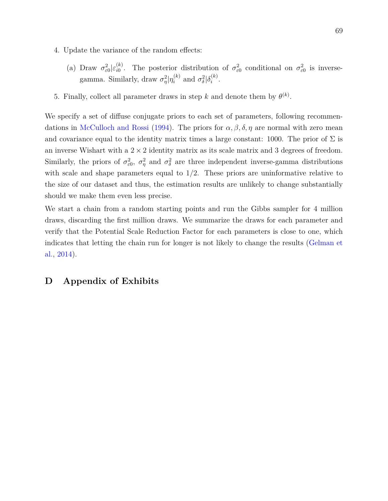- 4. Update the variance of the random effects:
	- (a) Draw  $\sigma_{\varepsilon 0}^2 | \varepsilon_{i0}^{(k)}$ *(k)*. The posterior distribution of  $\sigma_{\varepsilon 0}^2$  conditional on  $\sigma_{\varepsilon 0}^2$  is inversegamma. Similarly, draw  $\sigma_{\eta}^2 | \eta_i^{(k)}$  and  $\sigma_{\delta}^2 | \delta_i^{(k)}$  $\binom{k}{i}$ .
- 5. Finally, collect all parameter draws in step *k* and denote them by  $\theta^{(k)}$ .

We specify a set of diffuse conjugate priors to each set of parameters, following recommen-dations in [McCulloch and Rossi](#page-52-2) [\(1994\)](#page-52-2). The priors for  $\alpha, \beta, \delta, \eta$  are normal with zero mean and covariance equal to the identity matrix times a large constant: 1000. The prior of  $\Sigma$  is an inverse Wishart with a  $2 \times 2$  identity matrix as its scale matrix and 3 degrees of freedom. Similarly, the priors of  $\sigma_{\varepsilon0}^2$ ,  $\sigma_{\eta}^2$  and  $\sigma_{\delta}^2$  are three independent inverse-gamma distributions with scale and shape parameters equal to 1*/*2. These priors are uninformative relative to the size of our dataset and thus, the estimation results are unlikely to change substantially should we make them even less precise.

We start a chain from a random starting points and run the Gibbs sampler for 4 million draws, discarding the first million draws. We summarize the draws for each parameter and verify that the Potential Scale Reduction Factor for each parameters is close to one, which indicates that letting the chain run for longer is not likely to change the results [\(Gelman et](#page-51-3) [al.,](#page-51-3) [2014\)](#page-51-3).

# **D Appendix of Exhibits**